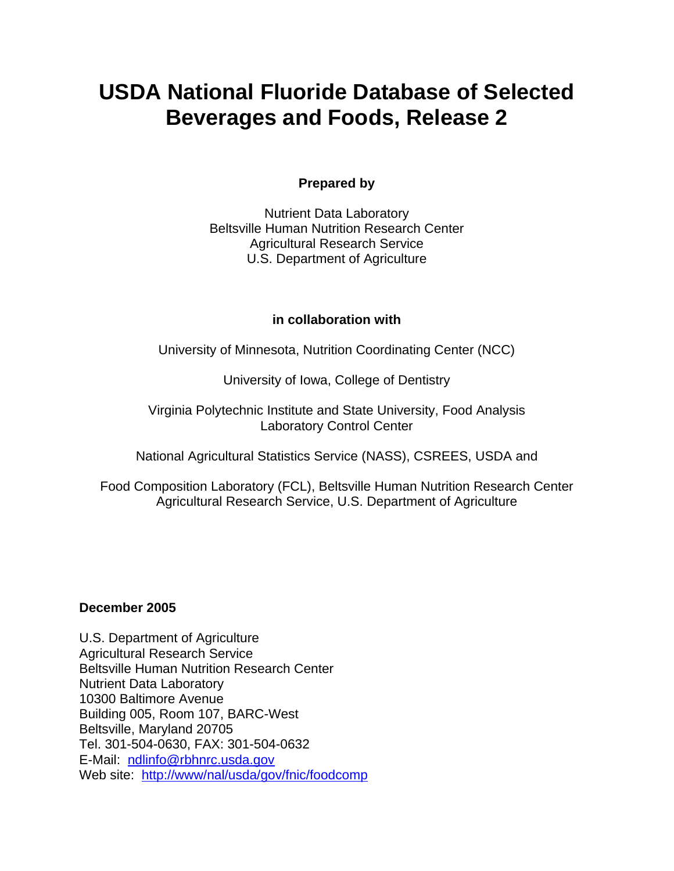# **USDA National Fluoride Database of Selected Beverages and Foods, Release 2**

# **Prepared by**

Nutrient Data Laboratory Beltsville Human Nutrition Research Center Agricultural Research Service U.S. Department of Agriculture

### **in collaboration with**

University of Minnesota, Nutrition Coordinating Center (NCC)

University of Iowa, College of Dentistry

Virginia Polytechnic Institute and State University, Food Analysis Laboratory Control Center

National Agricultural Statistics Service (NASS), CSREES, USDA and

Food Composition Laboratory (FCL), Beltsville Human Nutrition Research Center Agricultural Research Service, U.S. Department of Agriculture

# **December 2005**

U.S. Department of Agriculture Agricultural Research Service Beltsville Human Nutrition Research Center Nutrient Data Laboratory 10300 Baltimore Avenue Building 005, Room 107, BARC-West Beltsville, Maryland 20705 Tel. 301-504-0630, FAX: 301-504-0632 E-Mail: ndlinfo@rbhnrc.usda.gov Web site: http://www/nal/usda/gov/fnic/foodcomp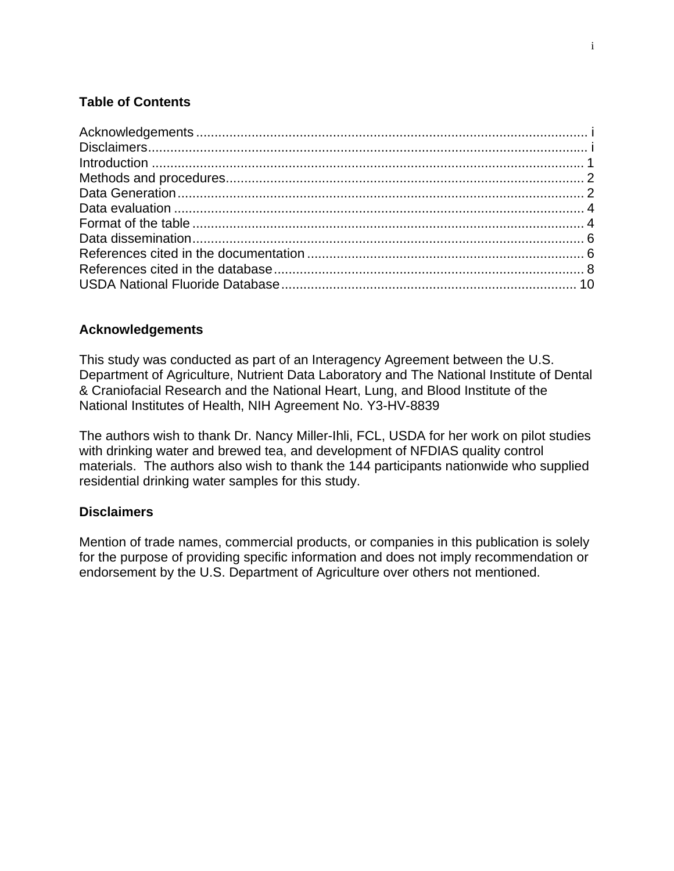# **Table of Contents**

# **Acknowledgements**

This study was conducted as part of an Interagency Agreement between the U.S. Department of Agriculture, Nutrient Data Laboratory and The National Institute of Dental & Craniofacial Research and the National Heart, Lung, and Blood Institute of the National Institutes of Health, NIH Agreement No. Y3-HV-8839

The authors wish to thank Dr. Nancy Miller-Ihli, FCL, USDA for her work on pilot studies with drinking water and brewed tea, and development of NFDIAS quality control materials. The authors also wish to thank the 144 participants nationwide who supplied residential drinking water samples for this study.

# **Disclaimers**

Mention of trade names, commercial products, or companies in this publication is solely for the purpose of providing specific information and does not imply recommendation or endorsement by the U.S. Department of Agriculture over others not mentioned.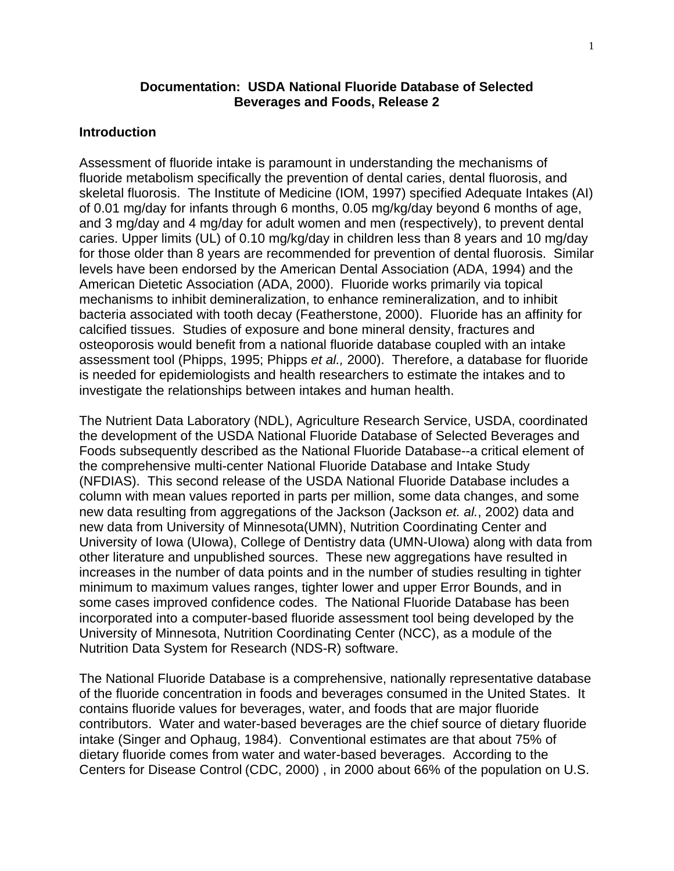### **Documentation: USDA National Fluoride Database of Selected Beverages and Foods, Release 2**

### **Introduction**

Assessment of fluoride intake is paramount in understanding the mechanisms of fluoride metabolism specifically the prevention of dental caries, dental fluorosis, and skeletal fluorosis. The Institute of Medicine (IOM, 1997) specified Adequate Intakes (AI) of 0.01 mg/day for infants through 6 months, 0.05 mg/kg/day beyond 6 months of age, and 3 mg/day and 4 mg/day for adult women and men (respectively), to prevent dental caries. Upper limits (UL) of 0.10 mg/kg/day in children less than 8 years and 10 mg/day for those older than 8 years are recommended for prevention of dental fluorosis. Similar levels have been endorsed by the American Dental Association (ADA, 1994) and the American Dietetic Association (ADA, 2000). Fluoride works primarily via topical mechanisms to inhibit demineralization, to enhance remineralization, and to inhibit bacteria associated with tooth decay (Featherstone, 2000). Fluoride has an affinity for calcified tissues. Studies of exposure and bone mineral density, fractures and osteoporosis would benefit from a national fluoride database coupled with an intake assessment tool (Phipps, 1995; Phipps *et al.,* 2000). Therefore, a database for fluoride is needed for epidemiologists and health researchers to estimate the intakes and to investigate the relationships between intakes and human health.

The Nutrient Data Laboratory (NDL), Agriculture Research Service, USDA, coordinated the development of the USDA National Fluoride Database of Selected Beverages and Foods subsequently described as the National Fluoride Database--a critical element of the comprehensive multi-center National Fluoride Database and Intake Study (NFDIAS). This second release of the USDA National Fluoride Database includes a column with mean values reported in parts per million, some data changes, and some new data resulting from aggregations of the Jackson (Jackson *et. al.*, 2002) data and new data from University of Minnesota(UMN), Nutrition Coordinating Center and University of Iowa (UIowa), College of Dentistry data (UMN-UIowa) along with data from other literature and unpublished sources. These new aggregations have resulted in increases in the number of data points and in the number of studies resulting in tighter minimum to maximum values ranges, tighter lower and upper Error Bounds, and in some cases improved confidence codes. The National Fluoride Database has been incorporated into a computer-based fluoride assessment tool being developed by the University of Minnesota, Nutrition Coordinating Center (NCC), as a module of the Nutrition Data System for Research (NDS-R) software.

The National Fluoride Database is a comprehensive, nationally representative database of the fluoride concentration in foods and beverages consumed in the United States. It contains fluoride values for beverages, water, and foods that are major fluoride contributors. Water and water-based beverages are the chief source of dietary fluoride intake (Singer and Ophaug, 1984). Conventional estimates are that about 75% of dietary fluoride comes from water and water-based beverages. According to the Centers for Disease Control (CDC, 2000) , in 2000 about 66% of the population on U.S.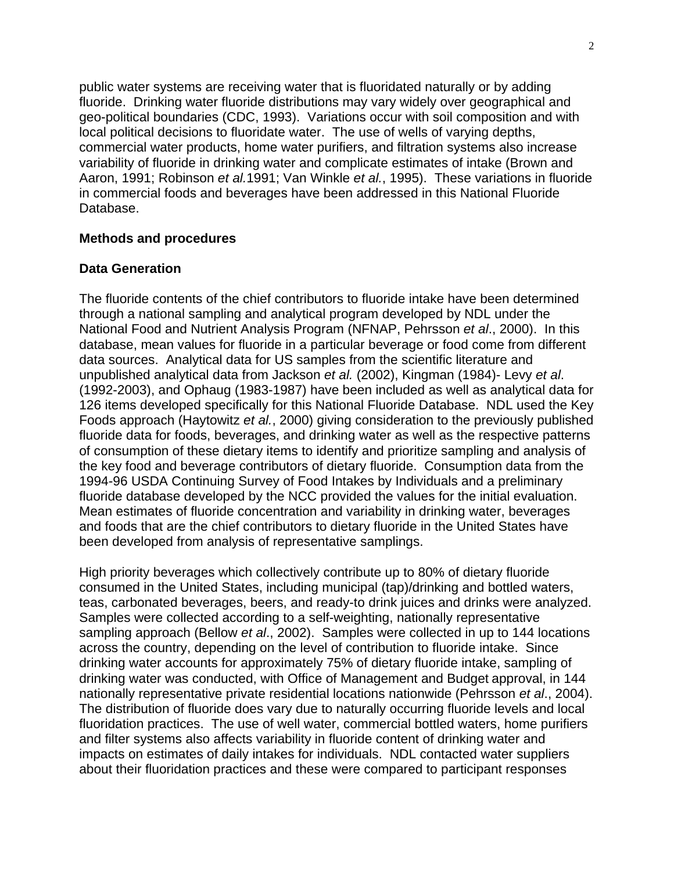public water systems are receiving water that is fluoridated naturally or by adding fluoride. Drinking water fluoride distributions may vary widely over geographical and geo-political boundaries (CDC, 1993). Variations occur with soil composition and with local political decisions to fluoridate water. The use of wells of varying depths, commercial water products, home water purifiers, and filtration systems also increase variability of fluoride in drinking water and complicate estimates of intake (Brown and Aaron, 1991; Robinson *et al.*1991; Van Winkle *et al.*, 1995). These variations in fluoride in commercial foods and beverages have been addressed in this National Fluoride Database.

### **Methods and procedures**

### **Data Generation**

The fluoride contents of the chief contributors to fluoride intake have been determined through a national sampling and analytical program developed by NDL under the National Food and Nutrient Analysis Program (NFNAP, Pehrsson *et al*., 2000). In this database, mean values for fluoride in a particular beverage or food come from different data sources. Analytical data for US samples from the scientific literature and unpublished analytical data from Jackson *et al.* (2002), Kingman (1984)- Levy *et al*. (1992-2003), and Ophaug (1983-1987) have been included as well as analytical data for 126 items developed specifically for this National Fluoride Database. NDL used the Key Foods approach (Haytowitz *et al.*, 2000) giving consideration to the previously published fluoride data for foods, beverages, and drinking water as well as the respective patterns of consumption of these dietary items to identify and prioritize sampling and analysis of the key food and beverage contributors of dietary fluoride. Consumption data from the 1994-96 USDA Continuing Survey of Food Intakes by Individuals and a preliminary fluoride database developed by the NCC provided the values for the initial evaluation. Mean estimates of fluoride concentration and variability in drinking water, beverages and foods that are the chief contributors to dietary fluoride in the United States have been developed from analysis of representative samplings.

High priority beverages which collectively contribute up to 80% of dietary fluoride consumed in the United States, including municipal (tap)/drinking and bottled waters, teas, carbonated beverages, beers, and ready-to drink juices and drinks were analyzed. Samples were collected according to a self-weighting, nationally representative sampling approach (Bellow *et al*., 2002). Samples were collected in up to 144 locations across the country, depending on the level of contribution to fluoride intake. Since drinking water accounts for approximately 75% of dietary fluoride intake, sampling of drinking water was conducted, with Office of Management and Budget approval, in 144 nationally representative private residential locations nationwide (Pehrsson *et al*., 2004). The distribution of fluoride does vary due to naturally occurring fluoride levels and local fluoridation practices. The use of well water, commercial bottled waters, home purifiers and filter systems also affects variability in fluoride content of drinking water and impacts on estimates of daily intakes for individuals. NDL contacted water suppliers about their fluoridation practices and these were compared to participant responses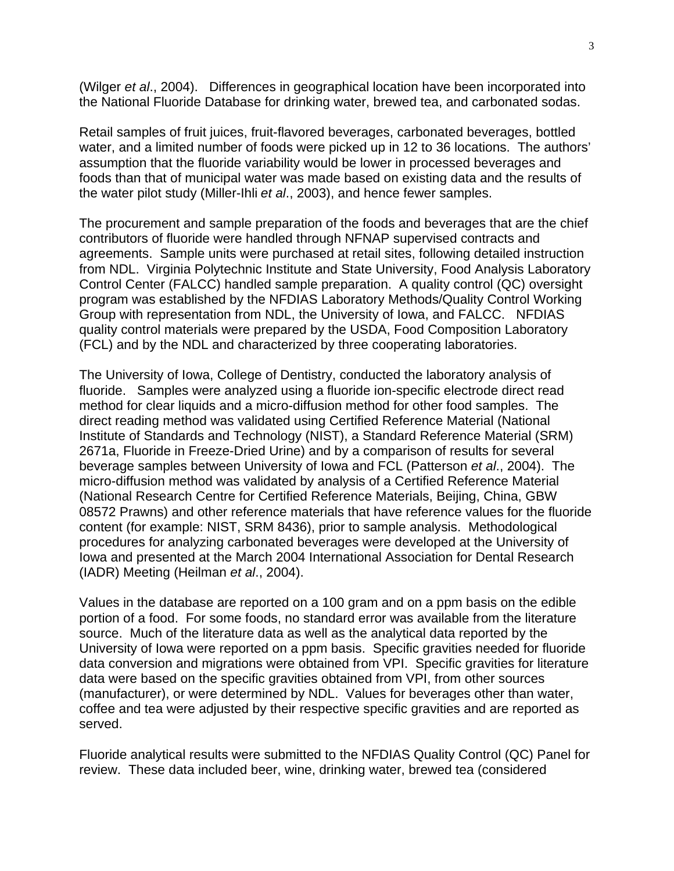(Wilger *et al*., 2004). Differences in geographical location have been incorporated into the National Fluoride Database for drinking water, brewed tea, and carbonated sodas.

Retail samples of fruit juices, fruit-flavored beverages, carbonated beverages, bottled water, and a limited number of foods were picked up in 12 to 36 locations. The authors' assumption that the fluoride variability would be lower in processed beverages and foods than that of municipal water was made based on existing data and the results of the water pilot study (Miller-Ihli *et al*., 2003), and hence fewer samples.

The procurement and sample preparation of the foods and beverages that are the chief contributors of fluoride were handled through NFNAP supervised contracts and agreements. Sample units were purchased at retail sites, following detailed instruction from NDL. Virginia Polytechnic Institute and State University, Food Analysis Laboratory Control Center (FALCC) handled sample preparation. A quality control (QC) oversight program was established by the NFDIAS Laboratory Methods/Quality Control Working Group with representation from NDL, the University of Iowa, and FALCC. NFDIAS quality control materials were prepared by the USDA, Food Composition Laboratory (FCL) and by the NDL and characterized by three cooperating laboratories.

The University of Iowa, College of Dentistry, conducted the laboratory analysis of fluoride. Samples were analyzed using a fluoride ion-specific electrode direct read method for clear liquids and a micro-diffusion method for other food samples. The direct reading method was validated using Certified Reference Material (National Institute of Standards and Technology (NIST), a Standard Reference Material (SRM) 2671a, Fluoride in Freeze-Dried Urine) and by a comparison of results for several beverage samples between University of Iowa and FCL (Patterson *et al*., 2004). The micro-diffusion method was validated by analysis of a Certified Reference Material (National Research Centre for Certified Reference Materials, Beijing, China, GBW 08572 Prawns) and other reference materials that have reference values for the fluoride content (for example: NIST, SRM 8436), prior to sample analysis. Methodological procedures for analyzing carbonated beverages were developed at the University of Iowa and presented at the March 2004 International Association for Dental Research (IADR) Meeting (Heilman *et al*., 2004).

Values in the database are reported on a 100 gram and on a ppm basis on the edible portion of a food. For some foods, no standard error was available from the literature source. Much of the literature data as well as the analytical data reported by the University of Iowa were reported on a ppm basis. Specific gravities needed for fluoride data conversion and migrations were obtained from VPI. Specific gravities for literature data were based on the specific gravities obtained from VPI, from other sources (manufacturer), or were determined by NDL. Values for beverages other than water, coffee and tea were adjusted by their respective specific gravities and are reported as served.

Fluoride analytical results were submitted to the NFDIAS Quality Control (QC) Panel for review. These data included beer, wine, drinking water, brewed tea (considered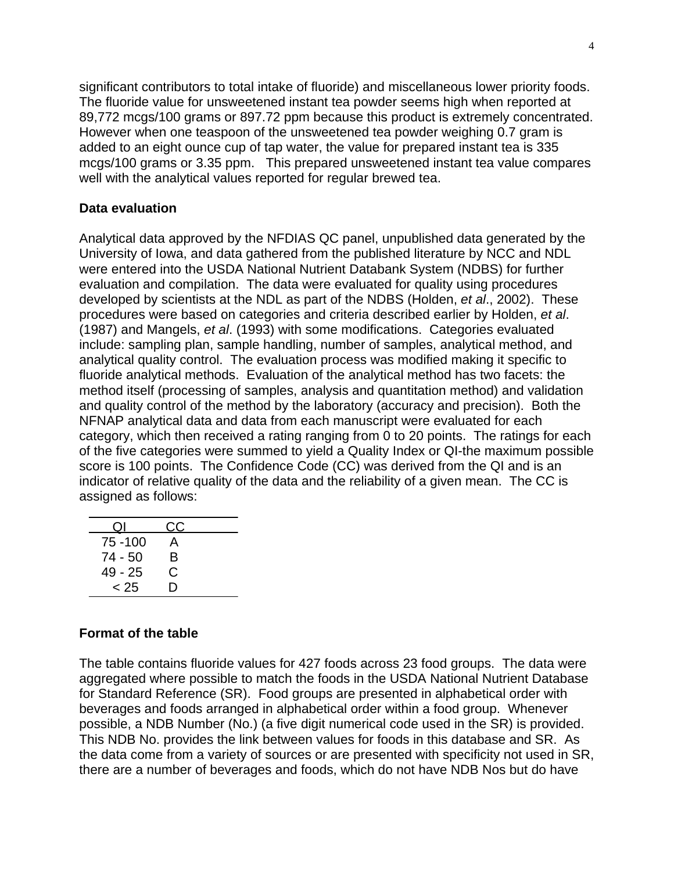significant contributors to total intake of fluoride) and miscellaneous lower priority foods. The fluoride value for unsweetened instant tea powder seems high when reported at 89,772 mcgs/100 grams or 897.72 ppm because this product is extremely concentrated. However when one teaspoon of the unsweetened tea powder weighing 0.7 gram is added to an eight ounce cup of tap water, the value for prepared instant tea is 335 mcgs/100 grams or 3.35 ppm. This prepared unsweetened instant tea value compares well with the analytical values reported for regular brewed tea.

### **Data evaluation**

Analytical data approved by the NFDIAS QC panel, unpublished data generated by the University of Iowa, and data gathered from the published literature by NCC and NDL were entered into the USDA National Nutrient Databank System (NDBS) for further evaluation and compilation. The data were evaluated for quality using procedures developed by scientists at the NDL as part of the NDBS (Holden, *et al*., 2002). These procedures were based on categories and criteria described earlier by Holden, *et al*. (1987) and Mangels, *et al*. (1993) with some modifications. Categories evaluated include: sampling plan, sample handling, number of samples, analytical method, and analytical quality control. The evaluation process was modified making it specific to fluoride analytical methods. Evaluation of the analytical method has two facets: the method itself (processing of samples, analysis and quantitation method) and validation and quality control of the method by the laboratory (accuracy and precision). Both the NFNAP analytical data and data from each manuscript were evaluated for each category, which then received a rating ranging from 0 to 20 points. The ratings for each of the five categories were summed to yield a Quality Index or QI-the maximum possible score is 100 points. The Confidence Code (CC) was derived from the QI and is an indicator of relative quality of the data and the reliability of a given mean. The CC is assigned as follows:

| Οl        | CC |
|-----------|----|
| 75 - 100  | A  |
| 74 - 50   | в  |
| $49 - 25$ | С  |
| < 25      | D  |

# **Format of the table**

The table contains fluoride values for 427 foods across 23 food groups. The data were aggregated where possible to match the foods in the USDA National Nutrient Database for Standard Reference (SR). Food groups are presented in alphabetical order with beverages and foods arranged in alphabetical order within a food group. Whenever possible, a NDB Number (No.) (a five digit numerical code used in the SR) is provided. This NDB No. provides the link between values for foods in this database and SR. As the data come from a variety of sources or are presented with specificity not used in SR, there are a number of beverages and foods, which do not have NDB Nos but do have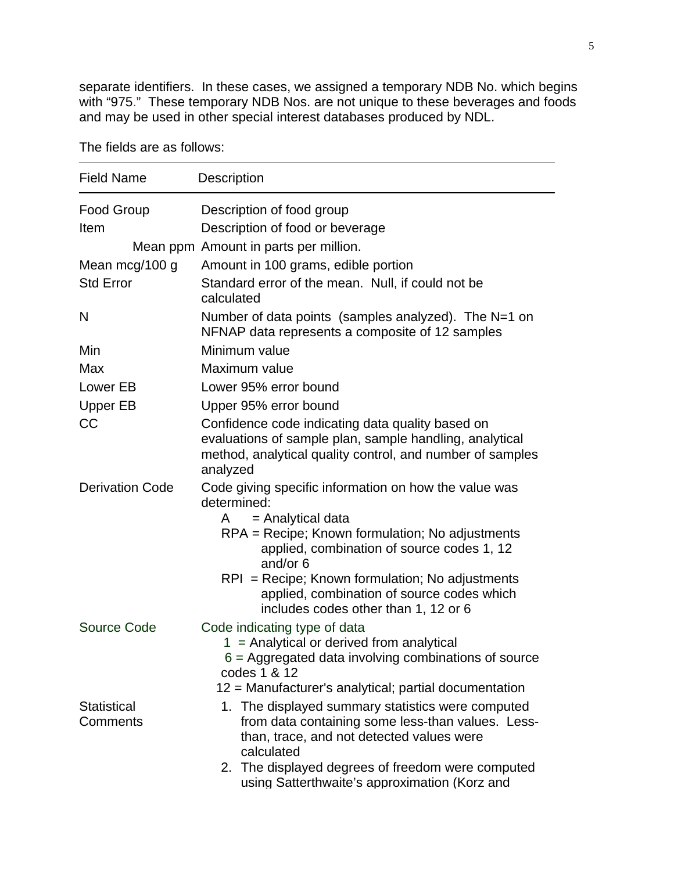separate identifiers. In these cases, we assigned a temporary NDB No. which begins with "975." These temporary NDB Nos. are not unique to these beverages and foods and may be used in other special interest databases produced by NDL.

Field Name Description Food Group **Description of food group** Item Description of food or beverage Mean ppm Amount in parts per million. Mean mcg/100 g Amount in 100 grams, edible portion Std Error Standard error of the mean. Null, if could not be calculated N Number of data points (samples analyzed). The N=1 on NFNAP data represents a composite of 12 samples Min Minimum value Max Maximum value Lower EB Lower 95% error bound Upper EB Upper 95% error bound CC CONSCOTE Confidence code indicating data quality based on evaluations of sample plan, sample handling, analytical method, analytical quality control, and number of samples analyzed Derivation Code Code giving specific information on how the value was determined:  $A =$  Analytical data RPA = Recipe; Known formulation; No adjustments applied, combination of source codes 1, 12 and/or 6 RPI = Recipe; Known formulation; No adjustments applied, combination of source codes which includes codes other than 1, 12 or 6 Source Code Code indicating type of data  $1 =$  Analytical or derived from analytical 6 = Aggregated data involving combinations of source codes 1 & 12 12 = Manufacturer's analytical; partial documentation **Statistical Comments** 1. The displayed summary statistics were computed from data containing some less-than values. Lessthan, trace, and not detected values were calculated 2. The displayed degrees of freedom were computed

using Satterthwaite's approximation (Korz and

The fields are as follows: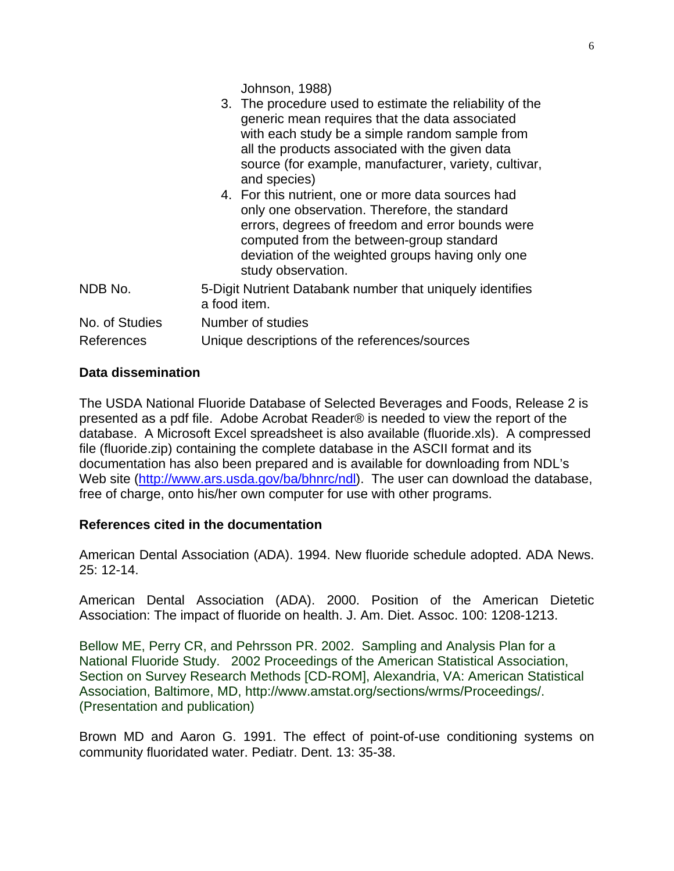Johnson, 1988)

|                | only one observation. Therefore, the standard<br>errors, degrees of freedom and error bounds were<br>computed from the between-group standard<br>deviation of the weighted groups having only one<br>study observation. |
|----------------|-------------------------------------------------------------------------------------------------------------------------------------------------------------------------------------------------------------------------|
| NDB No.        | 5-Digit Nutrient Databank number that uniquely identifies<br>a food item.                                                                                                                                               |
| No. of Studies | Number of studies                                                                                                                                                                                                       |
| References     | Unique descriptions of the references/sources                                                                                                                                                                           |
|                |                                                                                                                                                                                                                         |

# **Data dissemination**

The USDA National Fluoride Database of Selected Beverages and Foods, Release 2 is presented as a pdf file. Adobe Acrobat Reader® is needed to view the report of the database. A Microsoft Excel spreadsheet is also available (fluoride.xls). A compressed file (fluoride.zip) containing the complete database in the ASCII format and its documentation has also been prepared and is available for downloading from NDL's Web site (http://www.ars.usda.gov/ba/bhnrc/ndl). The user can download the database, free of charge, onto his/her own computer for use with other programs.

# **References cited in the documentation**

American Dental Association (ADA). 1994. New fluoride schedule adopted. ADA News. 25: 12-14.

American Dental Association (ADA). 2000. Position of the American Dietetic Association: The impact of fluoride on health. J. Am. Diet. Assoc. 100: 1208-1213.

Bellow ME, Perry CR, and Pehrsson PR. 2002. Sampling and Analysis Plan for a National Fluoride Study. 2002 Proceedings of the American Statistical Association, Section on Survey Research Methods [CD-ROM], Alexandria, VA: American Statistical Association, Baltimore, MD, http://www.amstat.org/sections/wrms/Proceedings/. (Presentation and publication)

Brown MD and Aaron G. 1991. The effect of point-of-use conditioning systems on community fluoridated water. Pediatr. Dent. 13: 35-38.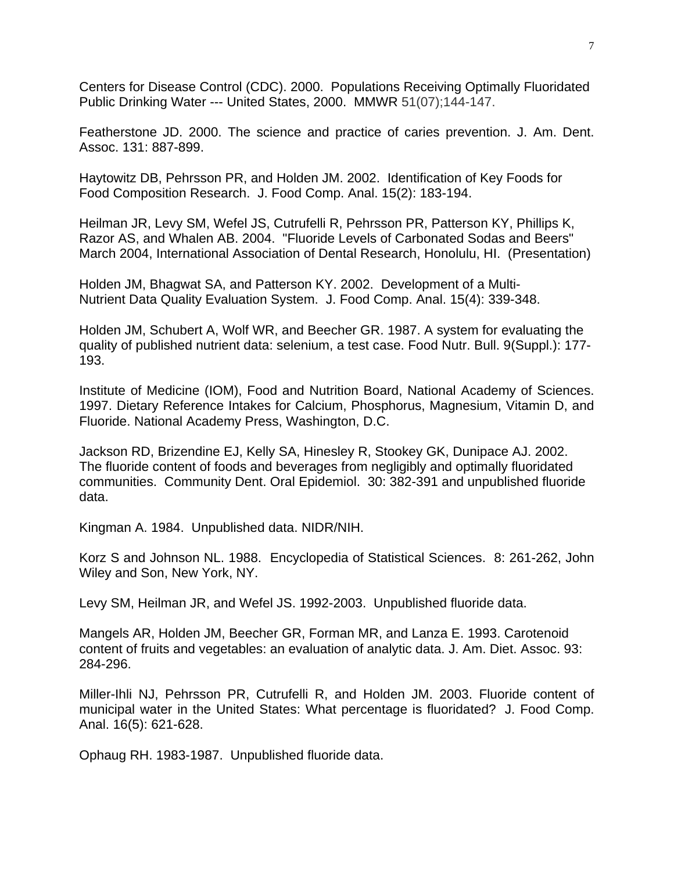Centers for Disease Control (CDC). 2000. Populations Receiving Optimally Fluoridated Public Drinking Water --- United States, 2000. MMWR 51(07);144-147.

Featherstone JD. 2000. The science and practice of caries prevention. J. Am. Dent. Assoc. 131: 887-899.

Haytowitz DB, Pehrsson PR, and Holden JM. 2002. Identification of Key Foods for Food Composition Research. J. Food Comp. Anal. 15(2): 183-194.

Heilman JR, Levy SM, Wefel JS, Cutrufelli R, Pehrsson PR, Patterson KY, Phillips K, Razor AS, and Whalen AB. 2004. "Fluoride Levels of Carbonated Sodas and Beers" March 2004, International Association of Dental Research, Honolulu, HI. (Presentation)

Holden JM, Bhagwat SA, and Patterson KY. 2002. Development of a Multi-Nutrient Data Quality Evaluation System. J. Food Comp. Anal. 15(4): 339-348.

Holden JM, Schubert A, Wolf WR, and Beecher GR. 1987. A system for evaluating the quality of published nutrient data: selenium, a test case. Food Nutr. Bull. 9(Suppl.): 177- 193.

Institute of Medicine (IOM), Food and Nutrition Board, National Academy of Sciences. 1997. Dietary Reference Intakes for Calcium, Phosphorus, Magnesium, Vitamin D, and Fluoride. National Academy Press, Washington, D.C.

Jackson RD, Brizendine EJ, Kelly SA, Hinesley R, Stookey GK, Dunipace AJ. 2002. The fluoride content of foods and beverages from negligibly and optimally fluoridated communities. Community Dent. Oral Epidemiol. 30: 382-391 and unpublished fluoride data.

Kingman A. 1984. Unpublished data. NIDR/NIH.

Korz S and Johnson NL. 1988. Encyclopedia of Statistical Sciences. 8: 261-262, John Wiley and Son, New York, NY.

Levy SM, Heilman JR, and Wefel JS. 1992-2003. Unpublished fluoride data.

Mangels AR, Holden JM, Beecher GR, Forman MR, and Lanza E. 1993. Carotenoid content of fruits and vegetables: an evaluation of analytic data. J. Am. Diet. Assoc. 93: 284-296.

Miller-Ihli NJ, Pehrsson PR, Cutrufelli R, and Holden JM. 2003. Fluoride content of municipal water in the United States: What percentage is fluoridated? J. Food Comp. Anal. 16(5): 621-628.

Ophaug RH. 1983-1987. Unpublished fluoride data.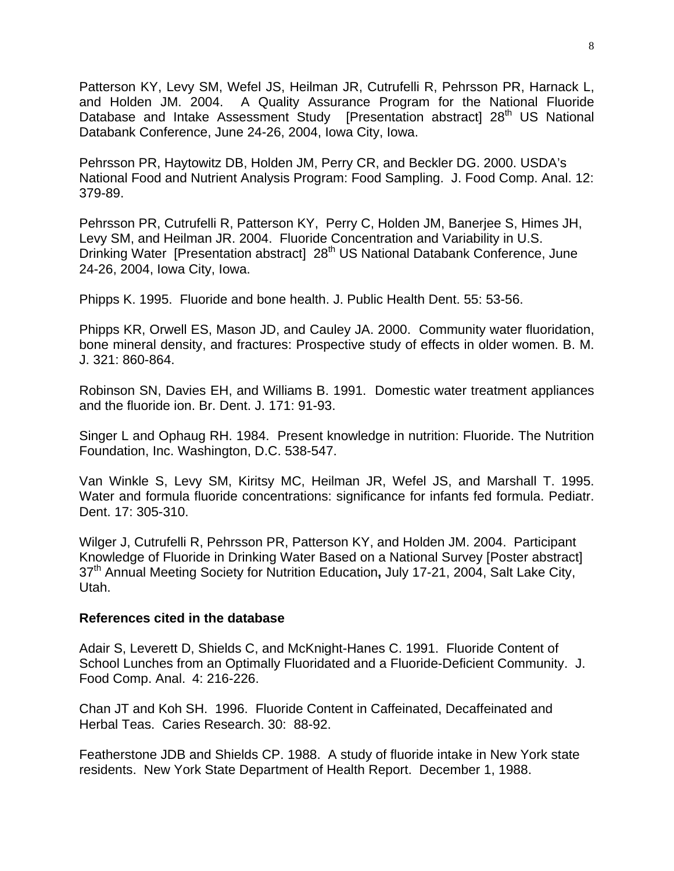Patterson KY, Levy SM, Wefel JS, Heilman JR, Cutrufelli R, Pehrsson PR, Harnack L, and Holden JM. 2004. A Quality Assurance Program for the National Fluoride Database and Intake Assessment Study [Presentation abstract] 28<sup>th</sup> US National Databank Conference, June 24-26, 2004, Iowa City, Iowa.

Pehrsson PR, Haytowitz DB, Holden JM, Perry CR, and Beckler DG. 2000. USDA's National Food and Nutrient Analysis Program: Food Sampling. J. Food Comp. Anal. 12: 379-89.

Pehrsson PR, Cutrufelli R, Patterson KY, Perry C, Holden JM, Banerjee S, Himes JH, Levy SM, and Heilman JR. 2004. Fluoride Concentration and Variability in U.S. Drinking Water [Presentation abstract] 28<sup>th</sup> US National Databank Conference, June 24-26, 2004, Iowa City, Iowa.

Phipps K. 1995. Fluoride and bone health. J. Public Health Dent. 55: 53-56.

Phipps KR, Orwell ES, Mason JD, and Cauley JA. 2000. Community water fluoridation, bone mineral density, and fractures: Prospective study of effects in older women. B. M. J. 321: 860-864.

Robinson SN, Davies EH, and Williams B. 1991. Domestic water treatment appliances and the fluoride ion. Br. Dent. J. 171: 91-93.

Singer L and Ophaug RH. 1984. Present knowledge in nutrition: Fluoride. The Nutrition Foundation, Inc. Washington, D.C. 538-547.

Van Winkle S, Levy SM, Kiritsy MC, Heilman JR, Wefel JS, and Marshall T. 1995. Water and formula fluoride concentrations: significance for infants fed formula. Pediatr. Dent. 17: 305-310.

Wilger J, Cutrufelli R, Pehrsson PR, Patterson KY, and Holden JM. 2004. Participant Knowledge of Fluoride in Drinking Water Based on a National Survey [Poster abstract] 37th Annual Meeting Society for Nutrition Education**,** July 17-21, 2004, Salt Lake City, Utah.

### **References cited in the database**

Adair S, Leverett D, Shields C, and McKnight-Hanes C. 1991. Fluoride Content of School Lunches from an Optimally Fluoridated and a Fluoride-Deficient Community. J. Food Comp. Anal.4: 216-226.

Chan JT and Koh SH. 1996. Fluoride Content in Caffeinated, Decaffeinated and Herbal Teas. Caries Research. 30: 88-92.

Featherstone JDB and Shields CP. 1988. A study of fluoride intake in New York state residents. New York State Department of Health Report. December 1, 1988.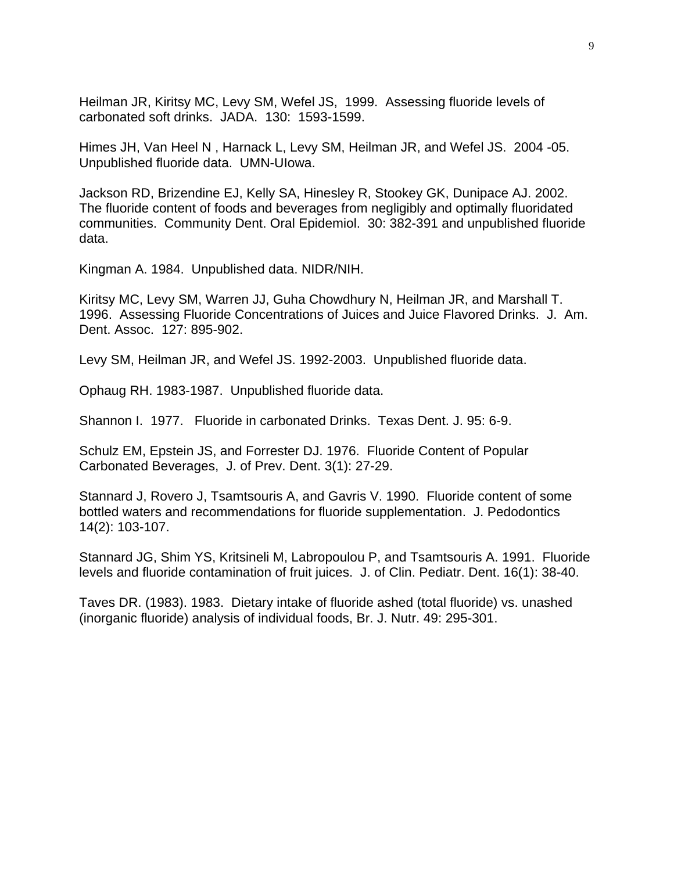Heilman JR, Kiritsy MC, Levy SM, Wefel JS, 1999. Assessing fluoride levels of carbonated soft drinks. JADA. 130: 1593-1599.

Himes JH, Van Heel N , Harnack L, Levy SM, Heilman JR, and Wefel JS. 2004 -05. Unpublished fluoride data. UMN-UIowa.

Jackson RD, Brizendine EJ, Kelly SA, Hinesley R, Stookey GK, Dunipace AJ. 2002. The fluoride content of foods and beverages from negligibly and optimally fluoridated communities. Community Dent. Oral Epidemiol. 30: 382-391 and unpublished fluoride data.

Kingman A. 1984. Unpublished data. NIDR/NIH.

Kiritsy MC, Levy SM, Warren JJ, Guha Chowdhury N, Heilman JR, and Marshall T. 1996. Assessing Fluoride Concentrations of Juices and Juice Flavored Drinks. J. Am. Dent. Assoc. 127: 895-902.

Levy SM, Heilman JR, and Wefel JS. 1992-2003. Unpublished fluoride data.

Ophaug RH. 1983-1987. Unpublished fluoride data.

Shannon I. 1977. Fluoride in carbonated Drinks. Texas Dent. J. 95: 6-9.

Schulz EM, Epstein JS, and Forrester DJ. 1976. Fluoride Content of Popular Carbonated Beverages, J. of Prev. Dent. 3(1): 27-29.

Stannard J, Rovero J, Tsamtsouris A, and Gavris V. 1990. Fluoride content of some bottled waters and recommendations for fluoride supplementation. J. Pedodontics 14(2): 103-107.

Stannard JG, Shim YS, Kritsineli M, Labropoulou P, and Tsamtsouris A. 1991. Fluoride levels and fluoride contamination of fruit juices. J. of Clin. Pediatr. Dent. 16(1): 38-40.

Taves DR. (1983). 1983. Dietary intake of fluoride ashed (total fluoride) vs. unashed (inorganic fluoride) analysis of individual foods, Br. J. Nutr. 49: 295-301.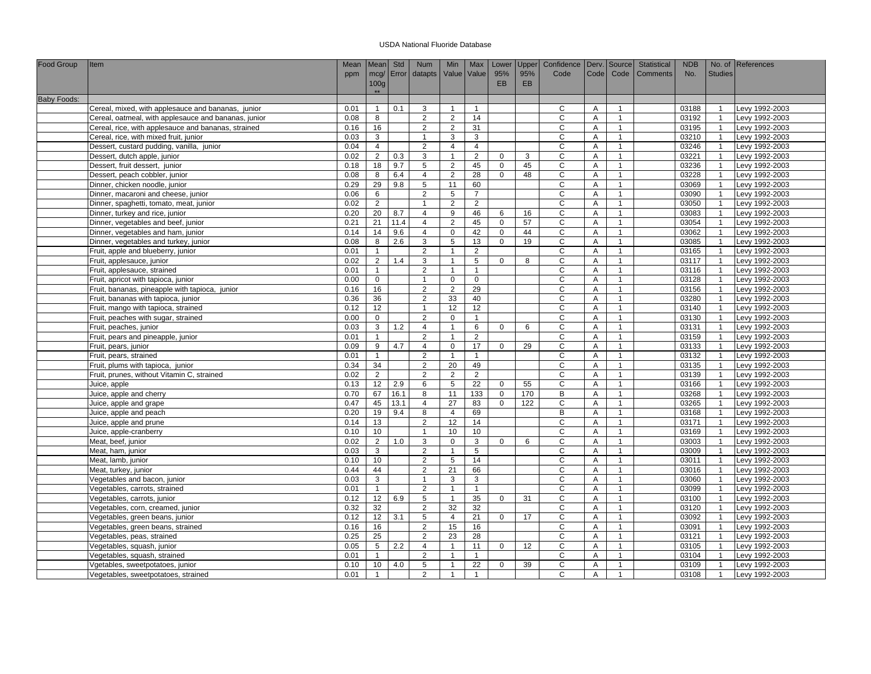| <b>Food Group</b>  | <b>Item</b>                                          | Mean         | Mean Std                        |            | <b>Num</b>          | Min                              | Max                  | Lower                   | Upper     | Confidence   Derv.   Source |                     |                                | Statistical | <b>NDB</b>     |                                           | No. of References |
|--------------------|------------------------------------------------------|--------------|---------------------------------|------------|---------------------|----------------------------------|----------------------|-------------------------|-----------|-----------------------------|---------------------|--------------------------------|-------------|----------------|-------------------------------------------|-------------------|
|                    |                                                      | ppm          |                                 | mcg/ Error | datapts             | Value Value                      |                      | 95%                     | 95%       | Code                        | <b>Code</b>         | Code                           | Comments    | No.            | <b>Studies</b>                            |                   |
|                    |                                                      |              | 100g                            |            |                     |                                  |                      | <b>EB</b>               | <b>EB</b> |                             |                     |                                |             |                |                                           |                   |
|                    |                                                      |              | $**$                            |            |                     |                                  |                      |                         |           |                             |                     |                                |             |                |                                           |                   |
| <b>Baby Foods:</b> |                                                      | 0.01         | $\overline{1}$                  | 0.1        | 3                   | $\overline{1}$                   | $\mathbf{1}$         |                         |           | C                           |                     | $\overline{1}$                 |             | 03188          |                                           | Levy 1992-2003    |
|                    | Cereal, mixed, with applesauce and bananas, junior   | 0.08         | 8                               |            | 2                   |                                  | 14                   |                         |           | C                           | A<br>A              | $\overline{1}$                 |             | 03192          | -1<br>-1                                  | Levy 1992-2003    |
|                    | Cereal, oatmeal, with applesauce and bananas, junior |              |                                 |            |                     | $\overline{2}$                   |                      |                         |           |                             |                     |                                |             |                | $\overline{\mathbf{1}}$                   |                   |
|                    | Cereal, rice, with applesauce and bananas, strained  | 0.16         | 16                              |            | 2<br>$\overline{1}$ | 2                                | 31                   |                         |           | C                           | Α                   | $\mathbf{1}$                   |             | 03195          |                                           | Levy 1992-2003    |
|                    | Cereal, rice, with mixed fruit, junior               | 0.03         | 3                               |            |                     | 3                                | 3                    |                         |           | $\mathsf{C}$                | A                   | $\mathbf{1}$                   |             | 03210          | $\overline{1}$                            | Levy 1992-2003    |
|                    | Dessert, custard pudding, vanilla, junior            | 0.04         | $\overline{4}$                  |            | 2                   | $\overline{4}$                   | $\overline{4}$       |                         |           | $\mathsf C$                 | $\overline{A}$      | $\mathbf{1}$                   |             | 03246          | $\overline{1}$                            | Levy 1992-2003    |
|                    | Dessert, dutch apple, junior                         | 0.02         | $\overline{2}$                  | 0.3        | 3<br>5              | $\mathbf{1}$                     | $\overline{2}$       | $\mathbf 0$             | 3         | $\mathsf C$<br>$\mathsf{C}$ | Α                   | $\mathbf{1}$<br>$\mathbf{1}$   |             | 03221          | $\overline{1}$<br>$\overline{\mathbf{1}}$ | Levy 1992-2003    |
|                    | Dessert, fruit dessert, junior                       | 0.18         | 18                              | 9.7        |                     | $\overline{2}$                   | 45                   | $\Omega$<br>$\mathbf 0$ | 45        |                             | A                   | $\mathbf{1}$                   |             | 03236          | $\overline{1}$                            | Levy 1992-2003    |
|                    | Dessert, peach cobbler, junior                       | 0.08         | 8                               | 6.4<br>9.8 | $\overline{4}$      | 2                                | 28                   |                         | 48        | C<br>$\mathsf C$            | Α                   |                                |             | 03228          |                                           | Levy 1992-2003    |
|                    | Dinner, chicken noodle, junior                       | 0.29         | 29                              |            | $\sqrt{5}$          | 11                               | 60                   |                         |           | $\mathsf{C}$                | Α                   | $\mathbf{1}$                   |             | 03069          | $\overline{1}$                            | Levy 1992-2003    |
|                    | Dinner, macaroni and cheese, junior                  | 0.06         | 6                               |            | 2                   | 5<br>2                           | $\overline{7}$       |                         |           | $\mathsf{C}$                | Α<br>$\overline{A}$ | $\mathbf{1}$<br>$\overline{1}$ |             | 03090          | -1                                        | Levy 1992-2003    |
|                    | Dinner, spaghetti, tomato, meat, junior              | 0.02         | $\overline{2}$                  |            |                     |                                  | $\overline{2}$       |                         |           |                             |                     |                                |             | 03050          |                                           | Levy 1992-2003    |
|                    | Dinner, turkey and rice, junior                      | 0.20         | 20                              | 8.7        | $\overline{4}$      | 9                                | 46                   | 6                       | 16        | $\mathsf{C}$                | A                   | $\mathbf{1}$                   |             | 03083          | -1                                        | Levy 1992-2003    |
|                    | Dinner, vegetables and beef, junior                  | 0.21         | 21                              | 11.4       | $\overline{4}$      | $\overline{2}$                   | 45                   | $\mathbf 0$             | 57        | $\mathsf{C}$                | A                   | $\overline{1}$                 |             | 03054          | $\overline{1}$                            | Levy 1992-2003    |
|                    | Dinner, vegetables and ham, junior                   | 0.14         | 14                              | 9.6        | $\overline{4}$      | $\mathbf 0$                      | 42                   | $\mathbf 0$             | 44        | C                           | Α                   | 1<br>$\overline{1}$            |             | 03062          | -1                                        | Levy 1992-2003    |
|                    | Dinner, vegetables and turkey, junior                | 0.08         | 8                               | 2.6        | 3                   | 5                                | 13                   | $\mathbf 0$             | 19        | $\mathsf C$                 | $\overline{A}$      |                                |             | 03085          | $\overline{1}$                            | Levy 1992-2003    |
|                    | Fruit, apple and blueberry, junior                   | 0.01         | $\mathbf{1}$                    |            | 2                   | $\overline{1}$                   | $\overline{2}$       |                         |           | $\mathsf C$                 | A                   | $\mathbf{1}$                   |             | 03165          | $\overline{1}$                            | Levy 1992-2003    |
|                    | Fruit, applesauce, junior                            | 0.02         | $\overline{2}$                  | 1.4        | 3                   | $\overline{1}$                   | 5                    | $\mathbf 0$             | 8         | $\mathsf C$                 | Α                   | $\mathbf{1}$                   |             | 03117          | $\overline{1}$                            | Levy 1992-2003    |
|                    | Fruit, applesauce, strained                          | 0.01         | $\mathbf{1}$                    |            | $\overline{2}$      | $\overline{1}$                   | $\overline{1}$       |                         |           | $\mathsf{C}$                | A                   | 1                              |             | 03116          |                                           | Levy 1992-2003    |
|                    | Fruit, apricot with tapioca, junior                  | 0.00         | $\mathbf 0$                     |            | $\overline{1}$      | $\mathbf 0$                      | $\mathbf 0$          |                         |           | C                           | $\overline{A}$      | $\overline{1}$                 |             | 03128          | $\overline{1}$                            | Levy 1992-2003    |
|                    | Fruit, bananas, pineapple with tapioca, junior       | 0.16         | 16                              |            | $\overline{2}$      | $\overline{2}$                   | 29                   |                         |           | $\mathsf C$                 | A                   | $\mathbf{1}$                   |             | 03156          | $\overline{1}$                            | Levy 1992-2003    |
|                    | Fruit, bananas with tapioca, junior                  | 0.36         | 36                              |            | 2                   | 33                               | 40                   |                         |           | C                           | A                   | $\mathbf{1}$                   |             | 03280          | $\overline{1}$                            | Levy 1992-2003    |
|                    | Fruit, mango with tapioca, strained                  | 0.12         | 12                              |            |                     | 12                               | 12                   |                         |           | $\mathsf{C}$                | A                   | $\overline{1}$                 |             | 03140          |                                           | Levy 1992-2003    |
|                    | Fruit, peaches with sugar, strained                  | 0.00         | $\mathbf 0$                     |            | 2                   | $\mathbf 0$                      | $\mathbf{1}$         |                         |           | $\mathsf{C}$                | A                   | $\mathbf{1}$                   |             | 03130          | $\overline{1}$                            | Levy 1992-2003    |
|                    | Fruit, peaches, junior                               | 0.03         | $\mathbf{3}$                    | 1.2        | $\overline{4}$      | $\overline{1}$                   | 6                    | $\Omega$                | 6         | $\mathsf{C}$                | A                   | $\overline{1}$                 |             | 03131          | $\overline{1}$                            | Levy 1992-2003    |
|                    | Fruit, pears and pineapple, junior                   | 0.01         | $\mathbf{1}$                    |            | $\overline{2}$      | $\overline{1}$                   | $\overline{2}$       |                         |           | C                           | Α                   | 1                              |             | 03159          | $\overline{1}$                            | Levy 1992-2003    |
|                    | Fruit, pears, junior                                 | 0.09         | 9                               | 4.7        | $\overline{4}$      | $\mathbf 0$                      | 17                   | $\mathbf 0$             | 29        | $\mathsf C$                 | $\overline{A}$      | $\mathbf{1}$                   |             | 03133          | $\overline{1}$                            | Levy 1992-2003    |
|                    | Fruit, pears, strained                               | 0.01         | $\mathbf{1}$                    |            | 2                   | $\overline{1}$                   | $\mathbf{1}$         |                         |           | $\mathsf C$                 | A                   | $\mathbf{1}$                   |             | 03132          | $\overline{1}$                            | Levy 1992-2003    |
|                    | Fruit, plums with tapioca, junior                    | 0.34         | 34                              |            | 2                   | 20                               | 49                   |                         |           | $\mathsf{C}$                | A                   | $\mathbf{1}$                   |             | 03135          | $\overline{1}$                            | Levy 1992-2003    |
|                    | Fruit, prunes, without Vitamin C, strained           | 0.02         | 2                               |            | 2                   | 2                                | 2                    |                         |           | C                           | A                   | $\overline{1}$                 |             | 03139          | $\overline{1}$                            | Levy 1992-2003    |
|                    | Juice, apple                                         | 0.13         | 12                              | 2.9        | 6                   | 5                                | 22                   | $\mathbf 0$             | 55        | C                           | Α                   | $\mathbf{1}$                   |             | 03166          | $\overline{1}$                            | Levy 1992-2003    |
|                    | Juice, apple and cherry                              | 0.70         | 67                              | 16.1       | 8                   | 11                               | 133                  | $\mathbf 0$             | 170       | B                           | Α                   | $\mathbf{1}$                   |             | 03268          | $\overline{1}$                            | Levy 1992-2003    |
|                    | Juice, apple and grape                               | 0.47         | 45                              | 13.1       | $\overline{4}$      | 27                               | 83                   | $\mathbf{0}$            | 122       | C                           | Α                   | $\mathbf{1}$                   |             | 03265          | $\mathbf{1}$                              | Levy 1992-2003    |
|                    | Juice, apple and peach                               | 0.20         | 19                              | 9.4        | 8                   | $\overline{4}$                   | 69                   |                         |           | В                           | Α                   | $\mathbf{1}$                   |             | 03168          |                                           | Levy 1992-2003    |
|                    | Juice, apple and prune                               | 0.14         | 13                              |            | 2                   | 12                               | 14                   |                         |           | $\overline{C}$              | $\overline{A}$      | 1                              |             | 03171          | $\overline{1}$                            | Levy 1992-2003    |
|                    | Juice, apple-cranberry                               | 0.10         | 10                              |            | $\overline{1}$      | 10                               | 10                   |                         |           | C                           | A                   | $\mathbf{1}$                   |             | 03169          | $\overline{1}$                            | Levy 1992-2003    |
|                    | Meat, beef, junior                                   | 0.02         | $\overline{2}$                  | 1.0        | 3                   | $\mathbf 0$                      | 3                    | $\mathbf 0$             | 6         | C                           | Α                   | $\mathbf{1}$<br>$\overline{1}$ |             | 03003          |                                           | Levy 1992-2003    |
|                    | Meat, ham, junior                                    | 0.03         | $\mathbf{3}$                    |            | $\overline{2}$      | $\overline{1}$                   | 5                    |                         |           | $\mathsf{C}$                | A                   |                                |             | 03009          |                                           | Levy 1992-2003    |
|                    | Meat, lamb, junior                                   | 0.10         | 10                              |            | 2                   | 5                                | 14                   |                         |           | $\mathsf{C}$                | A                   | $\mathbf{1}$                   |             | 03011          | $\overline{1}$                            | Levy 1992-2003    |
|                    | Meat, turkey, junior                                 | 0.44         | 44                              |            | $\overline{2}$      | 21                               | 66                   |                         |           | $\overline{c}$              | Α                   | $\overline{1}$                 |             | 03016          | $\overline{1}$                            | Levy 1992-2003    |
|                    | Vegetables and bacon, junior                         | 0.03         | 3                               |            |                     | 3                                | 3                    |                         |           | C                           | A                   | $\mathbf{1}$                   |             | 03060          | $\overline{1}$                            | Levy 1992-2003    |
|                    | Vegetables, carrots, strained                        | 0.01         | $\mathbf{1}$                    |            | $\overline{2}$      | $\overline{1}$                   | $\mathbf{1}$         |                         |           | $\mathsf C$                 | Α                   | $\mathbf{1}$                   |             | 03099          | $\overline{1}$                            | Levy 1992-2003    |
|                    | Vegetables, carrots, junior                          | 0.12         | 12                              | 6.9        | 5                   | $\mathbf{1}$                     | 35                   | $\mathbf 0$             | 31        | $\mathsf C$                 | Α                   | $\mathbf{1}$                   |             | 03100          | $\overline{1}$                            | Levy 1992-2003    |
|                    | Vegetables, corn, creamed, junior                    | 0.32         | 32                              |            | $\overline{2}$      | 32                               | 32                   |                         |           | $\mathsf{C}$                | Α                   | $\mathbf{1}$                   |             | 03120          | $\overline{1}$<br>$\overline{1}$          | Levy 1992-2003    |
|                    | Vegetables, green beans, junior                      | 0.12         | 12                              | 3.1        | 5                   | $\overline{4}$                   | 21                   | $\mathbf 0$             | 17        | $\mathsf C$                 | A                   | $\mathbf{1}$                   |             | 03092          |                                           | Levy 1992-2003    |
|                    | Vegetables, green beans, strained                    | 0.16         | 16                              |            | 2                   | 15                               | 16                   |                         |           | C                           | A                   | 1                              |             | 03091          | $\overline{1}$                            | Levy 1992-2003    |
|                    | Vegetables, peas, strained                           | 0.25         | 25                              |            | $\overline{2}$      | 23                               | 28                   |                         |           | $\mathsf C$                 | Α                   | $\overline{1}$                 |             | 03121          | $\overline{1}$                            | Levy 1992-2003    |
|                    | Vegetables, squash, junior                           | 0.05         | $5\overline{5}$<br>$\mathbf{1}$ | 2.2        | 4<br>$\overline{2}$ | $\overline{1}$<br>$\overline{1}$ | 11<br>$\overline{1}$ | $\mathbf 0$             | 12        | C<br>$\mathsf C$            | Α<br>$\overline{A}$ | $\mathbf{1}$<br>$\overline{1}$ |             | 03105          | $\overline{1}$                            | Levy 1992-2003    |
|                    | Vegetables, squash, strained                         | 0.01<br>0.10 | 10                              |            | 5                   | $\overline{1}$                   | 22                   | $\mathbf 0$             | 39        | $\mathsf{C}$                | A                   | $\mathbf{1}$                   |             | 03104<br>03109 |                                           | Levy 1992-2003    |
|                    | Vgetables, sweetpotatoes, junior                     | 0.01         |                                 | 4.0        | $\overline{2}$      |                                  |                      |                         |           | C                           | $\overline{A}$      |                                |             |                | $\overline{1}$<br>$\overline{1}$          | Levy 1992-2003    |
|                    | Vegetables, sweetpotatoes, strained                  |              | $\overline{1}$                  |            |                     | $\overline{1}$                   | $\mathbf{1}$         |                         |           |                             |                     | $\mathbf{1}$                   |             | 03108          |                                           | Levy 1992-2003    |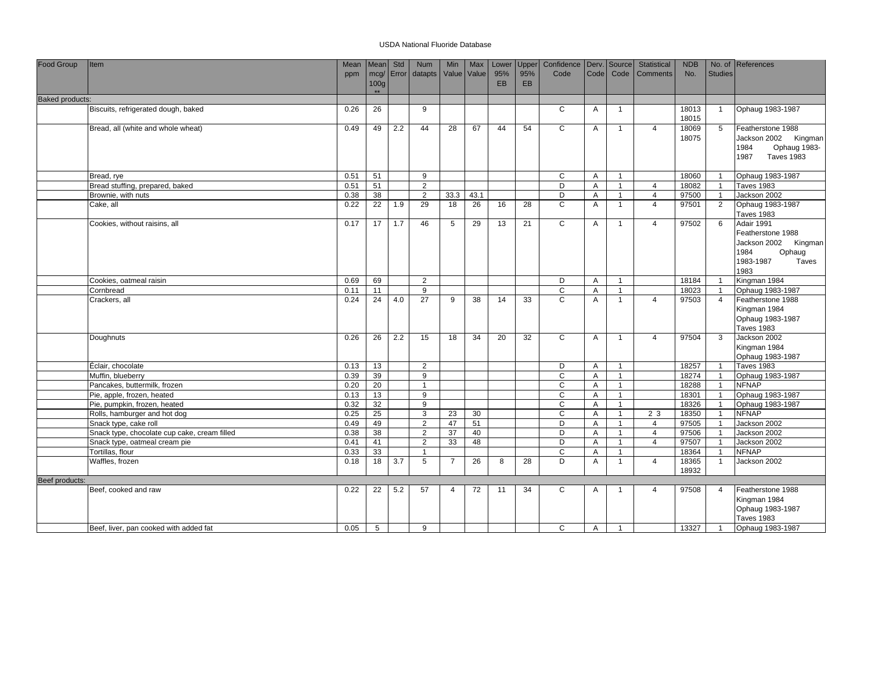| Food Group             | Item                                         | Mean         | Mean             | Std              | <b>Num</b>           | Min            | Max        | Lower     | Upper | Confidence   Derv.   Source |                     |                                | Statistical                      | <b>NDB</b>     |                                  | No. of References                     |
|------------------------|----------------------------------------------|--------------|------------------|------------------|----------------------|----------------|------------|-----------|-------|-----------------------------|---------------------|--------------------------------|----------------------------------|----------------|----------------------------------|---------------------------------------|
|                        |                                              | ppm          | mcg/             |                  | Error datapts        | Value Value    |            | 95%       | 95%   | Code                        | <b>Code</b>         | Code                           | Comments                         | No.            | <b>Studies</b>                   |                                       |
|                        |                                              |              | 100 <sub>g</sub> |                  |                      |                |            | <b>EB</b> | EB    |                             |                     |                                |                                  |                |                                  |                                       |
| <b>Baked products:</b> |                                              |              | $***$            |                  |                      |                |            |           |       |                             |                     |                                |                                  |                |                                  |                                       |
|                        |                                              |              |                  |                  |                      |                |            |           |       |                             |                     |                                |                                  |                |                                  |                                       |
|                        | Biscuits, refrigerated dough, baked          | 0.26         | 26               |                  | 9                    |                |            |           |       | C                           | A                   | $\mathbf{1}$                   |                                  | 18013<br>18015 | $\overline{1}$                   | Ophaug 1983-1987                      |
|                        | Bread, all (white and whole wheat)           | 0.49         | 49               | 2.2              | 44                   | 28             | 67         | 44        | 54    | $\mathsf{C}$                | A                   | $\overline{1}$                 | $\overline{4}$                   | 18069          | 5                                | Featherstone 1988                     |
|                        |                                              |              |                  |                  |                      |                |            |           |       |                             |                     |                                |                                  | 18075          |                                  | Jackson 2002 Kingman                  |
|                        |                                              |              |                  |                  |                      |                |            |           |       |                             |                     |                                |                                  |                |                                  | Ophaug 1983-<br>1984                  |
|                        |                                              |              |                  |                  |                      |                |            |           |       |                             |                     |                                |                                  |                |                                  | <b>Taves 1983</b><br>1987             |
|                        |                                              |              |                  |                  |                      |                |            |           |       |                             |                     |                                |                                  |                |                                  |                                       |
|                        | Bread, rye                                   | 0.51         | 51               |                  | 9                    |                |            |           |       | C                           | Α                   | $\overline{1}$                 |                                  | 18060<br>18082 | $\overline{1}$                   | Ophaug 1983-1987                      |
|                        | Bread stuffing, prepared, baked              | 0.51         | 51               |                  | $\overline{2}$       |                |            |           |       | D<br>D                      | Α                   | $\mathbf{1}$                   | $\overline{4}$<br>$\overline{4}$ | 97500          | $\overline{1}$                   | <b>Taves 1983</b><br>Jackson 2002     |
|                        | Brownie, with nuts                           | 0.38<br>0.22 | 38<br>22         | 1.9              | $\overline{2}$<br>29 | 33.3<br>18     | 43.1<br>26 | 16        |       | $\mathsf{C}$                | A<br>$\overline{A}$ | $\mathbf{1}$<br>$\overline{1}$ | $\overline{4}$                   | 97501          | $\overline{1}$<br>$\overline{2}$ | Ophaug 1983-1987                      |
|                        | Cake, all                                    |              |                  |                  |                      |                |            |           | 28    |                             |                     |                                |                                  |                |                                  | <b>Taves 1983</b>                     |
|                        | Cookies, without raisins, all                | 0.17         | 17               | 1.7              | 46                   | 5              | 29         | 13        | 21    | $\overline{c}$              | A                   | $\overline{1}$                 | $\overline{4}$                   | 97502          | 6                                | Adair 1991                            |
|                        |                                              |              |                  |                  |                      |                |            |           |       |                             |                     |                                |                                  |                |                                  | Featherstone 1988                     |
|                        |                                              |              |                  |                  |                      |                |            |           |       |                             |                     |                                |                                  |                |                                  | Jackson 2002 Kingman                  |
|                        |                                              |              |                  |                  |                      |                |            |           |       |                             |                     |                                |                                  |                |                                  | 1984<br>Ophaug                        |
|                        |                                              |              |                  |                  |                      |                |            |           |       |                             |                     |                                |                                  |                |                                  | 1983-1987<br>Taves                    |
|                        |                                              |              |                  |                  |                      |                |            |           |       |                             |                     |                                |                                  |                |                                  | 1983                                  |
|                        | Cookies, oatmeal raisin                      | 0.69         | 69               |                  | $\overline{2}$       |                |            |           |       | D                           | Α                   | $\overline{1}$                 |                                  | 18184          | $\overline{1}$                   | Kingman 1984                          |
|                        | Cornbread                                    | 0.11         | 11               |                  | 9                    |                |            |           |       | $\mathsf{C}$                | A                   | $\mathbf{1}$                   |                                  | 18023          | $\overline{1}$                   | Ophaug 1983-1987                      |
|                        | Crackers, all                                | 0.24         | 24               | 4.0              | 27                   | 9              | 38         | 14        | 33    | C                           | A                   | $\overline{1}$                 | $\overline{4}$                   | 97503          | $\overline{4}$                   | Featherstone 1988<br>Kingman 1984     |
|                        |                                              |              |                  |                  |                      |                |            |           |       |                             |                     |                                |                                  |                |                                  |                                       |
|                        |                                              |              |                  |                  |                      |                |            |           |       |                             |                     |                                |                                  |                |                                  | Ophaug 1983-1987<br><b>Taves 1983</b> |
|                        | Doughnuts                                    | 0.26         | 26               | 2.2              | 15                   | 18             | 34         | 20        | 32    | $\mathsf{C}$                | $\overline{A}$      | $\overline{1}$                 | $\overline{4}$                   | 97504          | $\mathbf{3}$                     | Jackson 2002                          |
|                        |                                              |              |                  |                  |                      |                |            |           |       |                             |                     |                                |                                  |                |                                  | Kingman 1984                          |
|                        |                                              |              |                  |                  |                      |                |            |           |       |                             |                     |                                |                                  |                |                                  | Ophaug 1983-1987                      |
|                        | Éclair, chocolate                            | 0.13         | 13               |                  | 2                    |                |            |           |       | D                           | A                   | $\mathbf{1}$                   |                                  | 18257          | $\overline{1}$                   | <b>Taves 1983</b>                     |
|                        | Muffin, blueberry                            | 0.39         | 39               |                  | 9                    |                |            |           |       | $\mathsf{C}$                | A                   | $\mathbf{1}$                   |                                  | 18274          | $\overline{1}$                   | Ophaug 1983-1987                      |
|                        | Pancakes, buttermilk, frozen                 | 0.20         | 20               |                  | $\mathbf{1}$         |                |            |           |       | C                           | A                   | $\mathbf{1}$                   |                                  | 18288          | $\overline{1}$                   | <b>NFNAP</b>                          |
|                        | Pie, apple, frozen, heated                   | 0.13         | 13               |                  | 9                    |                |            |           |       | $\mathsf{C}$                | A                   | $\mathbf{1}$                   |                                  | 18301          | $\overline{1}$                   | Ophaug 1983-1987                      |
|                        | Pie, pumpkin, frozen, heated                 | 0.32         | 32               |                  | 9                    |                |            |           |       | C                           | A                   | $\mathbf{1}$                   |                                  | 18326          | $\overline{1}$                   | Ophaug 1983-1987                      |
|                        | Rolls, hamburger and hot dog                 | 0.25         | 25               |                  | 3                    | 23             | 30         |           |       | C                           | Α                   | $\mathbf{1}$                   | 2 3                              | 18350          | $\overline{1}$                   | <b>NFNAP</b>                          |
|                        | Snack type, cake roll                        | 0.49         | 49               |                  | $\overline{2}$       | 47             | 51         |           |       | D                           | Α                   | $\mathbf{1}$                   | $\overline{4}$                   | 97505          | $\overline{1}$                   | Jackson 2002                          |
|                        | Snack type, chocolate cup cake, cream filled | 0.38         | 38               |                  | $\overline{2}$       | 37             | 40         |           |       | D                           | Α                   | $\overline{1}$                 | $\overline{4}$                   | 97506          | $\overline{1}$                   | Jackson 2002                          |
|                        | Snack type, oatmeal cream pie                | 0.41         | 41               |                  | $\sqrt{2}$           | 33             | 48         |           |       | D                           | Α                   | $\mathbf{1}$                   | $\overline{4}$                   | 97507          | $\overline{1}$                   | Jackson 2002                          |
|                        | Tortillas, flour                             | 0.33         | 33               |                  | $\overline{1}$       |                |            |           |       | $\mathsf{C}$                | Α                   | $\overline{1}$                 |                                  | 18364          | $\overline{1}$                   | <b>NFNAP</b>                          |
|                        | Waffles, frozen                              | 0.18         | 18               | $\overline{3.7}$ | 5                    | $\overline{7}$ | 26         | 8         | 28    | D                           | Α                   | $\mathbf{1}$                   | $\overline{4}$                   | 18365          | $\overline{1}$                   | Jackson 2002                          |
|                        |                                              |              |                  |                  |                      |                |            |           |       |                             |                     |                                |                                  | 18932          |                                  |                                       |
| Beef products:         |                                              |              |                  |                  |                      |                |            |           |       |                             |                     |                                |                                  |                |                                  |                                       |
|                        | Beef, cooked and raw                         | 0.22         | 22               | 5.2              | 57                   | $\overline{4}$ | 72         | 11        | 34    | C                           | A                   | $\mathbf 1$                    | $\overline{4}$                   | 97508          | $\overline{4}$                   | Featherstone 1988                     |
|                        |                                              |              |                  |                  |                      |                |            |           |       |                             |                     |                                |                                  |                |                                  | Kingman 1984                          |
|                        |                                              |              |                  |                  |                      |                |            |           |       |                             |                     |                                |                                  |                |                                  | Ophaug 1983-1987                      |
|                        |                                              |              |                  |                  |                      |                |            |           |       |                             |                     |                                |                                  |                |                                  | <b>Taves 1983</b>                     |
|                        | Beef, liver, pan cooked with added fat       | 0.05         | 5                |                  | 9                    |                |            |           |       | C                           | A                   | $\overline{1}$                 |                                  | 13327          | $\overline{1}$                   | Ophaug 1983-1987                      |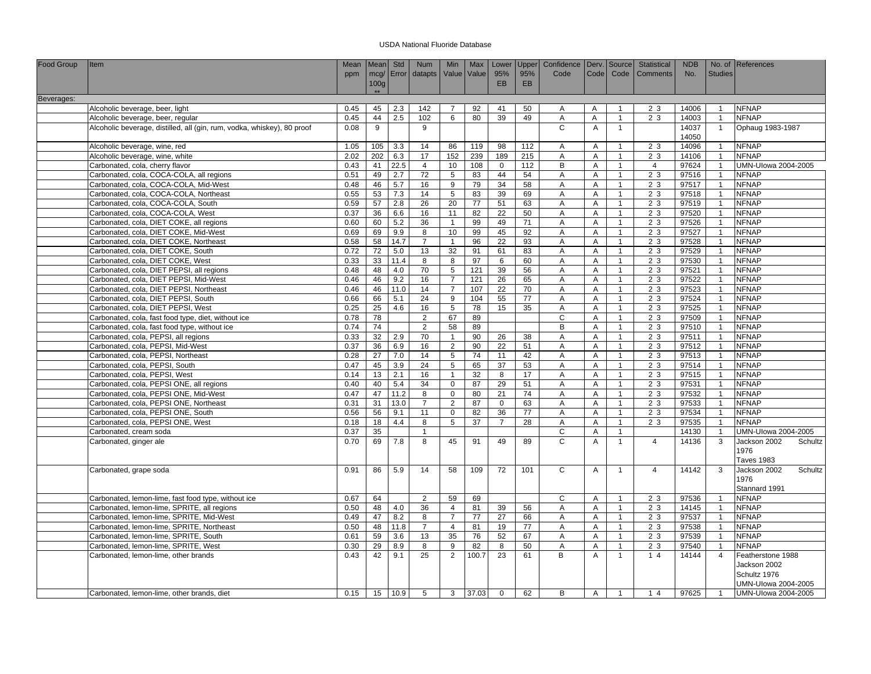| Food Group | <b>I</b> tem                                                            | <b>Mean</b> | Mean             | Std        | <b>Num</b>      | Min            | Max          | Lower           | Upper           | Confidence   Derv.   Source |                |                | Statistical    | <b>NDB</b> |                | No. of References       |
|------------|-------------------------------------------------------------------------|-------------|------------------|------------|-----------------|----------------|--------------|-----------------|-----------------|-----------------------------|----------------|----------------|----------------|------------|----------------|-------------------------|
|            |                                                                         | ppm         |                  | mcg/ Error | datapts         | Value          | <b>Value</b> | 95%             | 95%             | Code                        | Code           | Code           | Comments       | No.        | <b>Studies</b> |                         |
|            |                                                                         |             | 100 <sub>g</sub> |            |                 |                |              | <b>EB</b>       | <b>EB</b>       |                             |                |                |                |            |                |                         |
|            |                                                                         |             | $+ +$            |            |                 |                |              |                 |                 |                             |                |                |                |            |                |                         |
| Beverages: |                                                                         |             |                  |            |                 |                |              |                 |                 |                             |                |                |                |            |                |                         |
|            | Alcoholic beverage, beer, light                                         | 0.45        | 45               | 2.3        | 142             | $\overline{7}$ | 92           | 41              | 50              | $\overline{A}$              | A              | $\overline{1}$ | 23             | 14006      | $\overline{1}$ | <b>NFNAP</b>            |
|            | Alcoholic beverage, beer, regular                                       | 0.45        | 44               | 2.5        | 102             | 6              | 80           | 39              | 49              | A                           | A              | $\mathbf{1}$   | 2 3            | 14003      | $\overline{1}$ | <b>NFNAP</b>            |
|            | Alcoholic beverage, distilled, all (gin, rum, vodka, whiskey), 80 proof | 0.08        | 9                |            | 9               |                |              |                 |                 | $\mathsf{C}$                | $\overline{A}$ | $\mathbf{1}$   |                | 14037      | $\overline{1}$ | Ophaug 1983-1987        |
|            |                                                                         |             |                  |            |                 |                |              |                 |                 |                             |                |                |                | 14050      |                |                         |
|            | Alcoholic beverage, wine, red                                           | 1.05        | 105              | 3.3        | 14              | 86             | 119          | 98              | 112             | $\overline{A}$              | A              | $\overline{1}$ | 2 3            | 14096      | $\overline{1}$ | <b>NFNAP</b>            |
|            | Alcoholic beverage, wine, white                                         | 2.02        | 202              | 6.3        | 17              | 152            | 239          | 189             | 215             | Α                           | A              | $\mathbf{1}$   | 2 3            | 14106      |                | <b>NFNAP</b>            |
|            | Carbonated, cola, cherry flavor                                         | 0.43        | 41               | 22.5       | $\overline{4}$  | 10             | 108          | $\mathbf 0$     | 112             | В                           | $\overline{A}$ | $\mathbf{1}$   | $\overline{4}$ | 97624      | $\overline{1}$ | UMN-Ulowa 2004-2005     |
|            | Carbonated, cola, COCA-COLA, all regions                                | 0.51        | 49               | 2.7        | 72              | 5              | 83           | 44              | 54              | A                           | Α              | $\overline{1}$ | 2 3            | 97516      | $\overline{1}$ | <b>NFNAP</b>            |
|            | Carbonated, cola, COCA-COLA, Mid-West                                   | 0.48        | 46               | 5.7        | 16              | 9              | 79           | 34              | 58              | $\overline{A}$              | $\overline{A}$ | $\mathbf{1}$   | 2 <sub>3</sub> | 97517      | $\overline{1}$ | <b>NFNAP</b>            |
|            | Carbonated, cola, COCA-COLA, Northeast                                  | 0.55        | 53               | 7.3        | 14              | 5              | 83           | 39              | 69              | A                           | Α              | $\overline{1}$ | 2 3            | 97518      | $\overline{1}$ | <b>NFNAP</b>            |
|            | Carbonated, cola, COCA-COLA, South                                      | 0.59        | 57               | 2.8        | 26              | 20             | 77           | 51              | 63              | Α                           | Α              | $\mathbf{1}$   | 2 3            | 97519      | $\overline{1}$ | <b>NFNAP</b>            |
|            | Carbonated, cola, COCA-COLA, West                                       | 0.37        | 36               | 6.6        | 16              | 11             | 82           | 22              | 50              | $\overline{A}$              | $\overline{A}$ | $\mathbf{1}$   | 2 3            | 97520      | $\overline{1}$ | <b>NFNAP</b>            |
|            | Carbonated, cola, DIET COKE, all regions                                | 0.60        | 60               | 5.2        | 36              | $\mathbf{1}$   | 99           | 49              | $\overline{71}$ | A                           | A              | $\mathbf{1}$   | 23             | 97526      | $\overline{1}$ | <b>NFNAP</b>            |
|            | Carbonated, cola, DIET COKE, Mid-West                                   | 0.69        | 69               | 9.9        | 8               | 10             | 99           | 45              | 92              | Α                           | A              | $\mathbf{1}$   | 2 3            | 97527      |                | <b>NFNAP</b>            |
|            | Carbonated, cola, DIET COKE, Northeast                                  | 0.58        | 58               | 14.7       | $\overline{7}$  | $\overline{1}$ | 96           | 22              | 93              | A                           | A              | $\mathbf{1}$   | 2 3            | 97528      | $\overline{1}$ | <b>NFNAP</b>            |
|            | Carbonated, cola, DIET COKE, South                                      | 0.72        | 72               | 5.0        | 13              | 32             | 91           | 61              | 83              | Α                           | A              | $\mathbf{1}$   | 2 3            | 97529      | $\overline{1}$ | <b>NFNAP</b>            |
|            | Carbonated, cola, DIET COKE, West                                       | 0.33        | 33               | 11.4       | 8               | 8              | 97           | 6               | 60              | A                           | A              | $\mathbf{1}$   | 2 3            | 97530      | $\overline{1}$ | <b>NFNAP</b>            |
|            | Carbonated, cola, DIET PEPSI, all regions                               | 0.48        | 48               | 4.0        | $\overline{70}$ | $\overline{5}$ | 121          | 39              | 56              | $\overline{A}$              | A              | $\overline{1}$ | 2 <sub>3</sub> | 97521      | $\overline{1}$ | <b>NFNAP</b>            |
|            | Carbonated, cola, DIET PEPSI, Mid-West                                  | 0.46        | 46               | 9.2        | 16              | $\overline{7}$ | 121          | 26              | 65              | A                           | Α              | $\mathbf{1}$   | 2 3            | 97522      |                | <b>NFNAP</b>            |
|            | Carbonated, cola, DIET PEPSI, Northeast                                 | 0.46        | 46               | 11.0       | 14              | $\overline{7}$ | 107          | 22              | 70              | A                           | A              | $\mathbf{1}$   | 2 3            | 97523      | $\overline{1}$ | <b>NFNAP</b>            |
|            | Carbonated, cola, DIET PEPSI, South                                     | 0.66        | 66               | 5.1        | 24              | $9\,$          | 104          | 55              | 77              | A                           | Α              | $\mathbf{1}$   | 2 3            | 97524      | $\overline{1}$ | <b>NFNAP</b>            |
|            | Carbonated, cola, DIET PEPSI, West                                      | 0.25        | 25               | 4.6        | 16              | $\overline{5}$ | 78           | 15              | 35              | $\overline{A}$              | $\overline{A}$ | $\mathbf{1}$   | 23             | 97525      |                | <b>NFNAP</b>            |
|            | Carbonated, cola, fast food type, diet, without ice                     | 0.78        | 78               |            | 2               | 67             | 89           |                 |                 | $\overline{c}$              | A              | $\mathbf{1}$   | 2 3            | 97509      | $\overline{1}$ | <b>NFNAP</b>            |
|            | Carbonated, cola, fast food type, without ice                           | 0.74        | 74               |            | $\overline{2}$  | 58             | 89           |                 |                 | В                           | Α              | $\mathbf{1}$   | 2 3            | 97510      |                | <b>NFNAP</b>            |
|            | Carbonated, cola, PEPSI, all regions                                    | 0.33        | 32               | 2.9        | 70              | $\overline{1}$ | 90           | 26              | 38              | $\overline{A}$              | $\overline{A}$ | $\mathbf{1}$   | 2 3            | 97511      | $\overline{1}$ | <b>NFNAP</b>            |
|            | Carbonated, cola, PEPSI, Mid-West                                       | 0.37        | 36               | 6.9        | 16              | $\overline{2}$ | 90           | 22              | 51              | A                           | A              | $\mathbf{1}$   | 2 3            | 97512      | $\overline{1}$ | <b>NFNAP</b>            |
|            | Carbonated, cola, PEPSI, Northeast                                      | 0.28        | 27               | 7.0        | 14              | 5              | 74           | 11              | 42              | $\overline{A}$              | A              | $\mathbf{1}$   | 23             | 97513      | $\overline{1}$ | <b>NFNAP</b>            |
|            | Carbonated, cola, PEPSI, South                                          | 0.47        | 45               | 3.9        | 24              | 5              | 65           | 37              | 53              | $\overline{\mathsf{A}}$     | Α              | $\overline{1}$ | 2 3            | 97514      | $\overline{1}$ | <b>NFNAP</b>            |
|            | Carbonated, cola, PEPSI, West                                           | 0.14        | 13               | 2.1        | 16              | $\mathbf{1}$   | 32           | 8               | 17              | Α                           | A              | $\mathbf{1}$   | 2 3            | 97515      | $\overline{1}$ | <b>NFNAP</b>            |
|            | Carbonated, cola, PEPSI ONE, all regions                                | 0.40        | 40               | 5.4        | 34              | $\mathbf 0$    | 87           | 29              | 51              | A                           | $\overline{A}$ | $\mathbf{1}$   | 23             | 97531      | $\overline{1}$ | <b>NFNAP</b>            |
|            | Carbonated, cola, PEPSI ONE, Mid-West                                   | 0.47        | 47               | 11.2       | 8               | $\mathsf 0$    | 80           | 21              | 74              | A                           | Α              | $\mathbf{1}$   | 2 <sub>3</sub> | 97532      | $\overline{1}$ | <b>NFNAP</b>            |
|            | Carbonated, cola, PEPSI ONE, Northeast                                  | 0.31        | 31               | 13.0       | $\overline{7}$  | 2              | 87           | $\mathbf 0$     | 63              | Α                           | Α              | $\mathbf{1}$   | 2 3            | 97533      | $\overline{1}$ | <b>NFNAP</b>            |
|            | Carbonated, cola, PEPSI ONE, South                                      | 0.56        | 56               | 9.1        | 11              | $\mathbf 0$    | 82           | 36              | 77              | A                           | $\overline{A}$ | $\mathbf{1}$   | 2 3            | 97534      | $\overline{1}$ | <b>NFNAP</b>            |
|            | Carbonated, cola, PEPSI ONE, West                                       | 0.18        | 18               | 4.4        | 8               | 5              | 37           | $\overline{7}$  | 28              | $\overline{A}$              | Α              | $\mathbf{1}$   | 23             | 97535      | $\overline{1}$ | <b>NFNAP</b>            |
|            | Carbonated, cream soda                                                  | 0.37        | 35               |            |                 |                |              |                 |                 | $\mathsf C$                 | A              | $\mathbf{1}$   |                | 14130      | $\overline{1}$ | UMN-Ulowa 2004-2005     |
|            | Carbonated, ginger ale                                                  | 0.70        | 69               | 7.8        | 8               | 45             | 91           | 49              | 89              | C                           | A              | $\overline{1}$ | $\overline{4}$ | 14136      | 3              | Jackson 2002<br>Schultz |
|            |                                                                         |             |                  |            |                 |                |              |                 |                 |                             |                |                |                |            |                | 1976                    |
|            |                                                                         |             |                  |            |                 |                |              |                 |                 |                             |                |                |                |            |                | <b>Taves 1983</b>       |
|            | Carbonated, grape soda                                                  | 0.91        | 86               | 5.9        | 14              | 58             | 109          | $\overline{72}$ | 101             | $\overline{c}$              | Α              | $\mathbf{1}$   | $\overline{4}$ | 14142      | 3              | Jackson 2002<br>Schultz |
|            |                                                                         |             |                  |            |                 |                |              |                 |                 |                             |                |                |                |            |                | 1976                    |
|            |                                                                         |             |                  |            |                 |                |              |                 |                 |                             |                |                |                |            |                | Stannard 1991           |
|            | Carbonated, lemon-lime, fast food type, without ice                     | 0.67        | 64               |            | $\overline{2}$  | 59             | 69           |                 |                 | C                           | Α              | $\mathbf{1}$   | 2 3            | 97536      |                | <b>NFNAP</b>            |
|            | Carbonated, lemon-lime, SPRITE, all regions                             | 0.50        | 48               | 4.0        | 36              | $\overline{4}$ | 81           | 39              | 56              | A                           | A              | $\mathbf{1}$   | 23             | 14145      | $\overline{1}$ | <b>NFNAP</b>            |
|            | Carbonated, lemon-lime, SPRITE, Mid-West                                | 0.49        | 47               | 8.2        | 8               | $\overline{7}$ | 77           | 27              | 66              | A                           | A              | $\overline{1}$ | 2 3            | 97537      | $\overline{1}$ | <b>NFNAP</b>            |
|            | Carbonated, lemon-lime, SPRITE, Northeast                               | 0.50        | 48               | 11.8       | $\overline{7}$  | $\overline{4}$ | 81           | 19              | 77              | A                           | A              | $\mathbf{1}$   | 2 3            | 97538      |                | <b>NFNAP</b>            |
|            | Carbonated, lemon-lime, SPRITE, South                                   | 0.61        | 59               | 3.6        | 13              | 35             | 76           | 52              | 67              | $\overline{A}$              | A              | $\mathbf{1}$   | 23             | 97539      | $\overline{1}$ | <b>NFNAP</b>            |
|            | Carbonated, lemon-lime, SPRITE, West                                    | 0.30        | 29               | 8.9        | 8               | 9              | 82           | 8               | 50              | A                           | A              | $\mathbf{1}$   | 2 3            | 97540      | $\overline{1}$ | <b>NFNAP</b>            |
|            | Carbonated, lemon-lime, other brands                                    | 0.43        | 42               | 9.1        | 25              | $\overline{2}$ | 100.7        | $\overline{23}$ | 61              | $\overline{B}$              | A              | $\overline{1}$ | 14             | 14144      | $\overline{4}$ | Featherstone 1988       |
|            |                                                                         |             |                  |            |                 |                |              |                 |                 |                             |                |                |                |            |                | Jackson 2002            |
|            |                                                                         |             |                  |            |                 |                |              |                 |                 |                             |                |                |                |            |                | Schultz 1976            |
|            |                                                                         |             |                  |            |                 |                |              |                 |                 |                             |                |                |                |            |                | UMN-Ulowa 2004-2005     |
|            |                                                                         | 0.15        |                  | 15 10.9    | 5               | 3              | 37.03        | $\mathbf 0$     | 62              | B                           | Α              | $\overline{1}$ | 14             | 97625      | $\overline{1}$ | UMN-Ulowa 2004-2005     |
|            | Carbonated, lemon-lime, other brands, diet                              |             |                  |            |                 |                |              |                 |                 |                             |                |                |                |            |                |                         |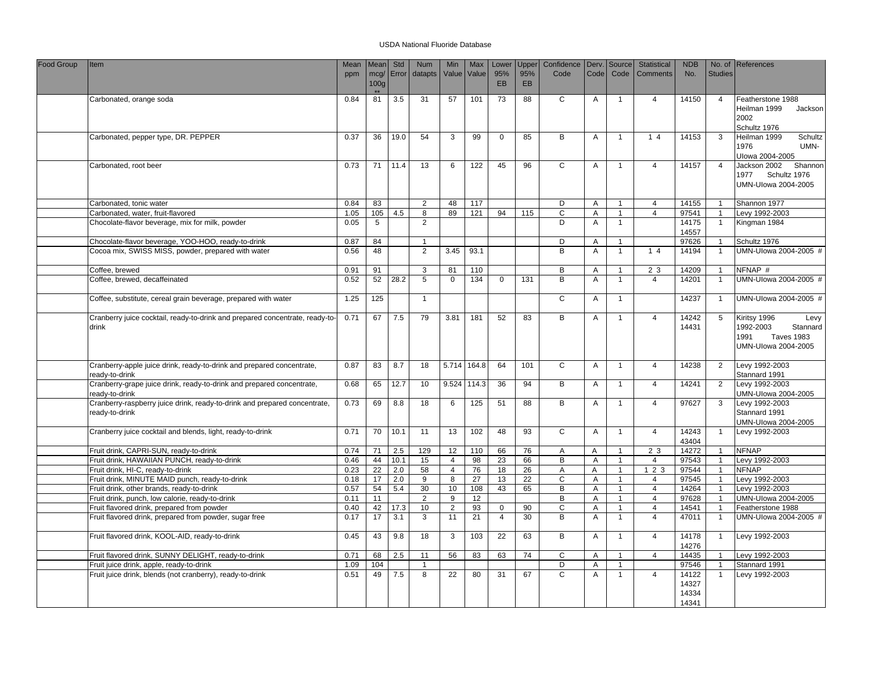| Food Group | Item                                                                                        | Mean<br>ppm | Mean<br>mcq/     | Std<br>Error | Num<br>datapts  | Min<br>Value   | Max<br>Value | Lower<br>95%    | Upper<br>95% | Confidence<br>Code | Derv.<br>Code  | Source<br>Code | <b>Statistical</b><br><b>Comments</b> | <b>NDB</b><br>No.                | <b>Studies</b>          | No. of References                                                                                 |
|------------|---------------------------------------------------------------------------------------------|-------------|------------------|--------------|-----------------|----------------|--------------|-----------------|--------------|--------------------|----------------|----------------|---------------------------------------|----------------------------------|-------------------------|---------------------------------------------------------------------------------------------------|
|            |                                                                                             |             | 100 <sub>g</sub> |              |                 |                |              | <b>EB</b>       | <b>EB</b>    |                    |                |                |                                       |                                  |                         |                                                                                                   |
|            | Carbonated, orange soda                                                                     | 0.84        | 81               | 3.5          | 31              | 57             | 101          | 73              | 88           | C                  | A              | $\overline{1}$ | $\overline{4}$                        | 14150                            | $\overline{4}$          | Featherstone 1988<br>Heilman 1999<br>Jackson<br>2002<br>Schultz 1976                              |
|            | Carbonated, pepper type, DR. PEPPER                                                         | 0.37        | 36               | 19.0         | 54              | 3              | 99           | $\mathbf 0$     | 85           | B                  | A              | $\overline{1}$ | 14                                    | 14153                            | 3                       | Heilman 1999<br>Schultz<br>1976<br>UMN-<br>Ulowa 2004-2005                                        |
|            | Carbonated, root beer                                                                       | 0.73        | 71               | 11.4         | 13              | 6              | 122          | 45              | 96           | $\overline{c}$     | Α              | $\mathbf{1}$   | $\overline{4}$                        | 14157                            | $\overline{4}$          | Jackson 2002<br>Shannon<br>1977<br>Schultz 1976<br>UMN-Ulowa 2004-2005                            |
|            | Carbonated, tonic water                                                                     | 0.84        | 83               |              | 2               | 48             | 117          |                 |              | D                  | A              | $\overline{1}$ | $\overline{4}$                        | 14155                            | $\overline{1}$          | Shannon 1977                                                                                      |
|            | Carbonated, water, fruit-flavored                                                           | 1.05        | 105              | 4.5          | 8               | 89             | 121          | 94              | 115          | $\mathsf C$        | Α              | $\mathbf{1}$   | $\overline{4}$                        | 97541                            |                         | Levy 1992-2003                                                                                    |
|            | Chocolate-flavor beverage, mix for milk, powder                                             | 0.05        | 5                |              | 2               |                |              |                 |              | D                  | Α              | $\mathbf{1}$   |                                       | 14175<br>14557                   | $\overline{1}$          | Kingman 1984                                                                                      |
|            | Chocolate-flavor beverage, YOO-HOO, ready-to-drink                                          | 0.87        | 84               |              | $\overline{1}$  |                |              |                 |              | D                  | $\overline{A}$ | $\mathbf{1}$   |                                       | 97626                            | $\overline{1}$          | Schultz 1976                                                                                      |
|            | Cocoa mix, SWISS MISS, powder, prepared with water                                          | 0.56        | 48               |              | 2               | 3.45           | 93.1         |                 |              | B                  | A              | $\overline{1}$ | 14                                    | 14194                            | $\overline{1}$          | UMN-Ulowa 2004-2005 #                                                                             |
|            | Coffee, brewed                                                                              | 0.91        | 91               |              | 3               | 81             | 110          |                 |              | B                  | A              | $\mathbf{1}$   | 2 3                                   | 14209                            | $\overline{1}$          | NFNAP #                                                                                           |
|            | Coffee, brewed, decaffeinated                                                               | 0.52        | 52               | 28.2         | 5               | $\mathbf 0$    | 134          | $\mathbf 0$     | 131          | B                  | A              | $\mathbf{1}$   | $\overline{4}$                        | 14201                            | $\overline{1}$          | UMN-Ulowa 2004-2005 #                                                                             |
|            | Coffee, substitute, cereal grain beverage, prepared with water                              | 1.25        | 125              |              | $\overline{1}$  |                |              |                 |              | $\overline{c}$     | A              | $\mathbf{1}$   |                                       | 14237                            | $\overline{1}$          | UMN-Ulowa 2004-2005 #                                                                             |
|            | Cranberry juice cocktail, ready-to-drink and prepared concentrate, ready-to-<br>drink       | 0.71        | 67               | 7.5          | 79              | 3.81           | 181          | 52              | 83           | B                  | Α              | $\overline{1}$ | $\overline{4}$                        | 14242<br>14431                   | 5                       | Kiritsy 1996<br>Levy<br>1992-2003<br>Stannard<br>1991<br><b>Taves 1983</b><br>UMN-Ulowa 2004-2005 |
|            | Cranberry-apple juice drink, ready-to-drink and prepared concentrate,<br>eady-to-drink      | 0.87        | 83               | 8.7          | 18              | 5.714          | 164.8        | 64              | 101          | $\mathsf{C}$       | Α              | $\mathbf{1}$   | $\overline{4}$                        | 14238                            | 2                       | Levy 1992-2003<br>Stannard 1991                                                                   |
|            | Cranberry-grape juice drink, ready-to-drink and prepared concentrate,<br>ready-to-drink     | 0.68        | 65               | 12.7         | 10              | 9.524          | 114.3        | 36              | 94           | B                  | Α              | $\overline{1}$ | $\overline{4}$                        | 14241                            | 2                       | Levy 1992-2003<br>UMN-Ulowa 2004-2005                                                             |
|            | Cranberry-raspberry juice drink, ready-to-drink and prepared concentrate,<br>ready-to-drink | 0.73        | 69               | 8.8          | $\overline{18}$ | 6              | 125          | 51              | 88           | B                  | A              | $\overline{1}$ | $\overline{4}$                        | 97627                            | 3                       | Levy 1992-2003<br>Stannard 1991<br>UMN-Ulowa 2004-2005                                            |
|            | Cranberry juice cocktail and blends, light, ready-to-drink                                  | 0.71        | 70               | 10.1         | 11              | 13             | 102          | 48              | 93           | C                  | A              | $\mathbf{1}$   | $\overline{4}$                        | 14243<br>43404                   | $\overline{1}$          | Levy 1992-2003                                                                                    |
|            | Fruit drink, CAPRI-SUN, ready-to-drink                                                      | 0.74        | 71               | 2.5          | 129             | 12             | 110          | 66              | 76           | A                  | A              | $\mathbf{1}$   | 2 3                                   | 14272                            | $\overline{1}$          | <b>NFNAP</b>                                                                                      |
|            | Fruit drink, HAWAIIAN PUNCH, ready-to-drink                                                 | 0.46        | 44               | 10.1         | 15              | $\overline{4}$ | 98           | 23              | 66           | $\overline{B}$     | A              | $\mathbf{1}$   | $\overline{4}$                        | 97543                            | $\overline{1}$          | Levy 1992-2003                                                                                    |
|            | Fruit drink, HI-C, ready-to-drink                                                           | 0.23        | $\overline{22}$  | 2.0          | 58              | $\overline{4}$ | 76           | 18              | 26           | Α                  | A              | $\mathbf{1}$   | 123                                   | 97544                            |                         | <b>NFNAP</b>                                                                                      |
|            | Fruit drink, MINUTE MAID punch, ready-to-drink                                              | 0.18        | 17               | 2.0          | 9               | 8              | 27           | 13              | 22           | $\overline{c}$     | A              | $\mathbf{1}$   | $\overline{4}$                        | 97545                            | $\overline{1}$          | Levy 1992-2003                                                                                    |
|            | Fruit drink, other brands, ready-to-drink                                                   | 0.57        | 54               | 5.4          | 30              | 10             | 108          | 43              | 65           | В                  | A              | $\mathbf{1}$   | $\overline{4}$                        | 14264                            |                         | Levy 1992-2003                                                                                    |
|            | Fruit drink, punch, low calorie, ready-to-drink                                             | 0.11        | 11               |              | 2               | 9              | 12           |                 |              | B                  | Α              | $\mathbf{1}$   | $\overline{4}$                        | 97628                            | $\overline{1}$          | UMN-Ulowa 2004-2005                                                                               |
|            | Fruit flavored drink, prepared from powder                                                  | 0.40        | 42               | 17.3         | 10              | $\overline{2}$ | 93           | $\mathbf 0$     | 90           | $\mathsf C$        | Α              | $\mathbf{1}$   | $\overline{4}$                        | 14541                            | $\overline{\mathbf{1}}$ | Featherstone 1988                                                                                 |
|            | Fruit flavored drink, prepared from powder, sugar free                                      | 0.17        | 17               | 3.1          | 3               | 11             | 21           | $\overline{4}$  | 30           | B                  | A              | $\mathbf{1}$   | $\overline{4}$                        | 47011                            | $\overline{1}$          | UMN-Ulowa 2004-2005 #                                                                             |
|            | Fruit flavored drink, KOOL-AID, ready-to-drink                                              | 0.45        | 43               | 9.8          | 18              | 3              | 103          | $\overline{22}$ | 63           | B                  | A              | $\overline{1}$ | $\overline{4}$                        | 14178<br>14276                   | $\overline{1}$          | Levy 1992-2003                                                                                    |
|            | Fruit flavored drink, SUNNY DELIGHT, ready-to-drink                                         | 0.71        | 68               | 2.5          | 11              | 56             | 83           | 63              | 74           | $\mathsf C$        | Α              | $\mathbf{1}$   | $\overline{4}$                        | 14435                            | $\overline{1}$          | Levy 1992-2003                                                                                    |
|            | Fruit juice drink, apple, ready-to-drink                                                    | 1.09        | 104              |              | $\overline{1}$  |                |              |                 |              | D                  | A              | $\overline{1}$ |                                       | 97546                            |                         | Stannard 1991                                                                                     |
|            | Fruit juice drink, blends (not cranberry), ready-to-drink                                   | 0.51        | 49               | 7.5          | 8               | 22             | 80           | 31              | 67           | $\mathsf C$        | Α              | $\mathbf{1}$   | $\overline{4}$                        | 14122<br>14327<br>14334<br>14341 |                         | Levy 1992-2003                                                                                    |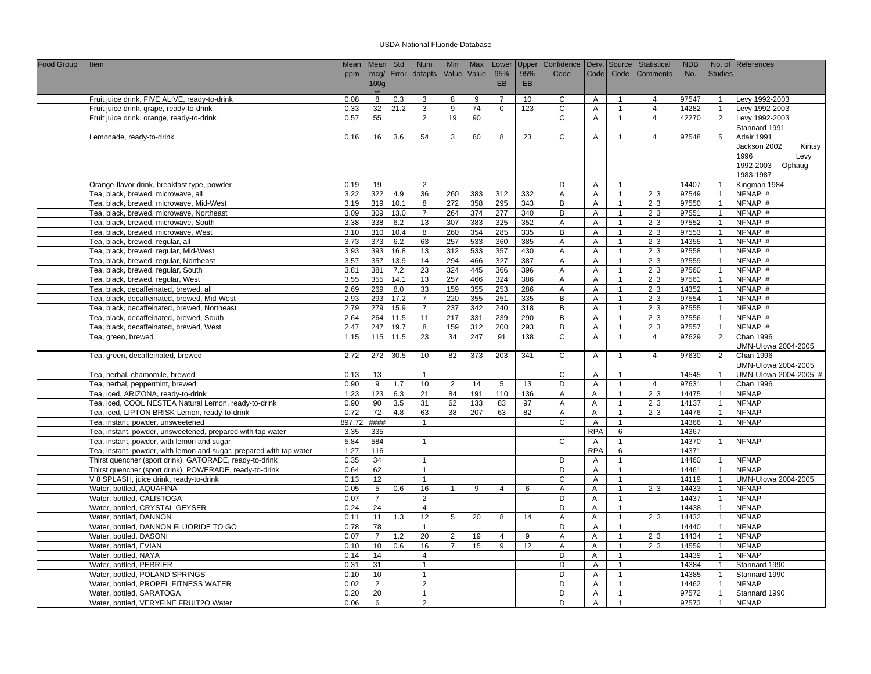| Food Group | <b>Item</b>                                                                                              | Mean         | Mean             | Std         | <b>Num</b>           | Min            | Max             | Lower          | Upper           | Confidence     |                 | Derv. Source                 | Statistical    | <b>NDB</b>     |                                  | No. of References           |
|------------|----------------------------------------------------------------------------------------------------------|--------------|------------------|-------------|----------------------|----------------|-----------------|----------------|-----------------|----------------|-----------------|------------------------------|----------------|----------------|----------------------------------|-----------------------------|
|            |                                                                                                          | ppm          | mcg/             | Error       | datapts              | Value          | Value           | 95%            | 95%             | Code           | Code            | Code                         | Comments       | No.            | <b>Studies</b>                   |                             |
|            |                                                                                                          |              | 100 <sub>g</sub> |             |                      |                |                 | <b>EB</b>      | EB              |                |                 |                              |                |                |                                  |                             |
|            | Fruit juice drink, FIVE ALIVE, ready-to-drink                                                            | 0.08         | $**$<br>8        | 0.3         | 3                    | 8              | 9               | $\overline{7}$ | 10 <sup>1</sup> | C              | A               | $\mathbf{1}$                 | $\overline{4}$ | 97547          | $\mathbf{1}$                     | Levy 1992-2003              |
|            | Fruit juice drink, grape, ready-to-drink                                                                 | 0.33         | 32               | 21.2        | 3                    | 9              | 74              | $\mathbf 0$    | 123             | $\mathsf C$    | A               | $\overline{1}$               | $\overline{4}$ | 14282          | $\mathbf{1}$                     | Levy 1992-2003              |
|            | Fruit juice drink, orange, ready-to-drink                                                                | 0.57         | 55               |             | 2                    | 19             | 90              |                |                 | $\mathsf{C}$   | A               | $\overline{1}$               | $\overline{4}$ | 42270          | 2                                | Levy 1992-2003              |
|            |                                                                                                          |              |                  |             |                      |                |                 |                |                 |                |                 |                              |                |                |                                  | Stannard 1991               |
|            | Lemonade, ready-to-drink                                                                                 | 0.16         | 16               | 3.6         | 54                   | 3              | 80              | 8              | 23              | $\mathsf{C}$   | Α               | $\overline{1}$               | $\overline{4}$ | 97548          | 5                                | Adair 1991                  |
|            |                                                                                                          |              |                  |             |                      |                |                 |                |                 |                |                 |                              |                |                |                                  | Jackson 2002<br>Kiritsy     |
|            |                                                                                                          |              |                  |             |                      |                |                 |                |                 |                |                 |                              |                |                |                                  | 1996<br>Levy                |
|            |                                                                                                          |              |                  |             |                      |                |                 |                |                 |                |                 |                              |                |                |                                  | Ophaug<br>1992-2003         |
|            |                                                                                                          |              |                  |             |                      |                |                 |                |                 |                |                 |                              |                |                |                                  | 1983-1987                   |
|            | Orange-flavor drink, breakfast type, powder                                                              | 0.19         | 19               |             | 2                    |                |                 |                |                 | D              | Α               | $\overline{1}$               |                | 14407          | $\overline{1}$                   | Kingman 1984                |
|            | Tea, black, brewed, microwave, all                                                                       | 3.22         | 322              | 4.9         | 36                   | 260            | 383             | 312            | 332             | Α              | A               | $\overline{1}$               | 2 3            | 97549          | $\overline{1}$                   | $\overline{\text{NFNAP}}$ # |
|            | Tea, black, brewed, microwave, Mid-West                                                                  | 3.19         | 319              | 10.1        | 8                    | 272            | 358             | 295            | 343             | B              | Α               | $\overline{1}$               | 2 3            | 97550          | $\overline{1}$                   | NFNAP #<br>NFNAP #          |
|            | Tea, black, brewed, microwave, Northeast                                                                 | 3.09         | 309              | 13.0        | $\overline{7}$       | 264<br>307     | 374             | 277            | 340             | B<br>A         | Α<br>A          | $\mathbf{1}$<br>$\mathbf{1}$ | 2 3<br>2 3     | 97551          | $\overline{1}$<br>$\overline{1}$ | NFNAP #                     |
|            | Tea, black, brewed, microwave, South<br>Tea, black, brewed, microwave, West                              | 3.38<br>3.10 | 338<br>310       | 6.2<br>10.4 | 13<br>$\overline{8}$ | 260            | 383<br>354      | 325<br>285     | 352<br>335      | $\overline{B}$ | Α               | $\mathbf{1}$                 | 23             | 97552<br>97553 | $\mathbf{1}$                     | NFNAP #                     |
|            | Tea, black, brewed, regular, all                                                                         | 3.73         | 373              | 6.2         | 63                   | 257            | 533             | 360            | 385             | Α              | A               | $\overline{1}$               | 2 <sub>3</sub> | 14355          | $\overline{1}$                   | NFNAP #                     |
|            | Tea, black, brewed, regular, Mid-West                                                                    | 3.93         | 393              | 16.8        | 13                   | 312            | 533             | 357            | 430             | A              | A               | $\mathbf{1}$                 | 2 3            | 97558          | $\overline{1}$                   | NFNAP #                     |
|            | Tea, black, brewed, regular, Northeast                                                                   | 3.57         | 357              | 13.9        | 14                   | 294            | 466             | 327            | 387             | Α              | A               | $\overline{1}$               | 2 3            | 97559          | $\overline{1}$                   | NFNAP #                     |
|            | Tea, black, brewed, regular, South                                                                       | 3.81         | 381              | 7.2         | 23                   | 324            | 445             | 366            | 396             | $\overline{A}$ | A               | $\overline{1}$               | 2 <sub>3</sub> | 97560          | $\overline{1}$                   | NFNAP #                     |
|            | Tea, black, brewed, regular, West                                                                        | 3.55         | 355              | 14.1        | 13                   | 257            | 466             | 324            | 386             | A              | A               | $\mathbf{1}$                 | 2 3            | 97561          | $\overline{1}$                   | NFNAP #                     |
|            | Tea, black, decaffeinated, brewed, all                                                                   | 2.69         | 269              | 8.0         | 33                   | 159            | 355             | 253            | 286             | $\overline{A}$ | $\overline{A}$  | $\overline{1}$               | 23             | 14352          | $\overline{1}$                   | NFNAP #                     |
|            | Tea, black, decaffeinated, brewed, Mid-West                                                              | 2.93         | 293              | 17.2        | $\overline{7}$       | 220            | 355             | 251            | 335             | B              | $\mathsf A$     | $\mathbf{1}$                 | 2 3            | 97554          | $\overline{1}$                   | NFNAP #                     |
|            | Tea, black, decaffeinated, brewed, Northeast                                                             | 2.79         | 279              | 15.9        | $\overline{7}$       | 237            | 342             | 240            | 318             | B              | A               | $\overline{1}$               | 2 3            | 97555          | $\overline{1}$                   | NFNAP #                     |
|            | Tea, black, decaffeinated, brewed, South                                                                 | 2.64         | 264              | 11.5        | 11                   | 217            | 331             | 239            | 290             | B              | A               | $\mathbf{1}$                 | 2 3            | 97556          | $\overline{1}$                   | NFNAP #                     |
|            | Tea, black, decaffeinated, brewed, West                                                                  | 2.47         | 247              | 19.7        | 8                    | 159            | 312             | 200            | 293             | B              | Α               | $\overline{1}$               | 2 3            | 97557          | $\overline{1}$                   | NFNAP #                     |
|            | Tea, green, brewed                                                                                       | 1.15         | 115              | 11.5        | 23                   | 34             | 247             | 91             | 138             | $\mathsf{C}$   | A               | $\overline{1}$               | $\overline{4}$ | 97629          | 2                                | <b>Chan 1996</b>            |
|            |                                                                                                          |              |                  |             |                      |                |                 |                |                 |                |                 |                              |                |                |                                  | UMN-Ulowa 2004-2005         |
|            | Tea, green, decaffeinated, brewed                                                                        | 2.72         | 272              | 30.5        | 10                   | 82             | 373             | 203            | 341             | $\overline{c}$ | Α               | $\overline{1}$               | $\overline{4}$ | 97630          | $\overline{2}$                   | <b>Chan 1996</b>            |
|            |                                                                                                          |              |                  |             |                      |                |                 |                |                 |                |                 |                              |                |                |                                  | UMN-Ulowa 2004-2005         |
|            | Tea, herbal, chamomile, brewed                                                                           | 0.13         | 13               |             | $\overline{1}$       |                |                 |                |                 | $\mathsf C$    | Α               | $\overline{1}$               |                | 14545          | $\overline{1}$                   | UMN-Ulowa 2004-2005 #       |
|            | Tea, herbal, peppermint, brewed                                                                          | 0.90         | 9                | 1.7         | 10                   | $\overline{2}$ | 14              | 5              | 13              | D              | Α               | $\overline{1}$               | $\overline{4}$ | 97631          | $\overline{1}$                   | Chan 1996                   |
|            | Tea, iced, ARIZONA, ready-to-drink                                                                       | 1.23         | 123              | 6.3         | 21                   | 84             | 191             | 110            | 136             | $\overline{A}$ | A               | $\mathbf{1}$                 | 2 <sub>3</sub> | 14475          | $\overline{1}$                   | <b>NFNAP</b>                |
|            | Tea, iced, COOL NESTEA Natural Lemon, ready-to-drink                                                     | 0.90         | 90               | 3.5         | 31                   | 62             | 133             | 83             | 97              | A              | A               | $\mathbf{1}$                 | 2 3            | 14137          | $\overline{1}$                   | <b>NFNAP</b>                |
|            | Tea, iced, LIPTON BRISK Lemon, ready-to-drink                                                            | 0.72         | $\overline{72}$  | 4.8         | 63                   | 38             | 207             | 63             | 82              | Α              | Α               | $\overline{1}$               | 2 3            | 14476          | $\overline{1}$                   | <b>NFNAP</b>                |
|            | Tea, instant, powder, unsweetened                                                                        | 897.72       | ####             |             |                      |                |                 |                |                 | $\mathsf C$    | Α               | $\overline{1}$               |                | 14366          | $\overline{1}$                   | <b>NFNAP</b>                |
|            | Tea, instant, powder, unsweetened, prepared with tap water<br>Tea, instant, powder, with lemon and sugar | 3.35<br>5.84 | 335<br>584       |             |                      |                |                 |                |                 | C              | <b>RPA</b>      | 6<br>$\overline{1}$          |                | 14367<br>14370 |                                  | <b>NFNAP</b>                |
|            | Tea, instant, powder, with lemon and sugar, prepared with tap water                                      | 1.27         | 116              |             |                      |                |                 |                |                 |                | Α<br><b>RPA</b> | 6                            |                | 14371          | -1                               |                             |
|            | Thirst quencher (sport drink), GATORADE, ready-to-drink                                                  | 0.35         | 34               |             | $\overline{1}$       |                |                 |                |                 | D              | Α               | $\mathbf{1}$                 |                | 14460          | $\overline{1}$                   | <b>NFNAP</b>                |
|            | Thirst quencher (sport drink), POWERADE, ready-to-drink                                                  | 0.64         | 62               |             | 1                    |                |                 |                |                 | D              | A               | $\mathbf{1}$                 |                | 14461          | $\overline{1}$                   | <b>NFNAP</b>                |
|            | V 8 SPLASH, juice drink, ready-to-drink                                                                  | 0.13         | 12               |             | $\overline{1}$       |                |                 |                |                 | $\mathsf C$    | A               | $\overline{1}$               |                | 14119          | $\overline{1}$                   | UMN-Ulowa 2004-2005         |
|            | Water, bottled, AQUAFINA                                                                                 | 0.05         | 5                | 0.6         | 16                   | $\overline{1}$ | 9               | $\overline{4}$ | 6               | Α              | Α               | $\mathbf{1}$                 | 2 3            | 14433          | $\overline{1}$                   | <b>NFNAP</b>                |
|            | Water, bottled, CALISTOGA                                                                                | 0.07         | $\overline{7}$   |             | 2                    |                |                 |                |                 | D              | A               | $\overline{1}$               |                | 14437          | $\overline{1}$                   | <b>NFNAP</b>                |
|            | Water, bottled, CRYSTAL GEYSER                                                                           | 0.24         | 24               |             | $\overline{4}$       |                |                 |                |                 | D              | Α               | $\mathbf{1}$                 |                | 14438          | -1                               | <b>NFNAP</b>                |
|            | Water, bottled, DANNON                                                                                   | 0.11         | 11               | 1.3         | $\overline{12}$      | $\overline{5}$ | $\overline{20}$ | 8              | 14              | A              | A               | $\overline{1}$               | 2 3            | 14432          | $\overline{1}$                   | <b>NFNAP</b>                |
|            | Water, bottled, DANNON FLUORIDE TO GO                                                                    | 0.78         | 78               |             | $\overline{1}$       |                |                 |                |                 | D              | A               | $\mathbf{1}$                 |                | 14440          | $\overline{1}$                   | <b>NFNAP</b>                |
|            | Water, bottled, DASONI                                                                                   | 0.07         | $\overline{7}$   | 1.2         | 20                   | 2              | 19              | $\overline{4}$ | 9               | A              | A               | $\mathbf{1}$                 | 2 3            | 14434          | $\overline{1}$                   | <b>NFNAP</b>                |
|            | Water, bottled, EVIAN                                                                                    | 0.10         | 10               | 0.6         | 16                   | $\overline{7}$ | 15              | 9              | 12              | A              | Α               | $\overline{1}$               | 2 3            | 14559          | $\overline{1}$                   | <b>NFNAP</b>                |
|            | Water, bottled, NAYA                                                                                     | 0.14         | 14               |             | $\overline{4}$       |                |                 |                |                 | D              | Α               | $\mathbf{1}$                 |                | 14439          | $\overline{1}$                   | <b>NFNAP</b>                |
|            | Water, bottled, PERRIER                                                                                  | 0.31         | 31               |             | $\overline{1}$       |                |                 |                |                 | D              | A               | $\overline{1}$               |                | 14384          | $\overline{1}$                   | Stannard 1990               |
|            | Water, bottled, POLAND SPRINGS                                                                           | 0.10         | 10 <sup>10</sup> |             | $\overline{1}$       |                |                 |                |                 | D              | A               | $\overline{1}$               |                | 14385          | $\overline{1}$                   | Stannard 1990               |
|            | Water, bottled, PROPEL FITNESS WATER                                                                     | 0.02         | $\overline{2}$   |             | $\overline{2}$       |                |                 |                |                 | D              | A               | $\mathbf{1}$                 |                | 14462          | $\overline{1}$                   | <b>NFNAP</b>                |
|            | Water, bottled, SARATOGA                                                                                 | 0.20         | 20               |             | $\overline{1}$       |                |                 |                |                 | D              | Α               | $\overline{1}$               |                | 97572          | $\mathbf{1}$                     | Stannard 1990               |
|            | Water, bottled, VERYFINE FRUIT2O Water                                                                   | 0.06         | 6                |             | $\overline{2}$       |                |                 |                |                 | D              | Α               | $\overline{1}$               |                | 97573          | $\mathbf{1}$                     | <b>NFNAP</b>                |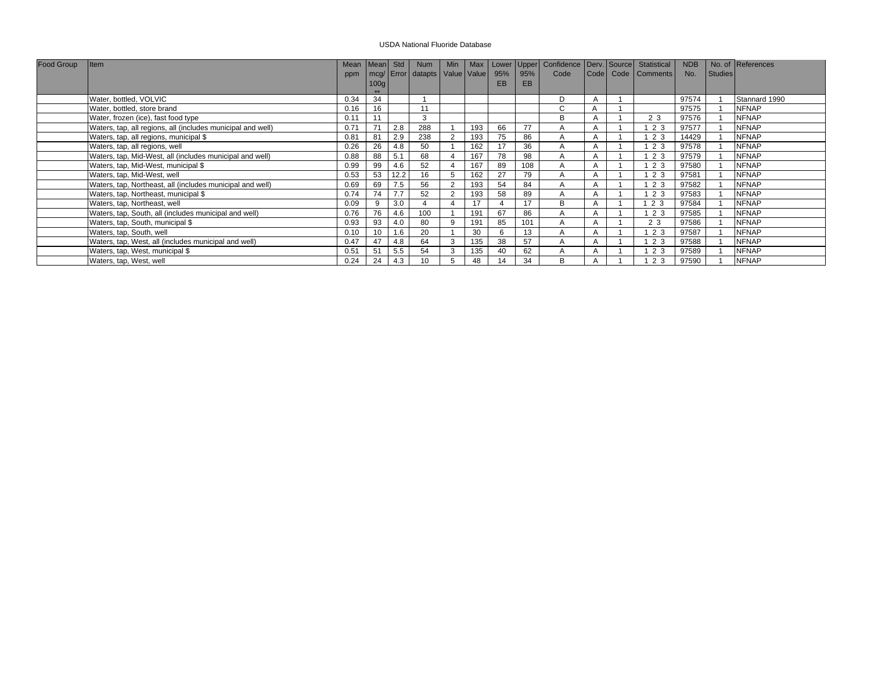| Food Group | Item                                                        | Mean Mean Std |      |      |                                |                |     |     |     | Num   Min   Max   Lower Upper   Confidence   Derv. Source   Statistical |  |                        | <b>NDB</b> |         | No. of References |
|------------|-------------------------------------------------------------|---------------|------|------|--------------------------------|----------------|-----|-----|-----|-------------------------------------------------------------------------|--|------------------------|------------|---------|-------------------|
|            |                                                             | ppm           |      |      | mcg/ Error datapts Value Value |                |     | 95% | 95% | Code                                                                    |  | Code   Code   Comments | No.        | Studies |                   |
|            |                                                             |               | 100g |      |                                |                |     | EВ  | EB  |                                                                         |  |                        |            |         |                   |
|            |                                                             |               |      |      |                                |                |     |     |     |                                                                         |  |                        |            |         |                   |
|            | Water, bottled, VOLVIC                                      | 0.34          | 34   |      |                                |                |     |     |     | D                                                                       |  |                        | 97574      |         | Stannard 1990     |
|            | Water, bottled, store brand                                 | 0.16          | 16   |      | 11                             |                |     |     |     | C                                                                       |  |                        | 97575      |         | <b>NFNAP</b>      |
|            | Water, frozen (ice), fast food type                         | 0.11          | 11   |      | 3                              |                |     |     |     | R.                                                                      |  | 2 3                    | 97576      |         | <b>NFNAP</b>      |
|            | Waters, tap, all regions, all (includes municipal and well) | 0.71          | 71   | 2.8  | 288                            |                | 193 | 66  | 77  |                                                                         |  | 123                    | 97577      |         | <b>NFNAP</b>      |
|            | Waters, tap, all regions, municipal \$                      | 0.81          | 81   | 2.9  | 238                            | $\overline{2}$ | 193 | 75  | 86  | А                                                                       |  | 2 3                    | 14429      |         | <b>NFNAP</b>      |
|            | Waters, tap, all regions, well                              | 0.26          | 26   | 4.8  | 50                             |                | 162 | 17  | 36  | A                                                                       |  | 123                    | 97578      |         | <b>NFNAP</b>      |
|            | Waters, tap, Mid-West, all (includes municipal and well)    | 0.88          | 88   | 5.1  | 68                             |                | 167 | 78  | 98  | А                                                                       |  | 123                    | 97579      |         | <b>NFNAP</b>      |
|            | Waters, tap, Mid-West, municipal \$                         | 0.99          | 99   | 4.6  | 52                             |                | 167 | 89  | 108 | A                                                                       |  | 123                    | 97580      |         | <b>NFNAP</b>      |
|            | Waters, tap, Mid-West, well                                 | 0.53          | 53   | 12.2 | 16                             |                | 162 | 27  | 79  |                                                                         |  | 2 3                    | 97581      |         | <b>NFNAP</b>      |
|            | Waters, tap, Northeast, all (includes municipal and well)   | 0.69          | 69   | 7.5  | 56                             | 2              | 193 | 54  | 84  | A                                                                       |  | 123                    | 97582      |         | <b>NFNAP</b>      |
|            | Waters, tap, Northeast, municipal \$                        | 0.74          | 74   | 7.7  | 52                             | $\overline{2}$ | 193 | 58  | 89  |                                                                         |  | 2 3                    | 97583      |         | <b>NFNAP</b>      |
|            | Waters, tap, Northeast, well                                | 0.09          | 9    | 3.0  |                                |                | 17  |     | 17  | B                                                                       |  | 2 3                    | 97584      |         | <b>NFNAP</b>      |
|            | Waters, tap, South, all (includes municipal and well)       | 0.76          | 76   | 4.6  | 100                            |                | 191 | 67  | 86  | A                                                                       |  | 123                    | 97585      |         | <b>NFNAP</b>      |
|            | Waters, tap, South, municipal \$                            | 0.93          | 93   | 4.0  | 80                             | 9              | 191 | 85  | 101 | А                                                                       |  | 2 3                    | 97586      |         | <b>NFNAP</b>      |
|            | Waters, tap, South, well                                    | 0.10          | 10   | 1.6  | 20                             |                | 30  |     | 13  | A                                                                       |  | 123                    | 97587      |         | <b>NFNAP</b>      |
|            | Waters, tap, West, all (includes municipal and well)        | 0.47          | 47   | 4.8  | 64                             | 3              | 135 | 38  | 57  | A                                                                       |  | 123                    | 97588      |         | <b>NFNAP</b>      |
|            | Waters, tap, West, municipal \$                             | 0.51          | 51   | 5.5  | 54                             | 3              | 135 |     | 62  | А                                                                       |  | 23                     | 97589      |         | <b>NFNAP</b>      |
|            | Waters, tap, West, well                                     | 0.24          | 24   | 4.3  |                                |                | 48  | 14  | 34  | B                                                                       |  | 2 3                    | 97590      |         | <b>NFNAP</b>      |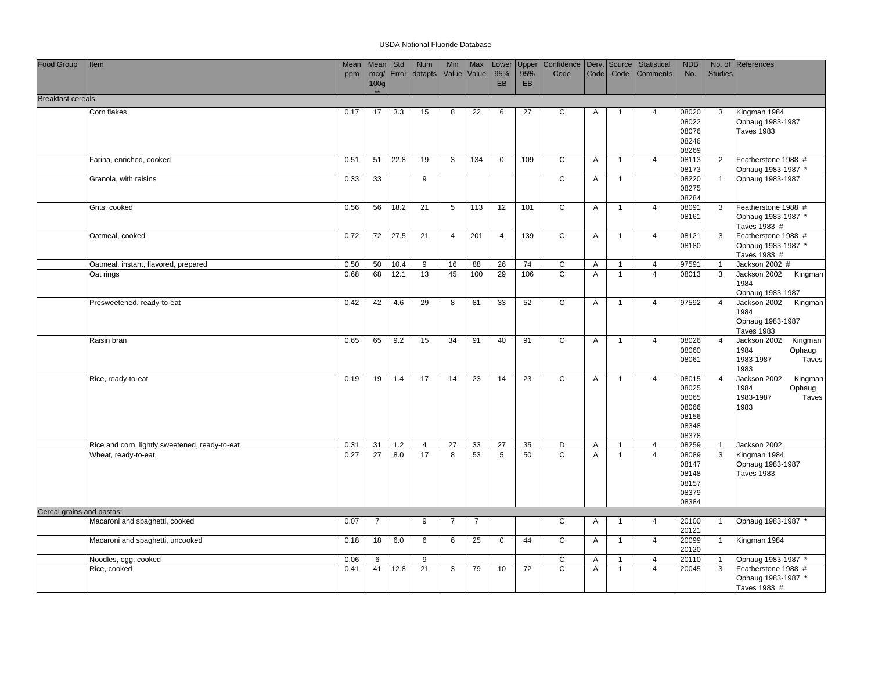| Food Group                | Item                                           | Mean | Mean                     | Std        | Num            | Min            | Max             | Lower           | Upper           | Confidence   Derv.   Source |                |                | Statistical    | <b>NDB</b>     |                | No. of References                         |
|---------------------------|------------------------------------------------|------|--------------------------|------------|----------------|----------------|-----------------|-----------------|-----------------|-----------------------------|----------------|----------------|----------------|----------------|----------------|-------------------------------------------|
|                           |                                                | ppm  |                          | mcg/ Error | datapts        |                | Value Value     | 95%             | 95%             | Code                        | Code           | Code           | Comments       | No.            | <b>Studies</b> |                                           |
|                           |                                                |      | 100 <sub>g</sub><br>$**$ |            |                |                |                 | <b>EB</b>       | EB              |                             |                |                |                |                |                |                                           |
| <b>Breakfast cereals:</b> |                                                |      |                          |            |                |                |                 |                 |                 |                             |                |                |                |                |                |                                           |
|                           | Corn flakes                                    | 0.17 | 17                       | 3.3        | 15             | 8              | 22              | 6               | 27              | C                           | A              | -1             | $\overline{4}$ | 08020          | 3              | Kingman 1984                              |
|                           |                                                |      |                          |            |                |                |                 |                 |                 |                             |                |                |                | 08022          |                | Ophaug 1983-1987                          |
|                           |                                                |      |                          |            |                |                |                 |                 |                 |                             |                |                |                | 08076          |                | <b>Taves 1983</b>                         |
|                           |                                                |      |                          |            |                |                |                 |                 |                 |                             |                |                |                | 08246          |                |                                           |
|                           | Farina, enriched, cooked                       | 0.51 | 51                       | 22.8       | 19             | 3              | 134             | $\mathbf 0$     | 109             | C                           | A              | $\overline{1}$ | $\overline{4}$ | 08269<br>08113 | $\overline{2}$ | Featherstone 1988 #                       |
|                           |                                                |      |                          |            |                |                |                 |                 |                 |                             |                |                |                | 08173          |                | Ophaug 1983-1987 *                        |
|                           | Granola, with raisins                          | 0.33 | 33                       |            | 9              |                |                 |                 |                 | C                           | $\overline{A}$ | $\mathbf{1}$   |                | 08220          | $\overline{1}$ | Ophaug 1983-1987                          |
|                           |                                                |      |                          |            |                |                |                 |                 |                 |                             |                |                |                | 08275          |                |                                           |
|                           |                                                |      |                          |            |                |                |                 |                 |                 |                             |                |                |                | 08284          |                |                                           |
|                           | Grits, cooked                                  | 0.56 | 56                       | 18.2       | 21             | 5              | 113             | 12              | 101             | $\overline{c}$              | $\overline{A}$ | $\overline{1}$ | $\overline{4}$ | 08091<br>08161 | 3              | Featherstone 1988 #<br>Ophaug 1983-1987 * |
|                           |                                                |      |                          |            |                |                |                 |                 |                 |                             |                |                |                |                |                | Taves 1983 #                              |
|                           | Oatmeal, cooked                                | 0.72 | 72                       | 27.5       | 21             | $\overline{4}$ | 201             | $\overline{4}$  | 139             | $\overline{c}$              | Α              | $\mathbf{1}$   | $\overline{4}$ | 08121          | 3              | Featherstone 1988 #                       |
|                           |                                                |      |                          |            |                |                |                 |                 |                 |                             |                |                |                | 08180          |                | Ophaug 1983-1987 *                        |
|                           |                                                |      |                          |            |                |                |                 |                 |                 |                             |                |                |                |                |                | Taves 1983 #                              |
|                           | Oatmeal, instant, flavored, prepared           | 0.50 | 50                       | 10.4       | 9              | 16             | 88              | 26              | 74              | C<br>$\overline{c}$         | Α              | $\mathbf{1}$   | $\overline{4}$ | 97591          | $\overline{1}$ | Jackson 2002 #                            |
|                           | Oat rings                                      | 0.68 | 68                       | 12.1       | 13             | 45             | 100             | 29              | 106             |                             | A              | $\mathbf{1}$   | $\overline{4}$ | 08013          | $\mathbf{3}$   | Jackson 2002<br>Kingman<br>1984           |
|                           |                                                |      |                          |            |                |                |                 |                 |                 |                             |                |                |                |                |                | Ophaug 1983-1987                          |
|                           | Presweetened, ready-to-eat                     | 0.42 | 42                       | 4.6        | 29             | 8              | 81              | 33              | 52              | $\mathsf C$                 | Α              | $\overline{1}$ | $\overline{4}$ | 97592          | $\overline{4}$ | Jackson 2002<br>Kingman                   |
|                           |                                                |      |                          |            |                |                |                 |                 |                 |                             |                |                |                |                |                | 1984                                      |
|                           |                                                |      |                          |            |                |                |                 |                 |                 |                             |                |                |                |                |                | Ophaug 1983-1987                          |
|                           |                                                |      |                          |            |                |                |                 |                 |                 |                             |                |                |                |                |                | <b>Taves 1983</b>                         |
|                           | Raisin bran                                    | 0.65 | 65                       | 9.2        | 15             | 34             | 91              | 40              | 91              | C                           | Α              | $\mathbf{1}$   | $\overline{4}$ | 08026<br>08060 | $\overline{4}$ | Jackson 2002<br>Kingman<br>1984<br>Ophaug |
|                           |                                                |      |                          |            |                |                |                 |                 |                 |                             |                |                |                | 08061          |                | 1983-1987<br>Taves                        |
|                           |                                                |      |                          |            |                |                |                 |                 |                 |                             |                |                |                |                |                | 1983                                      |
|                           | Rice, ready-to-eat                             | 0.19 | 19                       | 1.4        | 17             | 14             | $\overline{23}$ | 14              | 23              | $\overline{c}$              | Α              | $\overline{1}$ | $\overline{4}$ | 08015          | $\overline{4}$ | Jackson 2002<br>Kingman                   |
|                           |                                                |      |                          |            |                |                |                 |                 |                 |                             |                |                |                | 08025          |                | 1984<br>Ophaug                            |
|                           |                                                |      |                          |            |                |                |                 |                 |                 |                             |                |                |                | 08065<br>08066 |                | 1983-1987<br>Taves<br>1983                |
|                           |                                                |      |                          |            |                |                |                 |                 |                 |                             |                |                |                | 08156          |                |                                           |
|                           |                                                |      |                          |            |                |                |                 |                 |                 |                             |                |                |                | 08348          |                |                                           |
|                           |                                                |      |                          |            |                |                |                 |                 |                 |                             |                |                |                | 08378          |                |                                           |
|                           | Rice and corn, lightly sweetened, ready-to-eat | 0.31 | 31                       | 1.2        | $\overline{4}$ | 27             | 33              | 27              | 35              | D                           | A              | $\mathbf{1}$   | $\overline{4}$ | 08259          | -1             | Jackson 2002                              |
|                           | Wheat, ready-to-eat                            | 0.27 | $\overline{27}$          | 8.0        | 17             | 8              | 53              | $5\phantom{.0}$ | 50              | $\overline{c}$              | A              | $\overline{1}$ | $\overline{4}$ | 08089          | $\mathbf{3}$   | Kingman 1984                              |
|                           |                                                |      |                          |            |                |                |                 |                 |                 |                             |                |                |                | 08147<br>08148 |                | Ophaug 1983-1987<br><b>Taves 1983</b>     |
|                           |                                                |      |                          |            |                |                |                 |                 |                 |                             |                |                |                | 08157          |                |                                           |
|                           |                                                |      |                          |            |                |                |                 |                 |                 |                             |                |                |                | 08379          |                |                                           |
|                           |                                                |      |                          |            |                |                |                 |                 |                 |                             |                |                |                | 08384          |                |                                           |
| Cereal grains and pastas: |                                                |      |                          |            |                |                |                 |                 |                 |                             |                |                |                |                |                |                                           |
|                           | Macaroni and spaghetti, cooked                 | 0.07 | $\overline{7}$           |            | 9              | $\overline{7}$ | $\overline{7}$  |                 |                 | C                           | Α              | $\overline{1}$ | $\overline{4}$ | 20100<br>20121 | $\overline{1}$ | Ophaug 1983-1987 *                        |
|                           | Macaroni and spaghetti, uncooked               | 0.18 | 18                       | 6.0        | 6              | 6              | 25              | $\mathbf 0$     | 44              | $\mathsf{C}$                | $\mathsf{A}$   | $\mathbf{1}$   | $\overline{4}$ | 20099          | $\overline{1}$ | Kingman 1984                              |
|                           |                                                |      |                          |            |                |                |                 |                 |                 |                             |                |                |                | 20120          |                |                                           |
|                           | Noodles, egg, cooked                           | 0.06 | 6                        |            | 9              |                |                 |                 |                 | C                           | Α              | $\mathbf 1$    | $\overline{4}$ | 20110          | $\overline{1}$ | Ophaug 1983-1987 *                        |
|                           | Rice, cooked                                   | 0.41 | 41                       | 12.8       | 21             | 3              | 79              | 10              | $\overline{72}$ | $\overline{c}$              | A              | $\mathbf{1}$   | $\overline{4}$ | 20045          | $\overline{3}$ | Featherstone 1988 #                       |
|                           |                                                |      |                          |            |                |                |                 |                 |                 |                             |                |                |                |                |                | Ophaug 1983-1987 *                        |
|                           |                                                |      |                          |            |                |                |                 |                 |                 |                             |                |                |                |                |                | Taves 1983 #                              |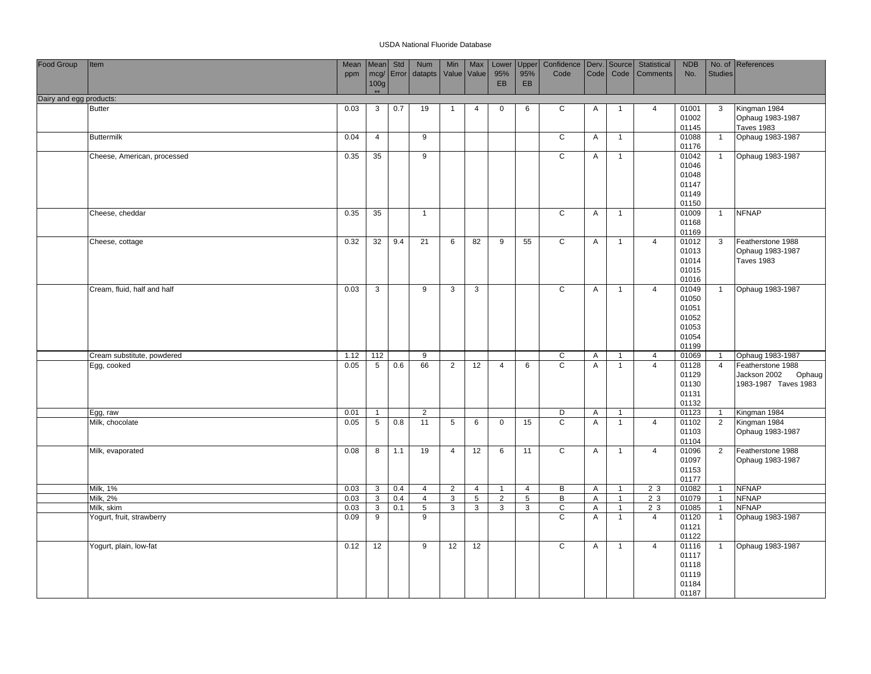| Food Group              | Item                        | Mean | Mean            | Std       | <b>Num</b>      | Min            | Max            | Lower          | Upper           | Confidence   Derv.   Source |                |                | Statistical     | <b>NDB</b>     |                | No. of References                     |
|-------------------------|-----------------------------|------|-----------------|-----------|-----------------|----------------|----------------|----------------|-----------------|-----------------------------|----------------|----------------|-----------------|----------------|----------------|---------------------------------------|
|                         |                             | ppm  | 100g            | mcg/Error | datapts         |                | Value Value    | 95%<br>EB      | 95%<br>EB       | Code                        | Code           | Code           | Comments        | No.            | <b>Studies</b> |                                       |
| Dairy and egg products: |                             |      | $**$            |           |                 |                |                |                |                 |                             |                |                |                 |                |                |                                       |
|                         | <b>Butter</b>               | 0.03 | $\mathbf{3}$    | 0.7       | 19              | $\overline{1}$ | 4              | $\mathbf{0}$   | 6               | C                           | Α              | -1             | $\overline{4}$  | 01001          | 3              | Kingman 1984                          |
|                         |                             |      |                 |           |                 |                |                |                |                 |                             |                |                |                 | 01002          |                | Ophaug 1983-1987                      |
|                         |                             |      |                 |           |                 |                |                |                |                 |                             |                |                |                 | 01145          |                | <b>Taves 1983</b>                     |
|                         | <b>Buttermilk</b>           | 0.04 | $\overline{4}$  |           | 9               |                |                |                |                 | $\mathsf C$                 | Α              | $\overline{1}$ |                 | 01088<br>01176 | $\mathbf{1}$   | Ophaug 1983-1987                      |
|                         | Cheese, American, processed | 0.35 | 35              |           | 9               |                |                |                |                 | $\overline{c}$              | A              | $\overline{1}$ |                 | 01042          | $\overline{1}$ | Ophaug 1983-1987                      |
|                         |                             |      |                 |           |                 |                |                |                |                 |                             |                |                |                 | 01046          |                |                                       |
|                         |                             |      |                 |           |                 |                |                |                |                 |                             |                |                |                 | 01048<br>01147 |                |                                       |
|                         |                             |      |                 |           |                 |                |                |                |                 |                             |                |                |                 | 01149          |                |                                       |
|                         |                             |      |                 |           |                 |                |                |                |                 |                             |                |                |                 | 01150          |                |                                       |
|                         | Cheese, cheddar             | 0.35 | 35              |           | $\overline{1}$  |                |                |                |                 | $\overline{c}$              | A              | $\overline{1}$ |                 | 01009          | $\overline{1}$ | <b>NFNAP</b>                          |
|                         |                             |      |                 |           |                 |                |                |                |                 |                             |                |                |                 | 01168          |                |                                       |
|                         |                             |      |                 |           |                 |                |                |                |                 |                             |                |                |                 | 01169          |                |                                       |
|                         | Cheese, cottage             | 0.32 | 32              | 9.4       | $\overline{21}$ | 6              | 82             | $\overline{9}$ | 55              | $\overline{c}$              | A              | $\overline{1}$ | $\overline{4}$  | 01012          | 3              | Featherstone 1988                     |
|                         |                             |      |                 |           |                 |                |                |                |                 |                             |                |                |                 | 01013<br>01014 |                | Ophaug 1983-1987<br><b>Taves 1983</b> |
|                         |                             |      |                 |           |                 |                |                |                |                 |                             |                |                |                 | 01015          |                |                                       |
|                         |                             |      |                 |           |                 |                |                |                |                 |                             |                |                |                 | 01016          |                |                                       |
|                         | Cream, fluid, half and half | 0.03 | $\overline{3}$  |           | 9               | 3              | 3              |                |                 | C                           | A              | $\overline{1}$ | $\overline{4}$  | 01049          | $\mathbf{1}$   | Ophaug 1983-1987                      |
|                         |                             |      |                 |           |                 |                |                |                |                 |                             |                |                |                 | 01050          |                |                                       |
|                         |                             |      |                 |           |                 |                |                |                |                 |                             |                |                |                 | 01051          |                |                                       |
|                         |                             |      |                 |           |                 |                |                |                |                 |                             |                |                |                 | 01052<br>01053 |                |                                       |
|                         |                             |      |                 |           |                 |                |                |                |                 |                             |                |                |                 | 01054          |                |                                       |
|                         |                             |      |                 |           |                 |                |                |                |                 |                             |                |                |                 | 01199          |                |                                       |
|                         | Cream substitute, powdered  | 1.12 | 112             |           | 9               |                |                |                |                 | C                           | Α              | $\overline{1}$ | 4               | 01069          | $\mathbf{1}$   | Ophaug 1983-1987                      |
|                         | Egg, cooked                 | 0.05 | $5\overline{5}$ | 0.6       | 66              | 2              | 12             | $\overline{4}$ | 6               | $\mathsf{C}$                | A              | $\overline{1}$ | $\overline{4}$  | 01128          | $\overline{4}$ | Featherstone 1988                     |
|                         |                             |      |                 |           |                 |                |                |                |                 |                             |                |                |                 | 01129          |                | Jackson 2002<br>Ophaug                |
|                         |                             |      |                 |           |                 |                |                |                |                 |                             |                |                |                 | 01130<br>01131 |                | 1983-1987 Taves 1983                  |
|                         |                             |      |                 |           |                 |                |                |                |                 |                             |                |                |                 | 01132          |                |                                       |
|                         | Egg, raw                    | 0.01 | $\mathbf{1}$    |           | $\overline{2}$  |                |                |                |                 | D                           | Α              | $\overline{1}$ |                 | 01123          | $\mathbf{1}$   | Kingman 1984                          |
|                         | Milk, chocolate             | 0.05 | $\overline{5}$  | 0.8       | 11              | $\overline{5}$ | 6              | $\mathbf 0$    | 15              | $\overline{c}$              | $\overline{A}$ | $\overline{1}$ | $\overline{4}$  | 01102          | $\overline{2}$ | Kingman 1984                          |
|                         |                             |      |                 |           |                 |                |                |                |                 |                             |                |                |                 | 01103          |                | Ophaug 1983-1987                      |
|                         |                             |      |                 |           |                 |                |                |                |                 |                             |                |                |                 | 01104          |                |                                       |
|                         | Milk, evaporated            | 0.08 | 8               | 1.1       | 19              | $\overline{4}$ | 12             | 6              | 11              | $\overline{c}$              | A              | $\mathbf{1}$   | $\overline{4}$  | 01096<br>01097 | $\overline{2}$ | Featherstone 1988                     |
|                         |                             |      |                 |           |                 |                |                |                |                 |                             |                |                |                 | 01153          |                | Ophaug 1983-1987                      |
|                         |                             |      |                 |           |                 |                |                |                |                 |                             |                |                |                 | 01177          |                |                                       |
|                         | Milk, 1%                    | 0.03 | $\mathbf{3}$    | 0.4       | $\overline{4}$  | 2              | 4              | $\overline{1}$ | $\overline{4}$  | B                           | A              | $\mathbf{1}$   | 2 3             | 01082          | $\mathbf{1}$   | <b>NFNAP</b>                          |
|                         | <b>Milk, 2%</b>             | 0.03 | $\overline{3}$  | 0.4       | $\overline{4}$  | $\mathbf{3}$   | $\overline{5}$ | $\overline{2}$ | $5\phantom{.0}$ | $\overline{B}$              | $\overline{A}$ | $\overline{1}$ | $2\overline{3}$ | 01079          | $\overline{1}$ | <b>NFNAP</b>                          |
|                         | Milk, skim                  | 0.03 | $\mathbf{3}$    | 0.1       | $\overline{5}$  | 3              | 3              | 3              | 3               | C                           | A              | $\overline{1}$ | 2 3             | 01085          | $\overline{1}$ | <b>NFNAP</b>                          |
|                         | Yogurt, fruit, strawberry   | 0.09 | 9               |           | 9               |                |                |                |                 | $\overline{c}$              | A              | $\mathbf{1}$   | $\overline{4}$  | 01120<br>01121 | $\mathbf{1}$   | Ophaug 1983-1987                      |
|                         |                             |      |                 |           |                 |                |                |                |                 |                             |                |                |                 | 01122          |                |                                       |
|                         | Yogurt, plain, low-fat      | 0.12 | 12              |           | $\overline{9}$  | 12             | 12             |                |                 | $\overline{c}$              | A              | $\overline{1}$ | $\overline{4}$  | 01116          | $\mathbf{1}$   | Ophaug 1983-1987                      |
|                         |                             |      |                 |           |                 |                |                |                |                 |                             |                |                |                 | 01117          |                |                                       |
|                         |                             |      |                 |           |                 |                |                |                |                 |                             |                |                |                 | 01118          |                |                                       |
|                         |                             |      |                 |           |                 |                |                |                |                 |                             |                |                |                 | 01119          |                |                                       |
|                         |                             |      |                 |           |                 |                |                |                |                 |                             |                |                |                 | 01184          |                |                                       |
|                         |                             |      |                 |           |                 |                |                |                |                 |                             |                |                |                 | 01187          |                |                                       |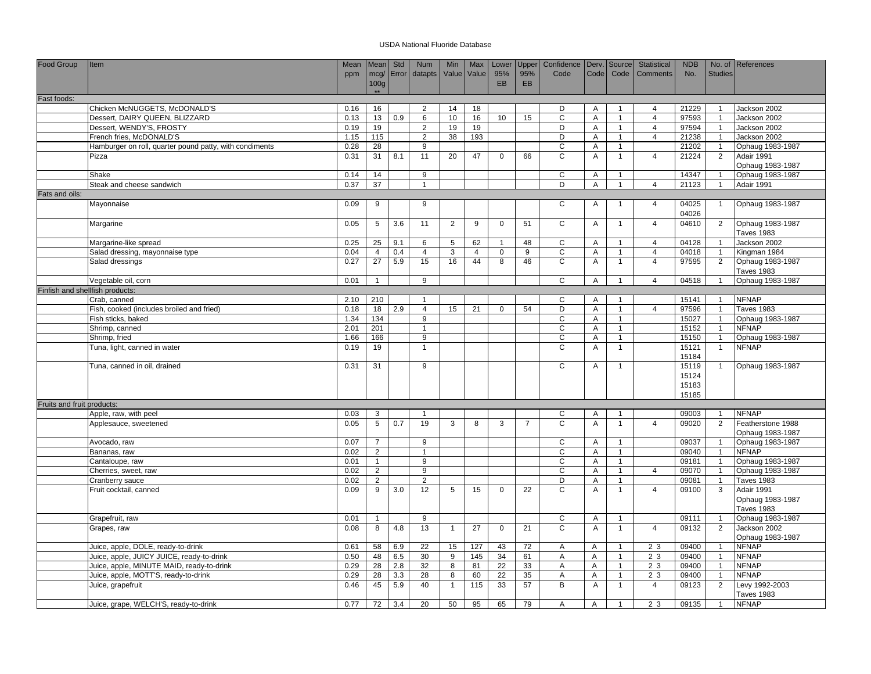| Food Group                      | Item                                                    | Mean         | Mean Std        |           | Num                 | <b>Min</b>     | Max            | Lower        | Upper          | Confidence   Derv.   Source   |                |                                | Statistical    | <b>NDB</b>     |                                  | No. of References                |
|---------------------------------|---------------------------------------------------------|--------------|-----------------|-----------|---------------------|----------------|----------------|--------------|----------------|-------------------------------|----------------|--------------------------------|----------------|----------------|----------------------------------|----------------------------------|
|                                 |                                                         | ppm          |                 | mcg/Error | datapts             |                | Value Value    | 95%          | 95%            | Code                          | <b>Code</b>    | Code                           | Comments       | No.            | <b>Studies</b>                   |                                  |
|                                 |                                                         |              | 100g<br>$+ +$   |           |                     |                |                | <b>EB</b>    | EB             |                               |                |                                |                |                |                                  |                                  |
| Fast foods:                     |                                                         |              |                 |           |                     |                |                |              |                |                               |                |                                |                |                |                                  |                                  |
|                                 | Chicken McNUGGETS, McDONALD'S                           | 0.16         | 16              |           | $\overline{2}$      | 14             | 18             |              |                | D                             | A              | $\mathbf{1}$                   | 4              | 21229          | $\overline{1}$                   | Jackson 2002                     |
|                                 | Dessert, DAIRY QUEEN, BLIZZARD                          | 0.13         | 13              | 0.9       | 6                   | 10             | 16             | 10           | 15             | $\mathsf C$                   | A              | $\mathbf{1}$                   | $\overline{4}$ | 97593          | $\overline{1}$                   | Jackson 2002                     |
|                                 | Dessert, WENDY'S, FROSTY                                | 0.19         | 19              |           | $\overline{2}$      | 19             | 19             |              |                | D                             | $\overline{A}$ | $\overline{1}$                 | $\overline{4}$ | 97594          | $\overline{1}$                   | Jackson 2002                     |
|                                 | French fries, McDONALD'S                                | 1.15         | 115             |           | $\overline{2}$      | 38             | 193            |              |                | D                             | A              | $\mathbf{1}$                   | $\overline{4}$ | 21238          | $\overline{1}$                   | Jackson 2002                     |
|                                 | Hamburger on roll, quarter pound patty, with condiments | 0.28         | 28              |           | 9                   |                |                |              |                | C                             | Α              | $\overline{1}$                 |                | 21202          |                                  | Ophaug 1983-1987                 |
|                                 | Pizza                                                   | 0.31         | 31              | 8.1       | 11                  | 20             | 47             | $\mathbf 0$  | 66             | $\mathsf{C}$                  | Α              | $\mathbf{1}$                   | $\overline{4}$ | 21224          | 2                                | Adair 1991                       |
|                                 |                                                         |              |                 |           |                     |                |                |              |                |                               |                |                                |                |                |                                  | Ophaug 1983-1987                 |
|                                 | Shake                                                   | 0.14         | 14              |           | 9                   |                |                |              |                | $\mathsf C$                   | Α              | $\overline{1}$                 |                | 14347          | $\overline{1}$                   | Ophaug 1983-1987                 |
|                                 | Steak and cheese sandwich                               | 0.37         | $\overline{37}$ |           | $\overline{1}$      |                |                |              |                | D                             | A              | $\overline{1}$                 | $\overline{4}$ | 21123          | $\overline{1}$                   | Adair 1991                       |
| Fats and oils:                  |                                                         |              |                 |           |                     |                |                |              |                |                               |                |                                |                |                |                                  |                                  |
|                                 | Mayonnaise                                              | 0.09         | 9               |           | 9                   |                |                |              |                | C                             | Α              | $\overline{1}$                 | $\overline{4}$ | 04025          | $\overline{1}$                   | Ophaug 1983-1987                 |
|                                 |                                                         |              |                 |           |                     |                |                |              |                |                               |                |                                |                | 04026          |                                  |                                  |
|                                 | Margarine                                               | 0.05         | $\sqrt{5}$      | 3.6       | 11                  | $\overline{2}$ | 9              | $\mathsf 0$  | 51             | $\mathsf C$                   | Α              | $\overline{1}$                 | $\overline{4}$ | 04610          | 2                                | Ophaug 1983-1987                 |
|                                 |                                                         |              |                 |           |                     |                |                |              |                |                               |                |                                |                |                |                                  | Taves 1983                       |
|                                 | Margarine-like spread                                   | 0.25         | 25              | 9.1       | 6                   | 5              | 62             | $\mathbf{1}$ | 48             | C                             | A              | $\mathbf{1}$                   | $\overline{4}$ | 04128          | $\overline{1}$                   | Jackson 2002                     |
|                                 | Salad dressing, mayonnaise type                         | 0.04         | $\overline{4}$  | 0.4       | $\overline{4}$      | 3              | $\overline{4}$ | $\mathbf 0$  | 9              | C                             | Α              | $\mathbf{1}$                   | 4              | 04018          | $\overline{1}$                   | Kingman 1984                     |
|                                 | Salad dressings                                         | 0.27         | 27              | 5.9       | 15                  | 16             | 44             | 8            | 46             | $\mathsf{C}$                  | Α              | $\mathbf{1}$                   | $\overline{4}$ | 97595          | $\overline{2}$                   | Ophaug 1983-1987                 |
|                                 |                                                         |              |                 |           |                     |                |                |              |                |                               |                |                                |                |                |                                  | <b>Taves 1983</b>                |
|                                 | Vegetable oil, corn                                     | 0.01         | $\mathbf{1}$    |           | 9                   |                |                |              |                | C                             | A              | $\overline{1}$                 | $\overline{4}$ | 04518          | $\overline{1}$                   | Ophaug 1983-1987                 |
| Finfish and shellfish products: |                                                         |              |                 |           |                     |                |                |              |                |                               |                |                                |                |                |                                  |                                  |
|                                 | Crab, canned                                            | 2.10         | 210             |           | $\overline{1}$      |                |                |              |                | C                             | A              | $\mathbf{1}$                   |                | 15141          | $\overline{1}$                   | <b>NFNAP</b>                     |
|                                 | Fish, cooked (includes broiled and fried)               | 0.18         | 18              | 2.9       | $\overline{4}$      | 15             | 21             | $\mathbf 0$  | 54             | D                             | A              | $\mathbf{1}$                   | $\overline{4}$ | 97596          |                                  | <b>Taves 1983</b>                |
|                                 | Fish sticks, baked                                      | 1.34         | 134             |           | 9                   |                |                |              |                | $\mathsf{C}$                  | A              | $\mathbf{1}$                   |                | 15027          | $\overline{1}$                   | Ophaug 1983-1987                 |
|                                 | Shrimp, canned                                          | 2.01         | 201             |           | $\mathbf{1}$        |                |                |              |                | $\mathsf C$<br>$\overline{c}$ | Α              | $\mathbf{1}$<br>$\overline{1}$ |                | 15152          | $\overline{1}$<br>$\overline{1}$ | <b>NFNAP</b>                     |
|                                 | Shrimp, fried                                           | 1.66<br>0.19 | 166<br>19       |           | 9<br>$\overline{1}$ |                |                |              |                | $\mathsf{C}$                  | Α<br>A         | $\overline{1}$                 |                | 15150<br>15121 | $\overline{1}$                   | Ophaug 1983-1987<br><b>NFNAP</b> |
|                                 | Tuna, light, canned in water                            |              |                 |           |                     |                |                |              |                |                               |                |                                |                | 15184          |                                  |                                  |
|                                 | Tuna, canned in oil, drained                            | 0.31         | 31              |           | 9                   |                |                |              |                | C                             | Α              | $\overline{1}$                 |                | 15119          | $\overline{1}$                   | Ophaug 1983-1987                 |
|                                 |                                                         |              |                 |           |                     |                |                |              |                |                               |                |                                |                | 15124          |                                  |                                  |
|                                 |                                                         |              |                 |           |                     |                |                |              |                |                               |                |                                |                | 15183          |                                  |                                  |
|                                 |                                                         |              |                 |           |                     |                |                |              |                |                               |                |                                |                | 15185          |                                  |                                  |
| Fruits and fruit products:      |                                                         |              |                 |           |                     |                |                |              |                |                               |                |                                |                |                |                                  |                                  |
|                                 | Apple, raw, with peel                                   | 0.03         | 3               |           | $\overline{1}$      |                |                |              |                | C                             | Α              | $\overline{1}$                 |                | 09003          | $\overline{1}$                   | <b>NFNAP</b>                     |
|                                 | Applesauce, sweetened                                   | 0.05         | $5\overline{)}$ | 0.7       | 19                  | 3              | 8              | 3            | $\overline{7}$ | $\overline{c}$                | $\overline{A}$ | $\overline{1}$                 | $\overline{4}$ | 09020          | 2                                | Featherstone 1988                |
|                                 |                                                         |              |                 |           |                     |                |                |              |                |                               |                |                                |                |                |                                  | Ophaug 1983-1987                 |
|                                 | Avocado, raw                                            | 0.07         | $\overline{7}$  |           | 9                   |                |                |              |                | С                             | A              | $\overline{1}$                 |                | 09037          |                                  | Ophaug 1983-1987                 |
|                                 | Bananas, raw                                            | 0.02         | 2               |           | $\overline{1}$      |                |                |              |                | $\mathsf{C}$                  | A              | $\overline{1}$                 |                | 09040          | $\overline{1}$                   | <b>NFNAP</b>                     |
|                                 | Cantaloupe, raw                                         | 0.01         | $\mathbf{1}$    |           | 9                   |                |                |              |                | C                             | Α              | $\mathbf{1}$                   |                | 09181          | $\overline{1}$                   | Ophaug 1983-1987                 |
|                                 | Cherries, sweet, raw                                    | 0.02         | $\overline{2}$  |           | 9                   |                |                |              |                | $\mathsf{C}$                  | $\overline{A}$ | $\overline{1}$                 | $\overline{4}$ | 09070          | $\overline{1}$                   | Ophaug 1983-1987                 |
|                                 | Cranberry sauce                                         | 0.02         | $\overline{2}$  |           | 2                   |                |                |              |                | D                             | A              | $\overline{1}$                 |                | 09081          | $\overline{1}$                   | <b>Taves 1983</b>                |
|                                 | Fruit cocktail, canned                                  | 0.09         | 9               | 3.0       | $\overline{12}$     | 5              | 15             | $\mathbf 0$  | 22             | C                             | A              | $\mathbf{1}$                   | $\overline{4}$ | 09100          | 3                                | Adair 1991                       |
|                                 |                                                         |              |                 |           |                     |                |                |              |                |                               |                |                                |                |                |                                  | Ophaug 1983-1987                 |
|                                 |                                                         |              |                 |           |                     |                |                |              |                |                               |                |                                |                |                |                                  | <b>Taves 1983</b>                |
|                                 | Grapefruit, raw                                         | 0.01         | $\mathbf{1}$    |           | 9                   |                |                |              |                | $\mathsf C$                   | A              | $\overline{1}$                 |                | 09111          | $\overline{1}$                   | Ophaug 1983-1987                 |
|                                 | Grapes, raw                                             | 0.08         | 8               | 4.8       | 13                  | $\overline{1}$ | 27             | $\mathbf 0$  | 21             | $\overline{c}$                | $\overline{A}$ | $\overline{1}$                 | $\overline{4}$ | 09132          | 2                                | Jackson 2002                     |
|                                 |                                                         |              |                 |           |                     |                |                |              |                |                               |                |                                |                |                |                                  | Ophaug 1983-1987                 |
|                                 | Juice, apple, DOLE, ready-to-drink                      | 0.61         | 58              | 6.9       | 22                  | 15             | 127            | 43           | 72             | A                             | Α              | $\mathbf{1}$                   | 2 3            | 09400          | $\overline{1}$                   | <b>NFNAP</b>                     |
|                                 | Juice, apple, JUICY JUICE, ready-to-drink               | 0.50         | 48              | 6.5       | 30                  | 9              | 145            | 34           | 61             | Α                             | Α              | $\mathbf{1}$                   | 2 3            | 09400          | $\overline{1}$                   | <b>NFNAP</b>                     |
|                                 | Juice, apple, MINUTE MAID, ready-to-drink               | 0.29         | 28              | 2.8       | 32                  | 8              | 81             | 22           | 33             | A                             | A              | $\mathbf{1}$                   | 2 3            | 09400          | $\overline{1}$                   | <b>NFNAP</b>                     |
|                                 | Juice, apple, MOTT'S, ready-to-drink                    | 0.29         | 28<br>45        | 3.3       | 28<br>40            | 8              | 60             | 22           | 35<br>57       | A<br>B                        | Α              | $\mathbf{1}$                   | 2 3            | 09400          | -1                               | <b>NFNAP</b>                     |
|                                 | Juice, grapefruit                                       | 0.46         |                 | 5.9       |                     | $\overline{1}$ | 115            | 33           |                |                               | A              | $\mathbf{1}$                   | $\overline{4}$ | 09123          | 2                                | Levy 1992-2003<br>Taves 1983     |
|                                 | Juice, grape, WELCH'S, ready-to-drink                   | 0.77         | 72              | 3.4       | 20                  | 50             | 95             | 65           | 79             | $\overline{A}$                | Α              | $\mathbf{1}$                   | 2 3            | 09135          | $\overline{1}$                   | <b>NFNAP</b>                     |
|                                 |                                                         |              |                 |           |                     |                |                |              |                |                               |                |                                |                |                |                                  |                                  |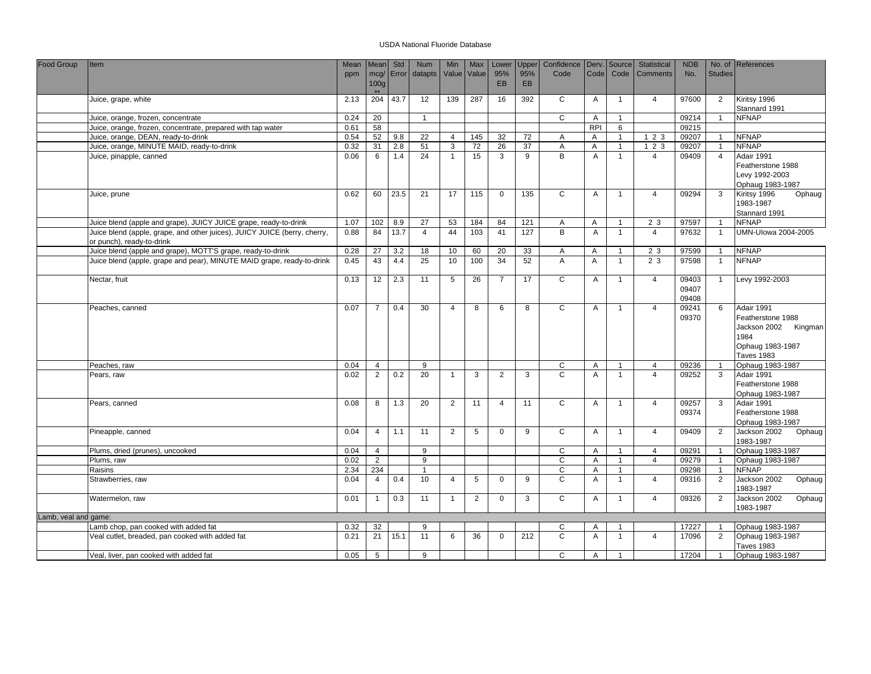| Food Group           | Item                                                                                                   | Mean         | Mean             | Std        | <b>Num</b>            | Min               | Max            | Lower          | Upper     | Confidence     | Derv.          | Source                       | <b>Statistical</b>    | <b>NDB</b>              |                                  | No. of References                                                                                        |
|----------------------|--------------------------------------------------------------------------------------------------------|--------------|------------------|------------|-----------------------|-------------------|----------------|----------------|-----------|----------------|----------------|------------------------------|-----------------------|-------------------------|----------------------------------|----------------------------------------------------------------------------------------------------------|
|                      |                                                                                                        | ppm          | mcg/             |            | Error datapts         | Value             | Value          | 95%<br>EB      | 95%<br>EB | Code           | Code           | Code                         | <b>Comments</b>       | No.                     | <b>Studies</b>                   |                                                                                                          |
|                      |                                                                                                        |              | 100 <sub>g</sub> |            |                       |                   |                |                |           |                |                |                              |                       |                         |                                  |                                                                                                          |
|                      | Juice, grape, white                                                                                    | 2.13         | 204              | 43.7       | 12                    | 139               | 287            | 16             | 392       | C              | A              | $\mathbf{1}$                 | $\overline{4}$        | 97600                   | $\overline{2}$                   | Kiritsy 1996                                                                                             |
|                      |                                                                                                        |              |                  |            |                       |                   |                |                |           |                |                |                              |                       |                         |                                  | Stannard 1991                                                                                            |
|                      | Juice, orange, frozen, concentrate                                                                     | 0.24         | 20               |            | $\overline{1}$        |                   |                |                |           | C              | A              | $\overline{1}$               |                       | 09214                   | $\overline{1}$                   | <b>NFNAP</b>                                                                                             |
|                      | Juice, orange, frozen, concentrate, prepared with tap water                                            | 0.61         | 58               |            |                       |                   |                |                |           |                | <b>RPI</b>     | 6                            |                       | 09215                   |                                  |                                                                                                          |
|                      | Juice, orange, DEAN, ready-to-drink<br>Juice, orange, MINUTE MAID, ready-to-drink                      | 0.54         | 52<br>31         | 9.8        | $\overline{22}$<br>51 | $\overline{4}$    | 145            | 32             | 72        | A              | A              | $\overline{1}$               | 123                   | 09207                   | $\overline{1}$                   | <b>NFNAP</b><br><b>NFNAP</b>                                                                             |
|                      | Juice, pinapple, canned                                                                                | 0.32<br>0.06 | 6                | 2.8<br>1.4 | 24                    | 3<br>$\mathbf{1}$ | 72<br>15       | 26<br>3        | 37<br>9   | Α<br>B         | A<br>A         | $\mathbf{1}$<br>$\mathbf{1}$ | 123<br>$\overline{4}$ | 09207<br>09409          | $\overline{1}$<br>$\overline{4}$ | Adair 1991                                                                                               |
|                      |                                                                                                        |              |                  |            |                       |                   |                |                |           |                |                |                              |                       |                         |                                  | Featherstone 1988<br>Levy 1992-2003<br>Ophaug 1983-1987                                                  |
|                      | Juice, prune                                                                                           | 0.62         | 60               | 23.5       | 21                    | 17                | 115            | $\mathbf 0$    | 135       | C              | Α              | $\mathbf{1}$                 | $\overline{4}$        | 09294                   | 3                                | Kiritsy 1996<br>Ophaug<br>1983-1987<br>Stannard 1991                                                     |
|                      | Juice blend (apple and grape), JUICY JUICE grape, ready-to-drink                                       | 1.07         | 102              | 8.9        | 27                    | 53                | 184            | 84             | 121       | Α              | Α              | $\mathbf{1}$                 | 2 3                   | 97597                   | $\overline{1}$                   | <b>NFNAP</b>                                                                                             |
|                      | Juice blend (apple, grape, and other juices), JUICY JUICE (berry, cherry,<br>or punch), ready-to-drink | 0.88         | 84               | 13.7       | $\overline{4}$        | 44                | 103            | 41             | 127       | B              | A              | $\mathbf{1}$                 | $\overline{4}$        | 97632                   | $\overline{1}$                   | <b>UMN-Ulowa 2004-2005</b>                                                                               |
|                      | Juice blend (apple and grape), MOTT'S grape, ready-to-drink                                            | 0.28         | 27               | 3.2        | 18                    | 10                | 60             | 20             | 33        | Α              | A              | $\mathbf{1}$                 | 2 3                   | 97599                   | $\overline{1}$                   | <b>NFNAP</b>                                                                                             |
|                      | Juice blend (apple, grape and pear), MINUTE MAID grape, ready-to-drink                                 | 0.45         | 43               | 4.4        | 25                    | 10                | 100            | 34             | 52        | $\overline{A}$ | $\overline{A}$ | $\overline{1}$               | 23                    | 97598                   | $\overline{1}$                   | <b>NFNAP</b>                                                                                             |
|                      | Nectar, fruit                                                                                          | 0.13         | 12               | 2.3        | 11                    | 5                 | 26             | $\overline{7}$ | 17        | C              | A              | $\mathbf{1}$                 | $\overline{4}$        | 09403<br>09407<br>09408 | $\overline{1}$                   | Levy 1992-2003                                                                                           |
|                      | Peaches, canned                                                                                        | 0.07         | $\overline{7}$   | 0.4        | 30                    | $\overline{4}$    | 8              | 6              | 8         | $\mathsf{C}$   | $\overline{A}$ | $\mathbf{1}$                 | $\overline{4}$        | 09241<br>09370          | 6                                | Adair 1991<br>Featherstone 1988<br>Jackson 2002 Kingman<br>1984<br>Ophaug 1983-1987<br><b>Taves 1983</b> |
|                      | Peaches, raw                                                                                           | 0.04         | $\overline{4}$   |            | 9                     |                   |                |                |           | C              | A              | $\mathbf{1}$                 | $\overline{4}$        | 09236                   | $\overline{1}$                   | Ophaug 1983-1987                                                                                         |
|                      | Pears, raw                                                                                             | 0.02         | $\overline{2}$   | 0.2        | 20                    | $\mathbf{1}$      | 3              | $\overline{2}$ | 3         | $\mathsf{C}$   | A              | $\overline{1}$               | $\overline{4}$        | 09252                   | 3                                | Adair 1991<br>Featherstone 1988<br>Ophaug 1983-1987                                                      |
|                      | Pears, canned                                                                                          | 0.08         | 8                | 1.3        | 20                    | 2                 | 11             | $\overline{4}$ | 11        | $\overline{c}$ | A              | $\mathbf{1}$                 | $\overline{4}$        | 09257<br>09374          | 3                                | Adair 1991<br>Featherstone 1988<br>Ophaug 1983-1987                                                      |
|                      | Pineapple, canned                                                                                      | 0.04         | $\overline{4}$   | 1.1        | 11                    | $\overline{2}$    | 5              | $\mathbf{0}$   | 9         | $\overline{c}$ | Α              | $\mathbf{1}$                 | $\overline{4}$        | 09409                   | $\overline{2}$                   | Jackson 2002<br>Ophaug<br>1983-1987                                                                      |
|                      | Plums, dried (prunes), uncooked                                                                        | 0.04         | $\overline{4}$   |            | 9                     |                   |                |                |           | $\overline{c}$ | A              | $\mathbf{1}$                 | $\overline{4}$        | 09291                   | $\overline{1}$                   | Ophaug 1983-1987                                                                                         |
|                      | Plums, raw                                                                                             | 0.02         | $\overline{2}$   |            | $\boldsymbol{9}$      |                   |                |                |           | $\mathbf C$    | A              | $\mathbf{1}$                 | $\overline{4}$        | 09279                   | $\overline{1}$                   | Ophaug 1983-1987                                                                                         |
|                      | Raisins                                                                                                | 2.34         | 234              |            | $\overline{1}$        |                   |                |                |           | $\mathsf C$    | Α              | $\overline{1}$               |                       | 09298                   | $\overline{1}$                   | <b>NFNAP</b>                                                                                             |
|                      | Strawberries, raw                                                                                      | 0.04         | $\overline{4}$   | 0.4        | 10                    | $\overline{4}$    | 5              | $\mathbf 0$    | 9         | $\overline{c}$ | Α              | $\mathbf{1}$                 | $\overline{4}$        | 09316                   | 2                                | Jackson 2002<br>Ophaug<br>1983-1987                                                                      |
|                      | Watermelon, raw                                                                                        | 0.01         | $\mathbf{1}$     | 0.3        | 11                    | $\mathbf{1}$      | $\overline{2}$ | $\mathbf 0$    | 3         | C              | A              | $\mathbf{1}$                 | $\overline{4}$        | 09326                   | 2                                | Jackson 2002<br>Ophaug<br>1983-1987                                                                      |
| Lamb, veal and game: |                                                                                                        |              |                  |            |                       |                   |                |                |           |                |                |                              |                       |                         |                                  |                                                                                                          |
|                      | Lamb chop, pan cooked with added fat                                                                   | 0.32         | 32               |            | 9                     |                   |                |                |           | C              | A              | $\overline{1}$               |                       | 17227                   | $\overline{1}$                   | Ophaug 1983-1987                                                                                         |
|                      | Veal cutlet, breaded, pan cooked with added fat                                                        | 0.21         | 21               | 15.1       | 11                    | 6                 | 36             | $\mathbf 0$    | 212       | $\overline{c}$ | Α              | $\mathbf{1}$                 | $\overline{4}$        | 17096                   | 2                                | Ophaug 1983-1987<br><b>Taves 1983</b>                                                                    |
|                      | Veal, liver, pan cooked with added fat                                                                 | 0.05         | $5\overline{5}$  |            | 9                     |                   |                |                |           | C              | A              | $\overline{1}$               |                       | 17204                   | $\overline{1}$                   | Ophaug 1983-1987                                                                                         |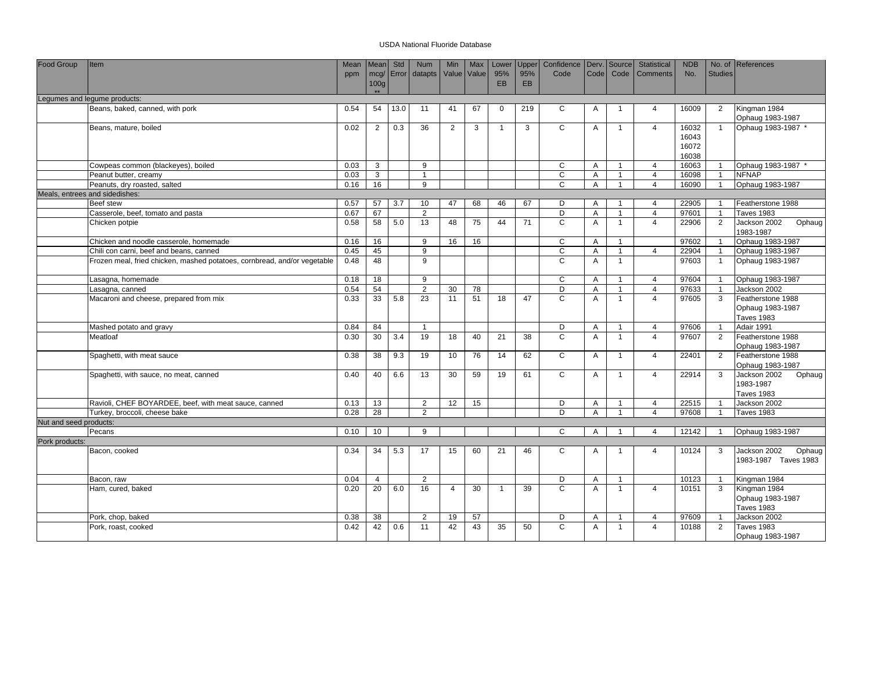| Food Group             | Item                                                                     | Mean<br>ppm | <b>Mean</b><br>100 <sub>g</sub> | Std  | Num<br>mcg/ Error datapts | Min<br>Value Value | Max | Lower<br>95%<br><b>EB</b> | Upper<br>95%<br><b>EB</b> | Confidence   Derv.   Source<br>Code | Code <sup>1</sup> | Code           | Statistical<br><b>Comments</b> | <b>NDB</b><br>No.                | <b>Studies</b> | No. of References                                          |
|------------------------|--------------------------------------------------------------------------|-------------|---------------------------------|------|---------------------------|--------------------|-----|---------------------------|---------------------------|-------------------------------------|-------------------|----------------|--------------------------------|----------------------------------|----------------|------------------------------------------------------------|
|                        |                                                                          |             |                                 |      |                           |                    |     |                           |                           |                                     |                   |                |                                |                                  |                |                                                            |
|                        | Legumes and legume products:                                             |             |                                 |      |                           |                    |     |                           |                           |                                     |                   |                |                                |                                  |                |                                                            |
|                        | Beans, baked, canned, with pork                                          | 0.54        | 54                              | 13.0 | 11                        | 41                 | 67  | $\mathbf{0}$              | 219                       | C                                   | A                 | $\mathbf{1}$   | $\overline{4}$                 | 16009                            | 2              | Kingman 1984<br>Ophaug 1983-1987                           |
|                        | Beans, mature, boiled                                                    | 0.02        | 2                               | 0.3  | 36                        | 2                  | 3   | $\overline{1}$            | 3                         | $\mathsf{C}$                        | A                 | $\overline{1}$ | $\overline{4}$                 | 16032<br>16043<br>16072<br>16038 | $\overline{1}$ | Ophaug 1983-1987 *                                         |
|                        | Cowpeas common (blackeyes), boiled                                       | 0.03        | 3                               |      | 9                         |                    |     |                           |                           | C                                   | A                 | $\mathbf{1}$   | $\overline{4}$                 | 16063                            | $\overline{1}$ | Ophaug 1983-1987 *                                         |
|                        | Peanut butter, creamy                                                    | 0.03        | 3                               |      | $\overline{1}$            |                    |     |                           |                           | C                                   | Α                 | $\mathbf{1}$   | $\overline{4}$                 | 16098                            | $\overline{1}$ | <b>NFNAP</b>                                               |
|                        | Peanuts, dry roasted, salted                                             | 0.16        | 16                              |      | 9                         |                    |     |                           |                           | C                                   | Α                 | $\mathbf{1}$   | $\overline{4}$                 | 16090                            | $\overline{1}$ | Ophaug 1983-1987                                           |
|                        | Meals, entrees and sidedishes:                                           |             |                                 |      |                           |                    |     |                           |                           |                                     |                   |                |                                |                                  |                |                                                            |
|                        | <b>Beef</b> stew                                                         | 0.57        | 57                              | 3.7  | 10                        | 47                 | 68  | 46                        | 67                        | D                                   | A                 | $\mathbf{1}$   | $\overline{4}$                 | 22905                            | $\overline{1}$ | Featherstone 1988                                          |
|                        | Casserole, beef, tomato and pasta                                        | 0.67        | 67                              |      | $\overline{2}$            |                    |     |                           |                           | D                                   | Α                 | $\mathbf{1}$   | $\overline{4}$                 | 97601                            | $\overline{1}$ | <b>Taves 1983</b>                                          |
|                        | Chicken potpie                                                           | 0.58        | 58                              | 5.0  | 13                        | 48                 | 75  | 44                        | 71                        | $\mathsf{C}$                        | $\overline{A}$    | $\mathbf{1}$   | $\overline{4}$                 | 22906                            | 2              | Jackson 2002<br>Ophaug<br>1983-1987                        |
|                        | Chicken and noodle casserole, homemade                                   | 0.16        | 16                              |      | 9                         | 16                 | 16  |                           |                           | $\mathsf C$                         | Α                 | $\overline{1}$ |                                | 97602                            | $\overline{1}$ | Ophaug 1983-1987                                           |
|                        | Chili con carni, beef and beans, canned                                  | 0.45        | 45                              |      | 9                         |                    |     |                           |                           | C                                   | Α                 | $\overline{1}$ | $\overline{4}$                 | 22904                            | $\overline{1}$ | Ophaug 1983-1987                                           |
|                        | Frozen meal, fried chicken, mashed potatoes, cornbread, and/or vegetable | 0.48        | 48                              |      | 9                         |                    |     |                           |                           | $\mathsf{C}$                        | A                 | $\mathbf{1}$   |                                | 97603                            | $\overline{1}$ | Ophaug 1983-1987                                           |
|                        | Lasagna, homemade                                                        | 0.18        | 18                              |      | 9                         |                    |     |                           |                           | $\mathsf{C}$                        | A                 | $\overline{1}$ | $\overline{4}$                 | 97604                            | $\overline{1}$ | Ophaug 1983-1987                                           |
|                        | Lasagna, canned                                                          | 0.54        | 54                              |      | $\overline{2}$            | 30                 | 78  |                           |                           | D                                   | A                 | $\mathbf{1}$   | $\overline{4}$                 | 97633                            | $\overline{1}$ | Jackson 2002                                               |
|                        | Macaroni and cheese, prepared from mix                                   | 0.33        | 33                              | 5.8  | 23                        | 11                 | 51  | 18                        | 47                        | C                                   | A                 | $\mathbf{1}$   | $\overline{4}$                 | 97605                            | 3              | Featherstone 1988<br>Ophaug 1983-1987<br><b>Taves 1983</b> |
|                        | Mashed potato and gravy                                                  | 0.84        | 84                              |      | $\overline{1}$            |                    |     |                           |                           | D                                   | A                 | $\mathbf{1}$   | $\overline{4}$                 | 97606                            | $\overline{1}$ | Adair 1991                                                 |
|                        | Meatloaf                                                                 | 0.30        | 30                              | 3.4  | 19                        | 18                 | 40  | 21                        | 38                        | $\mathsf{C}$                        | A                 | $\mathbf{1}$   | $\overline{4}$                 | 97607                            | $\overline{2}$ | Featherstone 1988<br>Ophaug 1983-1987                      |
|                        | Spaghetti, with meat sauce                                               | 0.38        | 38                              | 9.3  | 19                        | 10                 | 76  | 14                        | 62                        | C                                   | Α                 | $\mathbf{1}$   | $\overline{4}$                 | 22401                            | $\overline{2}$ | Featherstone 1988<br>Ophaug 1983-1987                      |
|                        | Spaghetti, with sauce, no meat, canned                                   | 0.40        | 40                              | 6.6  | 13                        | 30                 | 59  | 19                        | 61                        | C                                   | A                 | $\mathbf{1}$   | $\overline{4}$                 | 22914                            | 3              | Jackson 2002<br>Ophaug<br>1983-1987<br><b>Taves 1983</b>   |
|                        | Ravioli, CHEF BOYARDEE, beef, with meat sauce, canned                    | 0.13        | 13                              |      | $\overline{2}$            | 12                 | 15  |                           |                           | D                                   | Α                 | $\overline{1}$ | $\overline{4}$                 | 22515                            | $\overline{1}$ | Jackson 2002                                               |
|                        | Turkey, broccoli, cheese bake                                            | 0.28        | 28                              |      | 2                         |                    |     |                           |                           | D                                   | A                 |                | $\overline{4}$                 | 97608                            | $\overline{1}$ | <b>Taves 1983</b>                                          |
| Nut and seed products: |                                                                          |             |                                 |      |                           |                    |     |                           |                           |                                     |                   |                |                                |                                  |                |                                                            |
|                        | Pecans                                                                   | 0.10        | 10 <sup>1</sup>                 |      | 9                         |                    |     |                           |                           | C                                   | Α                 | $\overline{1}$ | $\overline{4}$                 | 12142                            |                | Ophaug 1983-1987                                           |
| Pork products:         |                                                                          |             |                                 |      |                           |                    |     |                           |                           |                                     |                   |                |                                |                                  |                |                                                            |
|                        | Bacon, cooked                                                            | 0.34        | 34                              | 5.3  | 17                        | 15                 | 60  | 21                        | 46                        | C                                   | A                 | $\overline{1}$ | $\overline{4}$                 | 10124                            | 3              | Jackson 2002<br>Ophaug<br>1983-1987 Taves 1983             |
|                        | Bacon, raw                                                               | 0.04        | $\overline{4}$                  |      | 2                         |                    |     |                           |                           | D                                   | Α                 | $\mathbf{1}$   |                                | 10123                            | $\overline{1}$ | Kingman 1984                                               |
|                        | Ham, cured, baked                                                        | 0.20        | 20                              | 6.0  | 16                        | $\overline{4}$     | 30  | $\overline{1}$            | 39                        | $\mathsf{C}$                        | A                 | $\overline{1}$ | $\overline{4}$                 | 10151                            | 3              | Kingman 1984<br>Ophaug 1983-1987<br><b>Taves 1983</b>      |
|                        | Pork, chop, baked                                                        | 0.38        | 38                              |      | $\overline{2}$            | 19                 | 57  |                           |                           | D                                   | Α                 | $\mathbf{1}$   | $\overline{4}$                 | 97609                            | -1             | Jackson 2002                                               |
|                        | Pork, roast, cooked                                                      | 0.42        | 42                              | 0.6  | 11                        | 42                 | 43  | 35                        | 50                        | C                                   | A                 | $\mathbf{1}$   | $\overline{4}$                 | 10188                            | 2              | <b>Taves 1983</b><br>Ophaug 1983-1987                      |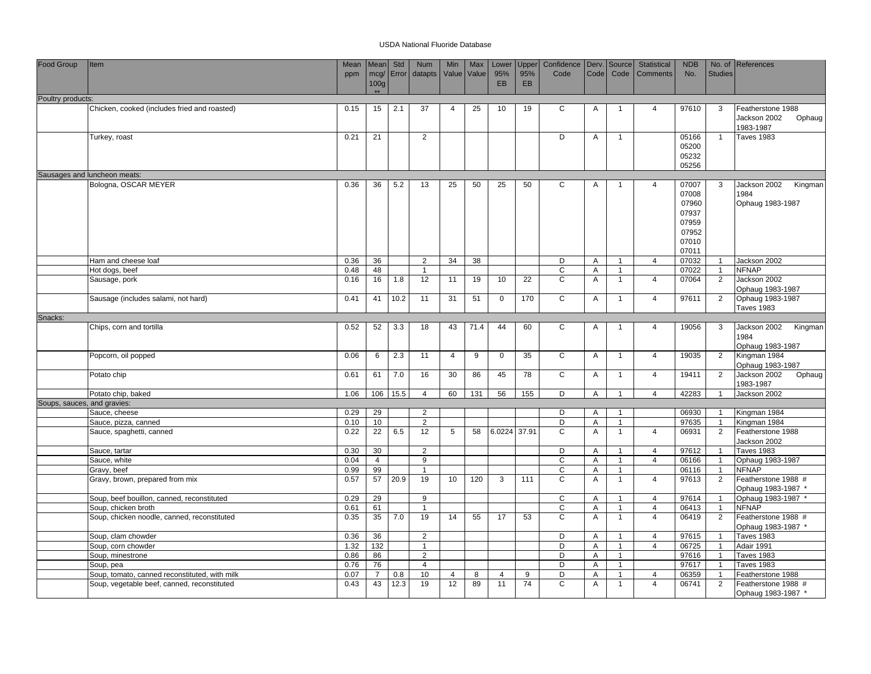| Food Group                  | Item                                          | Mean         | <b>Mean</b>      | Std        | <b>Num</b>      | Min            | Max  | Lower       | Upper | Confidence   Derv.   Source   |      |                | Statistical    | <b>NDB</b>     |                | No. of References                         |
|-----------------------------|-----------------------------------------------|--------------|------------------|------------|-----------------|----------------|------|-------------|-------|-------------------------------|------|----------------|----------------|----------------|----------------|-------------------------------------------|
|                             |                                               | ppm          |                  | mcg/ Error | datapts         | Value Value    |      | 95%         | 95%   | Code                          | Code | Code           | Comments       | No.            | <b>Studies</b> |                                           |
|                             |                                               |              | 100 <sub>g</sub> |            |                 |                |      | EB          | EB    |                               |      |                |                |                |                |                                           |
| Poultry products:           |                                               |              | $**$             |            |                 |                |      |             |       |                               |      |                |                |                |                |                                           |
|                             | Chicken, cooked (includes fried and roasted)  | 0.15         | 15               | 2.1        | $\overline{37}$ | $\overline{4}$ | 25   | 10          | 19    | C                             | Α    |                | $\overline{4}$ | 97610          | 3              | Featherstone 1988                         |
|                             |                                               |              |                  |            |                 |                |      |             |       |                               |      |                |                |                |                | Jackson 2002<br>Ophaug                    |
|                             |                                               |              |                  |            |                 |                |      |             |       |                               |      |                |                |                |                | 1983-1987                                 |
|                             | Turkey, roast                                 | 0.21         | 21               |            | 2               |                |      |             |       | D                             | Α    | $\overline{1}$ |                | 05166          | $\overline{1}$ | <b>Taves 1983</b>                         |
|                             |                                               |              |                  |            |                 |                |      |             |       |                               |      |                |                | 05200          |                |                                           |
|                             |                                               |              |                  |            |                 |                |      |             |       |                               |      |                |                | 05232          |                |                                           |
|                             |                                               |              |                  |            |                 |                |      |             |       |                               |      |                |                | 05256          |                |                                           |
|                             | Sausages and luncheon meats:                  |              |                  |            |                 |                |      |             |       |                               |      |                |                |                |                |                                           |
|                             | Bologna, OSCAR MEYER                          | 0.36         | 36               | 5.2        | 13              | 25             | 50   | 25          | 50    | C                             | Α    | $\mathbf{1}$   | $\overline{4}$ | 07007<br>07008 | 3              | Jackson 2002<br>Kingman<br>1984           |
|                             |                                               |              |                  |            |                 |                |      |             |       |                               |      |                |                | 07960          |                | Ophaug 1983-1987                          |
|                             |                                               |              |                  |            |                 |                |      |             |       |                               |      |                |                | 07937          |                |                                           |
|                             |                                               |              |                  |            |                 |                |      |             |       |                               |      |                |                | 07959          |                |                                           |
|                             |                                               |              |                  |            |                 |                |      |             |       |                               |      |                |                | 07952          |                |                                           |
|                             |                                               |              |                  |            |                 |                |      |             |       |                               |      |                |                | 07010          |                |                                           |
|                             |                                               |              |                  |            |                 |                |      |             |       |                               |      |                |                | 07011          |                |                                           |
|                             | Ham and cheese loaf                           | 0.36         | 36               |            | 2               | 34             | 38   |             |       | D                             | Α    | $\overline{1}$ | $\overline{4}$ | 07032          | $\overline{1}$ | Jackson 2002                              |
|                             | Hot dogs, beef                                | 0.48         | 48               |            | $\overline{1}$  |                |      |             |       | $\mathsf C$                   | Α    | $\mathbf{1}$   |                | 07022          | $\overline{1}$ | <b>NFNAP</b>                              |
|                             | Sausage, pork                                 | 0.16         | 16               | 1.8        | 12              | 11             | 19   | 10          | 22    | $\mathsf{C}$                  | Α    | $\mathbf{1}$   | $\overline{4}$ | 07064          | 2              | Jackson 2002                              |
|                             |                                               |              |                  |            |                 |                |      |             |       |                               |      |                |                |                |                | Ophaug 1983-1987                          |
|                             | Sausage (includes salami, not hard)           | 0.41         | 41               | 10.2       | 11              | 31             | 51   | $\mathbf 0$ | 170   | C                             | Α    | $\mathbf{1}$   | $\overline{4}$ | 97611          | 2              | Ophaug 1983-1987                          |
| Snacks:                     |                                               |              |                  |            |                 |                |      |             |       |                               |      |                |                |                |                | <b>Taves 1983</b>                         |
|                             | Chips, corn and tortilla                      | 0.52         | 52               | 3.3        | 18              | 43             | 71.4 | 44          | 60    | C                             | Α    | $\overline{1}$ | $\overline{4}$ | 19056          | 3              | Jackson 2002<br>Kingman                   |
|                             |                                               |              |                  |            |                 |                |      |             |       |                               |      |                |                |                |                | 1984                                      |
|                             |                                               |              |                  |            |                 |                |      |             |       |                               |      |                |                |                |                | Ophaug 1983-1987                          |
|                             | Popcorn, oil popped                           | 0.06         | 6                | 2.3        | 11              | $\overline{4}$ | 9    | 0           | 35    | C                             | Α    | $\mathbf{1}$   | $\overline{4}$ | 19035          | 2              | Kingman 1984                              |
|                             |                                               |              |                  |            |                 |                |      |             |       |                               |      |                |                |                |                | Ophaug 1983-1987                          |
|                             | Potato chip                                   | 0.61         | 61               | 7.0        | 16              | 30             | 86   | 45          | 78    | $\mathsf{C}$                  | Α    | $\overline{1}$ | $\overline{4}$ | 19411          | 2              | Jackson 2002<br>Ophaug                    |
|                             |                                               |              |                  |            |                 |                |      |             |       |                               |      |                |                |                |                | 1983-1987                                 |
|                             | Potato chip, baked                            | 1.06         | 106              | 15.5       | $\overline{4}$  | 60             | 131  | 56          | 155   | D                             | A    | $\overline{1}$ | $\overline{4}$ | 42283          | $\overline{1}$ | Jackson 2002                              |
| Soups, sauces, and gravies: |                                               |              |                  |            | 2               |                |      |             |       | D                             | A    |                |                |                | -1             |                                           |
|                             | Sauce, cheese<br>Sauce, pizza, canned         | 0.29<br>0.10 | 29<br>10         |            | $\overline{2}$  |                |      |             |       | D                             | Α    | $\mathbf{1}$   |                | 06930<br>97635 | $\overline{1}$ | Kingman 1984<br>Kingman 1984              |
|                             | Sauce, spaghetti, canned                      | 0.22         | 22               | 6.5        | 12              | $\sqrt{5}$     | 58   | 6.0224      | 37.91 | $\overline{C}$                | A    | $\mathbf{1}$   | $\overline{4}$ | 06931          | 2              | Featherstone 1988                         |
|                             |                                               |              |                  |            |                 |                |      |             |       |                               |      |                |                |                |                | Jackson 2002                              |
|                             | Sauce, tartar                                 | 0.30         | 30               |            | $\overline{2}$  |                |      |             |       | D                             | A    | $\overline{1}$ | $\overline{4}$ | 97612          | $\overline{1}$ | <b>Taves 1983</b>                         |
|                             | Sauce, white                                  | 0.04         | $\overline{4}$   |            | 9               |                |      |             |       | C                             | A    | $\mathbf{1}$   | $\overline{4}$ | 06166          | $\overline{1}$ | Ophaug 1983-1987                          |
|                             | Gravy, beef                                   | 0.99         | 99               |            | $\overline{1}$  |                |      |             |       | $\mathbf C$                   | Α    | $\mathbf{1}$   |                | 06116          | $\overline{1}$ | <b>NFNAP</b>                              |
|                             | Gravy, brown, prepared from mix               | 0.57         | 57               | 20.9       | 19              | 10             | 120  | 3           | 111   | C                             | A    | $\mathbf{1}$   | $\overline{4}$ | 97613          | 2              | Featherstone 1988 #                       |
|                             |                                               |              |                  |            |                 |                |      |             |       |                               |      |                |                |                |                | Ophaug 1983-1987 *                        |
|                             | Soup, beef bouillon, canned, reconstituted    | 0.29         | 29               |            | 9               |                |      |             |       | $\mathbf C$                   | Α    | $\mathbf{1}$   | $\overline{4}$ | 97614          | $\overline{1}$ | Ophaug 1983-1987                          |
|                             | Soup, chicken broth                           | 0.61         | 61               |            | $\overline{1}$  |                |      |             |       | $\mathbf C$<br>$\overline{c}$ | Α    | $\overline{1}$ | $\overline{4}$ | 06413          | $\overline{1}$ | <b>NFNAP</b>                              |
|                             | Soup, chicken noodle, canned, reconstituted   | 0.35         | 35               | 7.0        | 19              | 14             | 55   | 17          | 53    |                               | A    | $\mathbf{1}$   | $\overline{4}$ | 06419          | $\overline{2}$ | Featherstone 1988 #<br>Ophaug 1983-1987 * |
|                             | Soup, clam chowder                            | 0.36         | 36               |            | 2               |                |      |             |       | D                             | Α    | -1             | $\overline{4}$ | 97615          | -1             | <b>Taves 1983</b>                         |
|                             | Soup, corn chowder                            | 1.32         | 132              |            | $\overline{1}$  |                |      |             |       | D                             | A    | $\mathbf{1}$   | $\overline{4}$ | 06725          | $\overline{1}$ | Adair 1991                                |
|                             | Soup, minestrone                              | 0.86         | 86               |            | $\overline{2}$  |                |      |             |       | D                             | A    | $\mathbf{1}$   |                | 97616          | $\overline{1}$ | <b>Taves 1983</b>                         |
|                             | Soup, pea                                     | 0.76         | 76               |            | $\overline{4}$  |                |      |             |       | D                             | A    | $\mathbf{1}$   |                | 97617          | $\overline{1}$ | <b>Taves 1983</b>                         |
|                             | Soup, tomato, canned reconstituted, with milk | 0.07         | $\overline{7}$   | 0.8        | 10              | $\overline{4}$ | 8    | 4           | 9     | D                             | Α    | $\mathbf{1}$   | $\overline{4}$ | 06359          | $\overline{1}$ | Featherstone 1988                         |
|                             | Soup, vegetable beef, canned, reconstituted   | 0.43         | 43               | 12.3       | 19              | 12             | 89   | 11          | 74    | $\overline{c}$                | A    | $\mathbf{1}$   | $\overline{4}$ | 06741          | 2              | Featherstone 1988 #                       |
|                             |                                               |              |                  |            |                 |                |      |             |       |                               |      |                |                |                |                | Ophaug 1983-1987 *                        |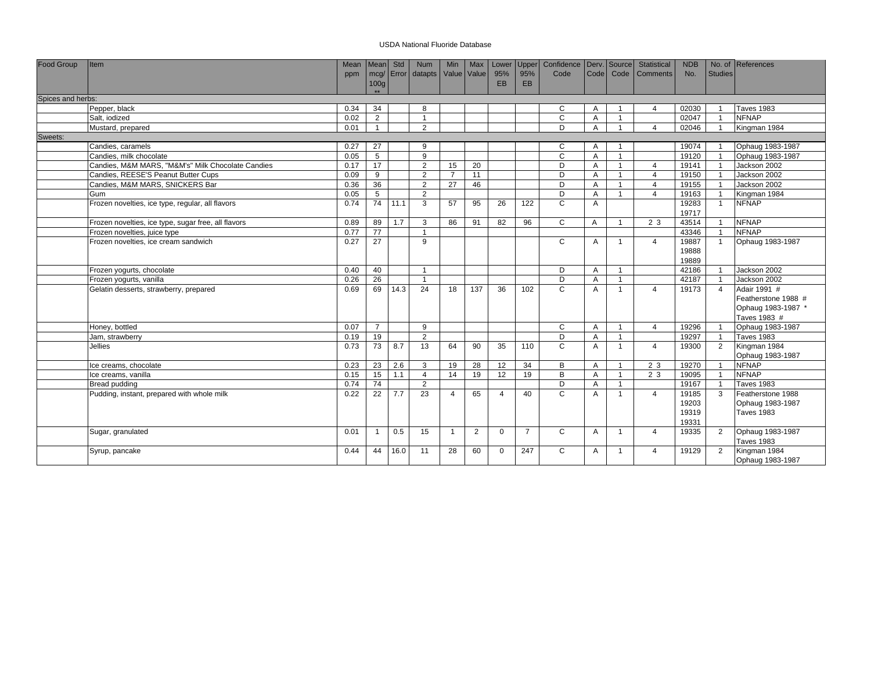| Food Group        | <b>Item</b>                                         | Mean | Mean Std                  |      | <b>Num</b>         | Min            | Max | Lower           | <b>Upper</b>   | Confidence   Derv.   Source |                   |                | Statistical    | <b>NDB</b>     |                         | No. of References   |
|-------------------|-----------------------------------------------------|------|---------------------------|------|--------------------|----------------|-----|-----------------|----------------|-----------------------------|-------------------|----------------|----------------|----------------|-------------------------|---------------------|
|                   |                                                     | ppm  |                           |      | mcg/ Error datapts | Value Value    |     | 95%             | 95%            | Code                        | Code <sup>1</sup> | Code           | Comments       | No.            | <b>Studies</b>          |                     |
|                   |                                                     |      | 100 <sub>g</sub><br>$+ +$ |      |                    |                |     | <b>EB</b>       | EB             |                             |                   |                |                |                |                         |                     |
| Spices and herbs: |                                                     |      |                           |      |                    |                |     |                 |                |                             |                   |                |                |                |                         |                     |
|                   | Pepper, black                                       | 0.34 | 34                        |      | 8                  |                |     |                 |                | C                           | A                 |                | $\Delta$       | 02030          |                         | <b>Taves 1983</b>   |
|                   | Salt, iodized                                       | 0.02 | 2                         |      | $\overline{1}$     |                |     |                 |                | $\mathsf{C}$                | A                 | $\overline{1}$ |                | 02047          | $\overline{1}$          | <b>NFNAP</b>        |
|                   | Mustard, prepared                                   | 0.01 | $\mathbf{1}$              |      | $\overline{2}$     |                |     |                 |                | D                           | Α                 | $\overline{1}$ | $\overline{4}$ | 02046          | $\overline{1}$          | Kingman 1984        |
| Sweets:           |                                                     |      |                           |      |                    |                |     |                 |                |                             |                   |                |                |                |                         |                     |
|                   | Candies, caramels                                   | 0.27 | 27                        |      | $\mathbf{Q}$       |                |     |                 |                | C                           | A                 |                |                | 19074          |                         | Ophaug 1983-1987    |
|                   | Candies, milk chocolate                             | 0.05 | 5                         |      | 9                  |                |     |                 |                | $\mathsf{C}$                | A                 | $\overline{1}$ |                | 19120          | $\overline{1}$          | Ophaug 1983-1987    |
|                   | Candies, M&M MARS, "M&M's" Milk Chocolate Candies   | 0.17 | 17                        |      | $\overline{2}$     | 15             | 20  |                 |                | D                           | A                 | $\overline{1}$ | $\overline{4}$ | 19141          | $\overline{1}$          | Jackson 2002        |
|                   | Candies, REESE'S Peanut Butter Cups                 | 0.09 | 9                         |      | $\overline{2}$     | $\overline{7}$ | 11  |                 |                | D                           | A                 | $\overline{1}$ | $\overline{4}$ | 19150          |                         | Jackson 2002        |
|                   | Candies, M&M MARS, SNICKERS Bar                     | 0.36 | 36                        |      | $\overline{2}$     | 27             | 46  |                 |                | D                           | A                 | $\overline{1}$ | $\overline{4}$ | 19155          |                         | Jackson 2002        |
|                   | Gum                                                 | 0.05 | 5                         |      | $\overline{2}$     |                |     |                 |                | D                           | A                 | $\overline{1}$ | $\Delta$       | 19163          |                         | Kingman 1984        |
|                   | Frozen novelties, ice type, regular, all flavors    | 0.74 | 74                        | 11.1 | 3                  | 57             | 95  | 26              | 122            | $\mathsf{C}$                | A                 |                |                | 19283<br>19717 | $\overline{1}$          | <b>NFNAP</b>        |
|                   | Frozen novelties, ice type, sugar free, all flavors | 0.89 | 89                        | 1.7  | 3                  | 86             | 91  | 82              | 96             | C                           | $\overline{A}$    | $\overline{1}$ | 2 3            | 43514          | $\overline{\mathbf{1}}$ | <b>NFNAP</b>        |
|                   | Frozen novelties, juice type                        | 0.77 | $\overline{77}$           |      | $\overline{1}$     |                |     |                 |                |                             |                   |                |                | 43346          | $\overline{1}$          | <b>NFNAP</b>        |
|                   | Frozen novelties, ice cream sandwich                | 0.27 | 27                        |      | 9                  |                |     |                 |                | C                           | A                 | $\overline{1}$ | $\overline{4}$ | 19887          |                         | Ophaug 1983-1987    |
|                   |                                                     |      |                           |      |                    |                |     |                 |                |                             |                   |                |                | 19888          |                         |                     |
|                   |                                                     |      |                           |      |                    |                |     |                 |                |                             |                   |                |                | 19889          |                         |                     |
|                   | Frozen yogurts, chocolate                           | 0.40 | 40                        |      | $\overline{1}$     |                |     |                 |                | D                           | A                 | $\overline{1}$ |                | 42186          |                         | Jackson 2002        |
|                   | Frozen yogurts, vanilla                             | 0.26 | $\overline{26}$           |      | $\overline{1}$     |                |     |                 |                | D                           | A                 | $\overline{1}$ |                | 42187          | $\overline{1}$          | Jackson 2002        |
|                   | Gelatin desserts, strawberry, prepared              | 0.69 | 69                        | 14.3 | 24                 | 18             | 137 | 36              | 102            | C                           | A                 | $\overline{1}$ | $\overline{a}$ | 19173          | $\overline{4}$          | Adair 1991 #        |
|                   |                                                     |      |                           |      |                    |                |     |                 |                |                             |                   |                |                |                |                         | Featherstone 1988 # |
|                   |                                                     |      |                           |      |                    |                |     |                 |                |                             |                   |                |                |                |                         | Ophaug 1983-1987 *  |
|                   |                                                     |      |                           |      |                    |                |     |                 |                |                             |                   |                |                |                |                         | Taves 1983 #        |
|                   | Honey, bottled                                      | 0.07 | $\overline{7}$            |      | 9                  |                |     |                 |                | C                           | A                 | $\overline{1}$ | $\overline{4}$ | 19296          |                         | Ophaug 1983-1987    |
|                   | Jam, strawberry                                     | 0.19 | 19                        |      | 2                  |                |     |                 |                | D                           | A                 | $\overline{1}$ |                | 19297          | $\overline{1}$          | <b>Taves 1983</b>   |
|                   | Jellies                                             | 0.73 | 73                        | 8.7  | 13                 | 64             | 90  | 35              | 110            | $\mathsf{C}$                | A                 | $\overline{1}$ | $\overline{4}$ | 19300          | $\overline{2}$          | Kingman 1984        |
|                   |                                                     |      |                           |      |                    |                |     |                 |                |                             |                   |                |                |                |                         | Ophaug 1983-1987    |
|                   | Ice creams, chocolate                               | 0.23 | 23                        | 2.6  | 3                  | 19             | 28  | 12 <sup>2</sup> | 34             | B                           | A                 | $\overline{1}$ | 2 3            | 19270          | $\overline{1}$          | <b>NFNAP</b>        |
|                   | Ice creams, vanilla                                 | 0.15 | 15                        | 1.1  | $\overline{4}$     | 14             | 19  | 12              | 19             | B                           | A                 | $\overline{1}$ | 2 3            | 19095          | $\overline{1}$          | <b>NFNAP</b>        |
|                   | Bread pudding                                       | 0.74 | $\overline{74}$           |      | 2                  |                |     |                 |                | D                           | A                 | $\overline{1}$ |                | 19167          | $\overline{1}$          | <b>Taves 1983</b>   |
|                   | Pudding, instant, prepared with whole milk          | 0.22 | 22                        | 7.7  | 23                 | $\overline{4}$ | 65  | $\Delta$        | 40             | C                           | A                 | $\overline{1}$ | $\overline{4}$ | 19185          | 3                       | Featherstone 1988   |
|                   |                                                     |      |                           |      |                    |                |     |                 |                |                             |                   |                |                | 19203          |                         | Ophaug 1983-1987    |
|                   |                                                     |      |                           |      |                    |                |     |                 |                |                             |                   |                |                | 19319          |                         | <b>Taves 1983</b>   |
|                   |                                                     |      |                           |      |                    |                |     |                 |                |                             |                   |                |                | 19331          |                         |                     |
|                   | Sugar, granulated                                   | 0.01 | $\mathbf{1}$              | 0.5  | 15                 | $\mathbf{1}$   | 2   | $\mathbf{0}$    | $\overline{7}$ | C                           | A                 | $\overline{1}$ | $\overline{4}$ | 19335          | $\overline{2}$          | Ophaug 1983-1987    |
|                   |                                                     |      |                           |      |                    |                |     |                 |                |                             |                   |                |                |                |                         | <b>Taves 1983</b>   |
|                   | Syrup, pancake                                      | 0.44 | 44                        | 16.0 | 11                 | 28             | 60  | $\mathbf{0}$    | 247            | C                           | A                 | $\mathbf{1}$   | $\overline{4}$ | 19129          | $\overline{2}$          | Kingman 1984        |
|                   |                                                     |      |                           |      |                    |                |     |                 |                |                             |                   |                |                |                |                         | Ophaug 1983-1987    |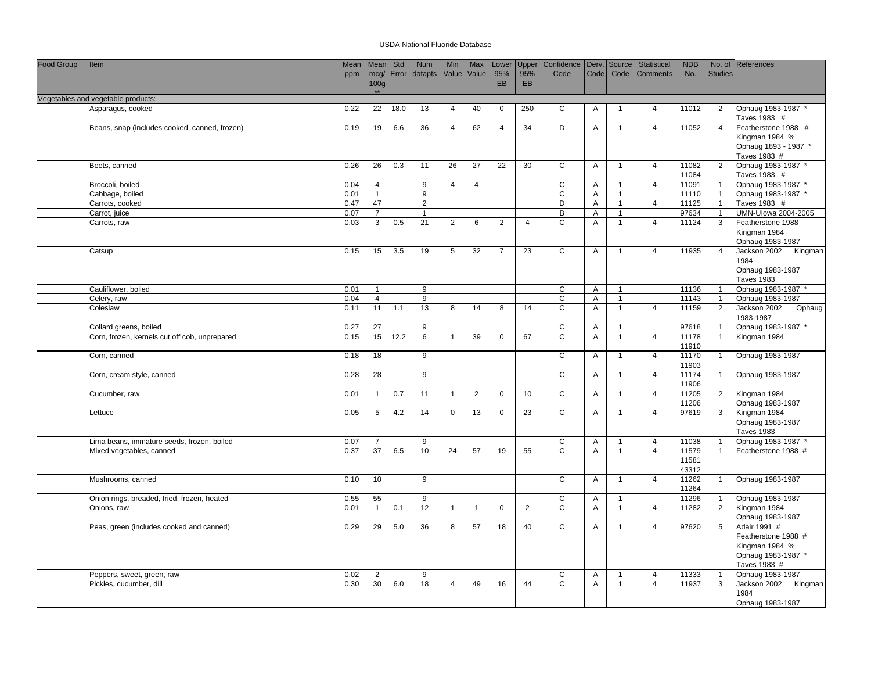| Food Group | Item                                          | Mean         | Mean                 | Std   | Num             | Min            | Max            | Lower          | Upper          | Confidence        |                | Derv. Source   | Statistical                      | <b>NDB</b>     |                | No. of References                       |
|------------|-----------------------------------------------|--------------|----------------------|-------|-----------------|----------------|----------------|----------------|----------------|-------------------|----------------|----------------|----------------------------------|----------------|----------------|-----------------------------------------|
|            |                                               | ppm          | mcg/                 | Error | datapts         | Value          | Value          | 95%            | 95%            | Code              | Code           | Code           | <b>Comments</b>                  | No.            | <b>Studies</b> |                                         |
|            |                                               |              | 100 <sub>g</sub>     |       |                 |                |                | <b>EB</b>      | EB             |                   |                |                |                                  |                |                |                                         |
|            | Vegetables and vegetable products:            |              |                      |       |                 |                |                |                |                |                   |                |                |                                  |                |                |                                         |
|            | Asparagus, cooked                             | 0.22         | 22                   | 18.0  | 13              | $\overline{4}$ | 40             | $\mathbf 0$    | 250            | C                 | Α              | $\overline{1}$ | $\overline{4}$                   | 11012          | $\overline{2}$ | Ophaug 1983-1987 *                      |
|            |                                               |              |                      |       |                 |                |                |                |                |                   |                |                |                                  |                |                | Taves 1983 #                            |
|            | Beans, snap (includes cooked, canned, frozen) | 0.19         | 19                   | 6.6   | 36              | $\overline{4}$ | 62             | $\overline{4}$ | 34             | D                 | A              | $\overline{1}$ | $\overline{4}$                   | 11052          | $\overline{4}$ | Featherstone 1988 #                     |
|            |                                               |              |                      |       |                 |                |                |                |                |                   |                |                |                                  |                |                | Kingman 1984 %                          |
|            |                                               |              |                      |       |                 |                |                |                |                |                   |                |                |                                  |                |                | Ophaug 1893 - 1987 *                    |
|            |                                               |              |                      |       |                 |                |                |                |                |                   |                |                |                                  |                |                | Taves 1983 #                            |
|            | Beets, canned                                 | 0.26         | 26                   | 0.3   | 11              | 26             | 27             | 22             | 30             | $\mathsf{C}$      | A              | $\overline{1}$ | $\overline{4}$                   | 11082<br>11084 | 2              | Ophaug 1983-1987 *<br>Taves 1983 #      |
|            | Broccoli, boiled                              | 0.04         | $\overline{4}$       |       | 9               | $\overline{4}$ | $\overline{4}$ |                |                | C                 | Α              | $\overline{1}$ | $\overline{4}$                   | 11091          | $\overline{1}$ | Ophaug 1983-1987 *                      |
|            | Cabbage, boiled                               | 0.01         | $\mathbf{1}$         |       | 9               |                |                |                |                | $\mathsf C$       | A              | $\overline{1}$ |                                  | 11110          | $\overline{1}$ | Ophaug 1983-1987 *                      |
|            | Carrots, cooked                               | 0.47         | 47                   |       | 2               |                |                |                |                | D                 | A              | $\mathbf{1}$   | $\overline{4}$                   | 11125          | $\overline{1}$ | Taves 1983 #                            |
|            | Carrot, juice                                 | 0.07         | $\overline{7}$       |       |                 |                |                |                |                | B                 | Α              | $\overline{1}$ |                                  | 97634          | $\overline{1}$ | UMN-Ulowa 2004-2005                     |
|            | Carrots, raw                                  | 0.03         | 3                    | 0.5   | 21              | 2              | 6              | $\overline{2}$ | $\overline{4}$ | $\mathsf C$       | Α              | $\overline{1}$ | $\overline{4}$                   | 11124          | 3              | Featherstone 1988                       |
|            |                                               |              |                      |       |                 |                |                |                |                |                   |                |                |                                  |                |                | Kingman 1984                            |
|            |                                               |              |                      |       |                 |                |                |                |                |                   |                |                |                                  |                |                | Ophaug 1983-1987                        |
|            | Catsup                                        | 0.15         | 15                   | 3.5   | 19              | 5              | 32             | $\overline{7}$ | 23             | C                 | Α              | $\overline{1}$ | $\overline{4}$                   | 11935          | $\overline{4}$ | Jackson 2002<br>Kingman                 |
|            |                                               |              |                      |       |                 |                |                |                |                |                   |                |                |                                  |                |                | 1984                                    |
|            |                                               |              |                      |       |                 |                |                |                |                |                   |                |                |                                  |                |                | Ophaug 1983-1987                        |
|            | Cauliflower, boiled                           | 0.01         | $\overline{1}$       |       | 9               |                |                |                |                | C                 | A              | $\overline{1}$ |                                  | 11136          |                | <b>Taves 1983</b><br>Ophaug 1983-1987 * |
|            | Celery, raw                                   | 0.04         | $\overline{4}$       |       | 9               |                |                |                |                | C                 | Α              | $\mathbf{1}$   |                                  | 11143          | $\mathbf{1}$   | Ophaug 1983-1987                        |
|            | Coleslaw                                      | 0.11         | 11                   | 1.1   | $\overline{13}$ | 8              | 14             | 8              | 14             | $\overline{c}$    | A              | $\overline{1}$ | $\overline{4}$                   | 11159          | $\overline{2}$ | Jackson 2002<br>Ophaug                  |
|            |                                               |              |                      |       |                 |                |                |                |                |                   |                |                |                                  |                |                | 1983-1987                               |
|            | Collard greens, boiled                        | 0.27         | $\overline{27}$      |       | 9               |                |                |                |                | $\mathsf C$       | A              | $\overline{1}$ |                                  | 97618          | $\overline{1}$ | Ophaug 1983-1987 *                      |
|            | Corn, frozen, kernels cut off cob, unprepared | 0.15         | 15                   | 12.2  | 6               | $\overline{1}$ | 39             | $\mathbf 0$    | 67             | $\mathsf{C}$      | Α              | $\overline{1}$ | $\overline{4}$                   | 11178          | $\overline{1}$ | Kingman 1984                            |
|            |                                               |              |                      |       |                 |                |                |                |                |                   |                |                |                                  | 11910          |                |                                         |
|            | Corn, canned                                  | 0.18         | 18                   |       | 9               |                |                |                |                | $\overline{c}$    | Α              | $\overline{1}$ | $\overline{4}$                   | 11170          | $\overline{1}$ | Ophaug 1983-1987                        |
|            |                                               |              |                      |       |                 |                |                |                |                |                   |                |                |                                  | 11903          |                |                                         |
|            | Corn, cream style, canned                     | 0.28         | 28                   |       | 9               |                |                |                |                | $\mathsf{C}$      | A              | $\overline{1}$ | $\overline{4}$                   | 11174          | $\overline{1}$ | Ophaug 1983-1987                        |
|            | Cucumber, raw                                 | 0.01         | $\mathbf{1}$         | 0.7   | 11              | $\mathbf{1}$   | $\overline{2}$ | $\mathbf{0}$   | 10             | C                 | Α              | $\overline{1}$ | $\overline{4}$                   | 11906<br>11205 | $\overline{2}$ | Kingman 1984                            |
|            |                                               |              |                      |       |                 |                |                |                |                |                   |                |                |                                  | 11206          |                | Ophaug 1983-1987                        |
|            | Lettuce                                       | 0.05         | $5\phantom{.0}$      | 4.2   | 14              | $\mathbf 0$    | 13             | 0              | 23             | C                 | Α              | $\overline{1}$ | $\overline{4}$                   | 97619          | 3              | Kingman 1984                            |
|            |                                               |              |                      |       |                 |                |                |                |                |                   |                |                |                                  |                |                | Ophaug 1983-1987                        |
|            |                                               |              |                      |       |                 |                |                |                |                |                   |                |                |                                  |                |                | <b>Taves 1983</b>                       |
|            | Lima beans, immature seeds, frozen, boiled    | 0.07         | $\overline{7}$       |       | 9               |                |                |                |                | C                 | Α              | $\overline{1}$ | 4                                | 11038          | $\overline{1}$ | Ophaug 1983-1987 *                      |
|            | Mixed vegetables, canned                      | 0.37         | 37                   | 6.5   | 10              | 24             | 57             | 19             | 55             | $\mathsf{C}$      | Α              | $\overline{1}$ | $\overline{4}$                   | 11579          | $\overline{1}$ | Featherstone 1988 #                     |
|            |                                               |              |                      |       |                 |                |                |                |                |                   |                |                |                                  | 11581          |                |                                         |
|            |                                               |              |                      |       |                 |                |                |                |                |                   |                |                |                                  | 43312          |                |                                         |
|            | Mushrooms, canned                             | 0.10         | 10                   |       | 9               |                |                |                |                | $\mathsf{C}$      | Α              | $\overline{1}$ | $\overline{4}$                   | 11262<br>11264 | $\mathbf{1}$   | Ophaug 1983-1987                        |
|            | Onion rings, breaded, fried, frozen, heated   | 0.55         | 55                   |       | 9               |                |                |                |                | C                 | A              | $\overline{1}$ |                                  | 11296          | $\overline{1}$ | Ophaug 1983-1987                        |
|            | Onions, raw                                   | 0.01         | $\overline{1}$       | 0.1   | 12              | $\mathbf{1}$   | $\mathbf{1}$   | $\Omega$       | $\overline{2}$ | $\mathsf{C}$      | $\overline{A}$ | $\overline{1}$ | $\overline{4}$                   | 11282          | 2              | Kingman 1984                            |
|            |                                               |              |                      |       |                 |                |                |                |                |                   |                |                |                                  |                |                | Ophaug 1983-1987                        |
|            | Peas, green (includes cooked and canned)      | 0.29         | 29                   | 5.0   | 36              | 8              | 57             | 18             | 40             | $\overline{c}$    | Α              | $\overline{1}$ | $\overline{4}$                   | 97620          | 5              | Adair 1991 #                            |
|            |                                               |              |                      |       |                 |                |                |                |                |                   |                |                |                                  |                |                | Featherstone 1988 #                     |
|            |                                               |              |                      |       |                 |                |                |                |                |                   |                |                |                                  |                |                | Kingman 1984 %                          |
|            |                                               |              |                      |       |                 |                |                |                |                |                   |                |                |                                  |                |                | Ophaug 1983-1987 *                      |
|            |                                               |              |                      |       |                 |                |                |                |                |                   |                |                |                                  |                |                | Taves 1983 #                            |
|            | Peppers, sweet, green, raw                    | 0.02<br>0.30 | $\overline{2}$<br>30 | 6.0   | 9<br>18         | $\overline{4}$ | 49             | 16             | 44             | C<br>$\mathsf{C}$ | Α<br>Α         | $\overline{1}$ | $\overline{4}$<br>$\overline{4}$ | 11333<br>11937 | 3              | Ophaug 1983-1987                        |
|            | Pickles, cucumber, dill                       |              |                      |       |                 |                |                |                |                |                   |                |                |                                  |                |                | Jackson 2002 Kingman<br>1984            |
|            |                                               |              |                      |       |                 |                |                |                |                |                   |                |                |                                  |                |                | Ophaug 1983-1987                        |
|            |                                               |              |                      |       |                 |                |                |                |                |                   |                |                |                                  |                |                |                                         |